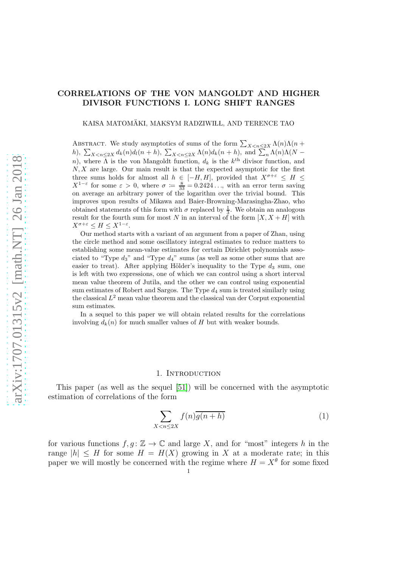## CORRELATIONS OF THE VON MANGOLDT AND HIGHER DIVISOR FUNCTIONS I. LONG SHIFT RANGES

KAISA MATOMÄKI, MAKSYM RADZIWIŁL, AND TERENCE TAO

ABSTRACT. We study asymptotics of sums of the form  $\sum_{X \leq n \leq 2X} \Lambda(n) \Lambda(n +$ h),  $\sum_{X \leq n \leq 2X} d_k(n) d_l(n+h)$ ,  $\sum_{X \leq n \leq 2X} \Lambda(n) d_k(n+h)$ , and  $\sum_n \Lambda(n) \Lambda(N-h)$ n), where  $\Lambda$  is the von Mangoldt function,  $d_k$  is the  $k^{\text{th}}$  divisor function, and  $N, X$  are large. Our main result is that the expected asymptotic for the first three sums holds for almost all  $h \in [-H, H]$ , provided that  $X^{\sigma+\varepsilon} \leq H \leq$  $X^{1-\varepsilon}$  for some  $\varepsilon > 0$ , where  $\sigma := \frac{8}{33} = 0.2424...$ , with an error term saving on average an arbitrary power of the logarithm over the trivial bound. This improves upon results of Mikawa and Baier-Browning-Marasingha-Zhao, who obtained statements of this form with  $\sigma$  replaced by  $\frac{1}{3}$ . We obtain an analogous result for the fourth sum for most N in an interval of the form  $[X, X + H]$  with  $X^{\sigma+\varepsilon} \leq H \leq X^{1-\varepsilon}.$ 

Our method starts with a variant of an argument from a paper of Zhan, using the circle method and some oscillatory integral estimates to reduce matters to establishing some mean-value estimates for certain Dirichlet polynomials associated to "Type  $d_3$ " and "Type  $d_4$ " sums (as well as some other sums that are easier to treat). After applying Hölder's inequality to the Type  $d_3$  sum, one is left with two expressions, one of which we can control using a short interval mean value theorem of Jutila, and the other we can control using exponential sum estimates of Robert and Sargos. The Type  $d_4$  sum is treated similarly using the classical  $L^2$  mean value theorem and the classical van der Corput exponential sum estimates.

In a sequel to this paper we will obtain related results for the correlations involving  $d_k(n)$  for much smaller values of H but with weaker bounds.

#### 1. INTRODUCTION

<span id="page-0-1"></span>This paper (as well as the sequel [\[51\]](#page-78-0)) will be concerned with the asymptotic estimation of correlations of the form

<span id="page-0-0"></span>
$$
\sum_{X < n \le 2X} f(n)\overline{g(n+h)}\tag{1}
$$

for various functions  $f, g : \mathbb{Z} \to \mathbb{C}$  and large X, and for "most" integers h in the range  $|h| \leq H$  for some  $H = H(X)$  growing in X at a moderate rate; in this paper we will mostly be concerned with the regime where  $H = X^{\theta}$  for some fixed 1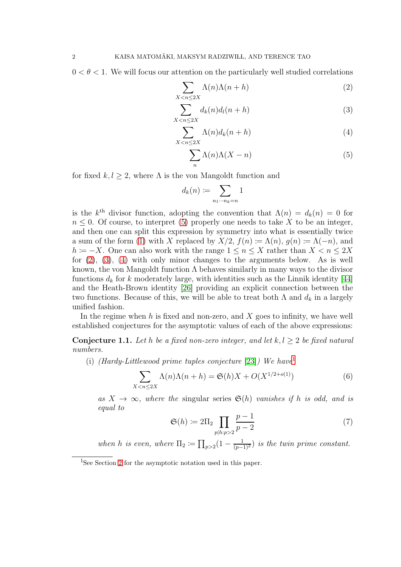$0 < \theta < 1$ . We will focus our attention on the particularly well studied correlations

<span id="page-1-1"></span>
$$
\sum_{X < n \le 2X} \Lambda(n)\Lambda(n+h) \tag{2}
$$

$$
\sum_{X < n \le 2X} d_k(n) d_l(n+h) \tag{3}
$$

$$
\sum_{X < n \le 2X} \Lambda(n) d_k(n+h) \tag{4}
$$

<span id="page-1-3"></span><span id="page-1-2"></span><span id="page-1-0"></span>
$$
\sum_{n} \Lambda(n)\Lambda(X-n) \tag{5}
$$

for fixed  $k, l \geq 2$ , where  $\Lambda$  is the von Mangoldt function and

$$
d_k(n) := \sum_{n_1 \cdots n_k = n} 1
$$

is the  $k^{\text{th}}$  divisor function, adopting the convention that  $\Lambda(n) = d_k(n) = 0$  for  $n \leq 0$ . Of course, to interpret [\(5\)](#page-1-0) properly one needs to take X to be an integer, and then one can split this expression by symmetry into what is essentially twice a sum of the form [\(1\)](#page-0-0) with X replaced by  $X/2$ ,  $f(n) \coloneqq \Lambda(n)$ ,  $g(n) \coloneqq \Lambda(-n)$ , and h :=  $-X$ . One can also work with the range  $1 \le n \le X$  rather than  $X \le n \le 2X$ for [\(2\)](#page-1-1), [\(3\)](#page-1-2), [\(4\)](#page-1-3) with only minor changes to the arguments below. As is well known, the von Mangoldt function  $\Lambda$  behaves similarly in many ways to the divisor functions  $d_k$  for k moderately large, with identities such as the Linnik identity [\[44\]](#page-77-0) and the Heath-Brown identity [\[26\]](#page-76-0) providing an explicit connection between the two functions. Because of this, we will be able to treat both  $\Lambda$  and  $d_k$  in a largely unified fashion.

In the regime when h is fixed and non-zero, and  $X$  goes to infinity, we have well established conjectures for the asymptotic values of each of the above expressions:

<span id="page-1-6"></span>**Conjecture 1.1.** Let h be a fixed non-zero integer, and let  $k, l \geq 2$  be fixed natural numbers.

(i) (Hardy-Littlewood prime tuples conjecture [\[23\]](#page-76-1)) We have

<span id="page-1-7"></span>
$$
\sum_{X < n \le 2X} \Lambda(n)\Lambda(n+h) = \mathfrak{S}(h)X + O(X^{1/2+o(1)})\tag{6}
$$

as  $X \to \infty$ , where the singular series  $\mathfrak{S}(h)$  vanishes if h is odd, and is equal to

<span id="page-1-5"></span>
$$
\mathfrak{S}(h) \coloneqq 2\Pi_2 \prod_{p|h:p>2} \frac{p-1}{p-2} \tag{7}
$$

when h is even, where  $\Pi_2 \coloneqq \prod_{p>2} (1 - \frac{1}{(p-1)^2})$  is the twin prime constant.

<span id="page-1-4"></span><sup>&</sup>lt;sup>1</sup>See Section [2](#page-12-0) for the asymptotic notation used in this paper.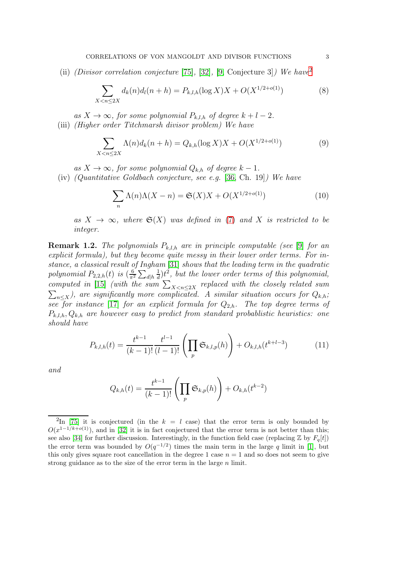(ii) (Divisor correlation conjecture [\[75\]](#page-78-1), [\[32\]](#page-77-1), [\[9,](#page-76-2) Conjecture 3]) We have<sup>[2](#page-2-0)</sup>

<span id="page-2-2"></span>
$$
\sum_{X < n \le 2X} d_k(n) d_l(n+h) = P_{k,l,h}(\log X)X + O(X^{1/2 + o(1)})\tag{8}
$$

as  $X \to \infty$ , for some polynomial  $P_{k,l,h}$  of degree  $k+l-2$ . (iii) (Higher order Titchmarsh divisor problem) We have

<span id="page-2-3"></span>
$$
\sum_{X < n \le 2X} \Lambda(n) d_k(n+h) = Q_{k,h}(\log X)X + O(X^{1/2 + o(1)})\tag{9}
$$

as  $X \to \infty$ , for some polynomial  $Q_{k,h}$  of degree  $k-1$ .

(iv) (Quantitative Goldbach conjecture, see e.g. [\[36,](#page-77-2) Ch. 19]) We have

<span id="page-2-4"></span>
$$
\sum_{n} \Lambda(n)\Lambda(X - n) = \mathfrak{S}(X)X + O(X^{1/2 + o(1)})\tag{10}
$$

as  $X \to \infty$ , where  $\mathfrak{S}(X)$  was defined in [\(7\)](#page-1-5) and X is restricted to be integer.

**Remark 1.2.** The polynomials  $P_{k,l,h}$  are in principle computable (see [\[9\]](#page-76-2) for an explicit formula), but they become quite messy in their lower order terms. For instance, a classical result of Ingham [\[31\]](#page-77-3) shows that the leading term in the quadratic polynomial  $P_{2,2,h}(t)$  is  $\left(\frac{6}{\pi^2}\right)$  $\frac{6}{\pi^2}\sum_{d|h}$ 1  $\frac{1}{d}$ ) $t^2$ , but the lower order terms of this polynomial, computed in [\[15\]](#page-76-3) (with the sum  $\sum_{X \leq n \leq 2X}$  replaced with the closely related sum  $\sum_{n\leq X}$ ), are significantly more complicated. A similar situation occurs for  $Q_{k,h}$ ; see for instance [\[17\]](#page-76-4) for an explicit formula for  $Q_{2,h}$ . The top degree terms of  $P_{k,l,h}, Q_{k,h}$  are however easy to predict from standard probablistic heuristics: one should have

<span id="page-2-1"></span>
$$
P_{k,l,h}(t) = \frac{t^{k-1}}{(k-1)!} \frac{t^{l-1}}{(l-1)!} \left( \prod_p \mathfrak{S}_{k,l,p}(h) \right) + O_{k,l,h}(t^{k+l-3}) \tag{11}
$$

and

$$
Q_{k,h}(t) = \frac{t^{k-1}}{(k-1)!} \left( \prod_p \mathfrak{S}_{k,p}(h) \right) + O_{k,h}(t^{k-2})
$$

<span id="page-2-0"></span><sup>&</sup>lt;sup>2</sup>In [\[75\]](#page-78-1) it is conjectured (in the  $k = l$  case) that the error term is only bounded by  $O(x^{1-1/k+o(1)})$ , and in [\[32\]](#page-77-1) it is in fact conjectured that the error term is not better than this; see also [\[34\]](#page-77-4) for further discussion. Interestingly, in the function field case (replacing  $\mathbb{Z}$  by  $F_q[t]$ ) the error term was bounded by  $O(q^{-1/2})$  times the main term in the large q limit in [\[1\]](#page-75-0), but this only gives square root cancellation in the degree 1 case  $n = 1$  and so does not seem to give strong guidance as to the size of the error term in the large  $n$  limit.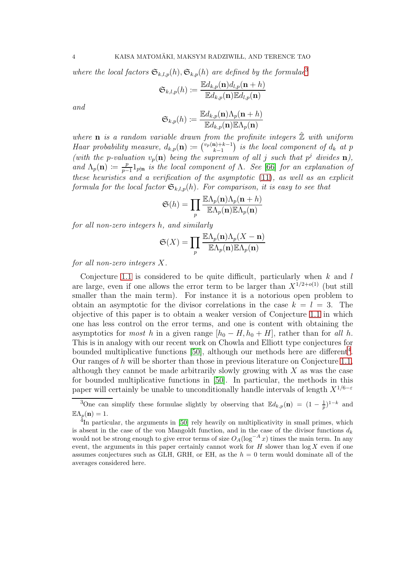where the local factors  $\mathfrak{S}_{k,l,p}(h), \mathfrak{S}_{k,p}(h)$  are defined by the formulae<sup>[3](#page-3-0)</sup>

$$
\mathfrak{S}_{k,l,p}(h) \coloneqq \frac{\mathbb{E} d_{k,p}(\mathbf{n}) d_{l,p}(\mathbf{n}+h)}{\mathbb{E} d_{k,p}(\mathbf{n})\mathbb{E} d_{l,p}(\mathbf{n})}
$$

and

$$
\mathfrak{S}_{k,p}(h) \coloneqq \frac{\mathbb{E}d_{k,p}(\mathbf{n})\Lambda_p(\mathbf{n}+h)}{\mathbb{E}d_{k,p}(\mathbf{n})\mathbb{E}\Lambda_p(\mathbf{n})}
$$

where **n** is a random variable drawn from the profinite integers  $\mathbb{Z}$  with uniform Haar probability measure,  $d_{k,p}(\mathbf{n}) \coloneqq \binom{v_p(\mathbf{n})+k-1}{k-1}$  $\binom{n+k-1}{k-1}$  is the local component of  $d_k$  at p (with the p-valuation  $v_p(n)$  being the supremum of all j such that  $p^j$  divides n), and  $\Lambda_p(\mathbf{n}) \coloneqq \frac{p}{p-1}$  $\frac{p}{p-1}1_{p|n}$  is the local component of  $\Lambda$ . See [\[66\]](#page-78-2) for an explanation of these heuristics and a verification of the asymptotic [\(11\)](#page-2-1), as well as an explicit formula for the local factor  $\mathfrak{S}_{k,l,p}(h)$ . For comparison, it is easy to see that

$$
\mathfrak{S}(h) = \prod_{p} \frac{\mathbb{E}\Lambda_p(\mathbf{n})\Lambda_p(\mathbf{n}+h)}{\mathbb{E}\Lambda_p(\mathbf{n})\mathbb{E}\Lambda_p(\mathbf{n})}
$$

for all non-zero integers h, and similarly

$$
\mathfrak{S}(X) = \prod_{p} \frac{\mathbb{E}\Lambda_p(\mathbf{n})\Lambda_p(X-\mathbf{n})}{\mathbb{E}\Lambda_p(\mathbf{n})\mathbb{E}\Lambda_p(\mathbf{n})}
$$

for all non-zero integers X.

Conjecture [1.1](#page-1-6) is considered to be quite difficult, particularly when  $k$  and  $l$ are large, even if one allows the error term to be larger than  $X^{1/2+o(1)}$  (but still smaller than the main term). For instance it is a notorious open problem to obtain an asymptotic for the divisor correlations in the case  $k = l = 3$ . The objective of this paper is to obtain a weaker version of Conjecture [1.1](#page-1-6) in which one has less control on the error terms, and one is content with obtaining the asymptotics for *most* h in a given range  $[h_0 - H, h_0 + H]$ , rather than for all h. This is in analogy with our recent work on Chowla and Elliott type conjectures for bounded multiplicative functions  $[50]$ , although our methods here are different<sup>[4](#page-3-1)</sup>. Our ranges of h will be shorter than those in previous literature on Conjecture [1.1,](#page-1-6) although they cannot be made arbitrarily slowly growing with  $X$  as was the case for bounded multiplicative functions in [\[50\]](#page-77-5). In particular, the methods in this paper will certainly be unable to unconditionally handle intervals of length  $X^{1/6-\epsilon}$ 

<span id="page-3-0"></span><sup>&</sup>lt;sup>3</sup>One can simplify these formulae slightly by observing that  $\mathbb{E}d_{k,p}(\mathbf{n}) = (1 - \frac{1}{p})^{1-k}$  and  $\mathbb{E}\Lambda_p(\mathbf{n})=1.$ 

<span id="page-3-1"></span> $^{4}$ In particular, the arguments in [\[50\]](#page-77-5) rely heavily on multiplicativity in small primes, which is absent in the case of the von Mangoldt function, and in the case of the divisor functions  $d_k$ would not be strong enough to give error terms of size  $O_A(\log^{-A} x)$  times the main term. In any event, the arguments in this paper certainly cannot work for  $H$  slower than  $\log X$  even if one assumes conjectures such as GLH, GRH, or EH, as the  $h = 0$  term would dominate all of the averages considered here.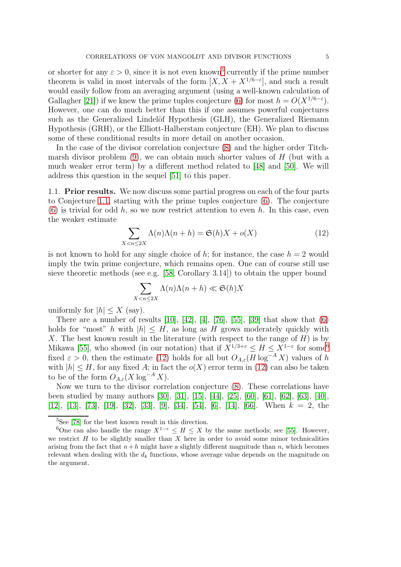or shorter for any  $\varepsilon > 0$ , since it is not even known<sup>[5](#page-4-0)</sup> currently if the prime number theorem is valid in most intervals of the form  $[X, X + X^{1/6-\epsilon}]$ , and such a result would easily follow from an averaging argument (using a well-known calculation of Gallagher [\[21\]](#page-76-5)) if we knew the prime tuples conjecture [\(6\)](#page-1-7) for most  $h = O(X^{1/6-\epsilon})$ . However, one can do much better than this if one assumes powerful conjectures such as the Generalized Lindelöf Hypothesis (GLH), the Generalized Riemann Hypothesis (GRH), or the Elliott-Halberstam conjecture (EH). We plan to discuss some of these conditional results in more detail on another occasion.

In the case of the divisor correlation conjecture [\(8\)](#page-2-2) and the higher order Titchmarsh divisor problem  $(9)$ , we can obtain much shorter values of H (but with a much weaker error term) by a different method related to [\[48\]](#page-77-6) and [\[50\]](#page-77-5). We will address this question in the sequel [\[51\]](#page-78-0) to this paper.

1.1. Prior results. We now discuss some partial progress on each of the four parts to Conjecture [1.1,](#page-1-6) starting with the prime tuples conjecture [\(6\)](#page-1-7). The conjecture  $(6)$  is trivial for odd h, so we now restrict attention to even h. In this case, even the weaker estimate

<span id="page-4-2"></span>
$$
\sum_{X < n \le 2X} \Lambda(n)\Lambda(n+h) = \mathfrak{S}(h)X + o(X) \tag{12}
$$

is not known to hold for any single choice of h; for instance, the case  $h = 2$  would imply the twin prime conjecture, which remains open. One can of course still use sieve theoretic methods (see e.g. [\[58,](#page-78-3) Corollary 3.14]) to obtain the upper bound

$$
\sum_{X < n \le 2X} \Lambda(n)\Lambda(n+h) \ll \mathfrak{S}(h)X
$$

uniformly for  $|h| \leq X$  (say).

There are a number of results  $[10]$ ,  $[42]$ ,  $[4]$ ,  $[76]$ ,  $[55]$ ,  $[39]$  that show that  $(6)$ holds for "most" h with  $|h| \leq H$ , as long as H grows moderately quickly with X. The best known result in the literature (with respect to the range of  $H$ ) is by Mikawa [\[55\]](#page-78-5), who showed (in our notation) that if  $X^{1/3+\epsilon} \leq H \leq X^{1-\epsilon}$  for some<sup>[6](#page-4-1)</sup> fixed  $\varepsilon > 0$ , then the estimate [\(12\)](#page-4-2) holds for all but  $O_{A,\varepsilon}(H \log^{-A} X)$  values of h with  $|h| \leq H$ , for any fixed A; in fact the  $o(X)$  error term in [\(12\)](#page-4-2) can also be taken to be of the form  $O_{A,\varepsilon}(X \log^{-A} X)$ .

Now we turn to the divisor correlation conjecture [\(8\)](#page-2-2). These correlations have been studied by many authors [\[30\]](#page-77-9), [\[31\]](#page-77-3), [\[15\]](#page-76-3), [\[44\]](#page-77-0), [\[25\]](#page-76-8), [\[60\]](#page-78-6), [\[61\]](#page-78-7), [\[62\]](#page-78-8), [\[63\]](#page-78-9), [\[40\]](#page-77-10), [\[12\]](#page-76-9), [\[13\]](#page-76-10), [\[73\]](#page-78-10), [\[19\]](#page-76-11), [\[32\]](#page-77-1), [\[33\]](#page-77-11), [\[9\]](#page-76-2), [\[34\]](#page-77-4), [\[54\]](#page-78-11), [\[6\]](#page-76-12), [\[14\]](#page-76-13), [\[66\]](#page-78-2). When k = 2, the

<span id="page-4-0"></span> ${}^{5}$ See [\[78\]](#page-79-0) for the best known result in this direction.

<span id="page-4-1"></span><sup>&</sup>lt;sup>6</sup>One can also handle the range  $X^{1-\epsilon} \leq H \leq X$  by the same methods; see [\[55\]](#page-78-5). However, we restrict  $H$  to be slightly smaller than  $X$  here in order to avoid some minor technicalities arising from the fact that  $n+h$  might have a slightly different magnitude than n, which becomes relevant when dealing with the  $d_k$  functions, whose average value depends on the magnitude on the argument.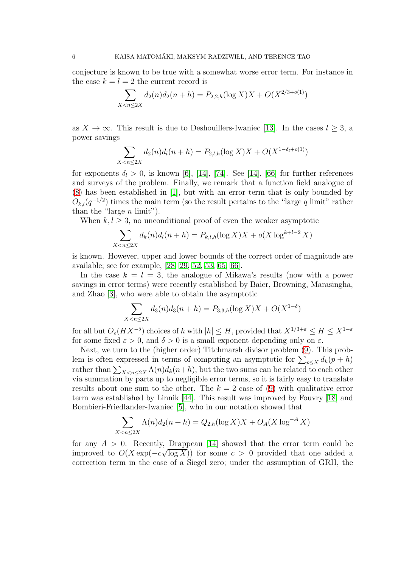conjecture is known to be true with a somewhat worse error term. For instance in the case  $k = l = 2$  the current record is

$$
\sum_{X < n \le 2X} d_2(n) d_2(n+h) = P_{2,2,h}(\log X)X + O(X^{2/3+o(1)})
$$

as  $X \to \infty$ . This result is due to Deshouillers-Iwaniec [\[13\]](#page-76-10). In the cases  $l \geq 3$ , a power savings

$$
\sum_{X < n \le 2X} d_2(n) d_l(n+h) = P_{2,l,h}(\log X)X + O(X^{1-\delta_l+o(1)})
$$

for exponents  $\delta_l > 0$ , is known [\[6\]](#page-76-12), [\[14\]](#page-76-13), [\[74\]](#page-78-12). See [14], [\[66\]](#page-78-2) for further references and surveys of the problem. Finally, we remark that a function field analogue of [\(8\)](#page-2-2) has been established in [\[1\]](#page-75-0), but with an error term that is only bounded by  $O_{k,l}(q^{-1/2})$  times the main term (so the result pertains to the "large q limit" rather than the "large  $n$  limit").

When  $k, l \geq 3$ , no unconditional proof of even the weaker asymptotic

$$
\sum_{X < n \le 2X} d_k(n) d_l(n+h) = P_{k,l,h}(\log X)X + o(X \log^{k+l-2} X)
$$

is known. However, upper and lower bounds of the correct order of magnitude are available; see for example, [\[28,](#page-77-12) [29,](#page-77-13) [52,](#page-78-13) [53,](#page-78-14) [65,](#page-78-15) [66\]](#page-78-2).

In the case  $k = l = 3$ , the analogue of Mikawa's results (now with a power savings in error terms) were recently established by Baier, Browning, Marasingha, and Zhao [\[3\]](#page-75-1), who were able to obtain the asymptotic

$$
\sum_{X < n \le 2X} d_3(n) d_3(n+h) = P_{3,3,h}(\log X)X + O(X^{1-\delta})
$$

for all but  $O_{\varepsilon}(HX^{-\delta})$  choices of h with  $|h| \leq H$ , provided that  $X^{1/3+\varepsilon} \leq H \leq X^{1-\varepsilon}$ for some fixed  $\varepsilon > 0$ , and  $\delta > 0$  is a small exponent depending only on  $\varepsilon$ .

Next, we turn to the (higher order) Titchmarsh divisor problem [\(9\)](#page-2-3). This problem is often expressed in terms of computing an asymptotic for  $\sum_{p \leq X} d_k(p+h)$ rather than  $\sum_{X \leq n \leq 2X} \Lambda(n) d_k(n+h)$ , but the two sums can be related to each other via summation by parts up to negligible error terms, so it is fairly easy to translate results about one sum to the other. The  $k = 2$  case of [\(9\)](#page-2-3) with qualitative error term was established by Linnik [\[44\]](#page-77-0). This result was improved by Fouvry [\[18\]](#page-76-14) and Bombieri-Friedlander-Iwaniec [\[5\]](#page-76-15), who in our notation showed that

$$
\sum_{X < n \le 2X} \Lambda(n) d_2(n+h) = Q_{2,h}(\log X)X + O_A(X \log^{-A} X)
$$

for any  $A > 0$ . Recently, Drappeau [\[14\]](#page-76-13) showed that the error term could be improved to  $O(X \exp(-c\sqrt{\log X}))$  for some  $c > 0$  provided that one added a correction term in the case of a Siegel zero; under the assumption of GRH, the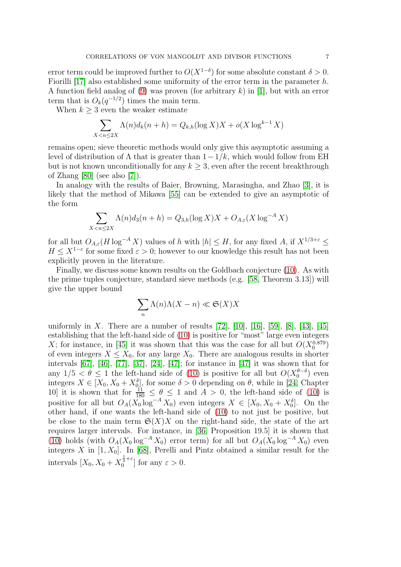error term could be improved further to  $O(X^{1-\delta})$  for some absolute constant  $\delta > 0$ . Fiorilli [\[17\]](#page-76-4) also established some uniformity of the error term in the parameter  $h$ . A function field analog of [\(9\)](#page-2-3) was proven (for arbitrary  $k$ ) in [\[1\]](#page-75-0), but with an error term that is  $O_k(q^{-1/2})$  times the main term.

When  $k \geq 3$  even the weaker estimate

$$
\sum_{X < n \le 2X} \Lambda(n) d_k(n+h) = Q_{k,h}(\log X)X + o(X \log^{k-1} X)
$$

remains open; sieve theoretic methods would only give this asymptotic assuming a level of distribution of  $\Lambda$  that is greater than  $1-\frac{1}{k}$ , which would follow from EH but is not known unconditionally for any  $k \geq 3$ , even after the recent breakthrough of Zhang [\[80\]](#page-79-1) (see also [\[7\]](#page-76-16)).

In analogy with the results of Baier, Browning, Marasingha, and Zhao [\[3\]](#page-75-1), it is likely that the method of Mikawa [\[55\]](#page-78-5) can be extended to give an asymptotic of the form

$$
\sum_{X < n \le 2X} \Lambda(n) d_3(n+h) = Q_{3,h}(\log X)X + O_{A,\varepsilon}(X \log^{-A} X)
$$

for all but  $O_{A,\varepsilon}(H \log^{-A} X)$  values of h with  $|h| \leq H$ , for any fixed A, if  $X^{1/3+\varepsilon} \leq$  $H \leq X^{1-\varepsilon}$  for some fixed  $\varepsilon > 0$ ; however to our knowledge this result has not been explicitly proven in the literature.

Finally, we discuss some known results on the Goldbach conjecture [\(10\)](#page-2-4). As with the prime tuples conjecture, standard sieve methods (e.g. [\[58,](#page-78-3) Theorem 3.13]) will give the upper bound

$$
\sum_{n} \Lambda(n)\Lambda(X - n) \ll \mathfrak{S}(X)X
$$

uniformly in X. There are a number of results  $[72]$ ,  $[10]$ ,  $[16]$ ,  $[59]$ ,  $[8]$ ,  $[43]$ ,  $[45]$ establishing that the left-hand side of [\(10\)](#page-2-4) is positive for "most" large even integers X; for instance, in [\[45\]](#page-77-15) it was shown that this was the case for all but  $O(X_0^{0.879})$ of even integers  $X \leq X_0$ , for any large  $X_0$ . There are analogous results in shorter intervals [\[67\]](#page-78-18), [\[46\]](#page-77-16), [\[77\]](#page-79-2), [\[37\]](#page-77-17), [\[24\]](#page-76-19), [\[47\]](#page-77-18); for instance in [\[47\]](#page-77-18) it was shown that for any  $1/5 < \theta \le 1$  the left-hand side of [\(10\)](#page-2-4) is positive for all but  $O(X_0^{\theta-\delta})$  even integers  $X \in [X_0, X_0 + X_0^{\delta}],$  for some  $\delta > 0$  depending on  $\theta$ , while in [\[24,](#page-76-19) Chapter 10 it is shown that for  $\frac{11}{180} \le \theta \le 1$  and  $A > 0$ , the left-hand side of [\(10\)](#page-2-4) is positive for all but  $O_A(X_0 \log^{-A} X_0)$  even integers  $X \in [X_0, X_0 + X_0^{\delta}]$ . On the other hand, if one wants the left-hand side of [\(10\)](#page-2-4) to not just be positive, but be close to the main term  $\mathfrak{S}(X)X$  on the right-hand side, the state of the art requires larger intervals. For instance, in [\[36,](#page-77-2) Proposition 19.5] it is shown that [\(10\)](#page-2-4) holds (with  $O_A(X_0 \log^{-A} X_0)$  error term) for all but  $O_A(X_0 \log^{-A} X_0)$  even integers X in  $[1, X_0]$ . In [\[68\]](#page-78-19), Perelli and Pintz obtained a similar result for the intervals  $[X_0, X_0 + X_0^{\frac{1}{3} + \varepsilon}]$  for any  $\varepsilon > 0$ .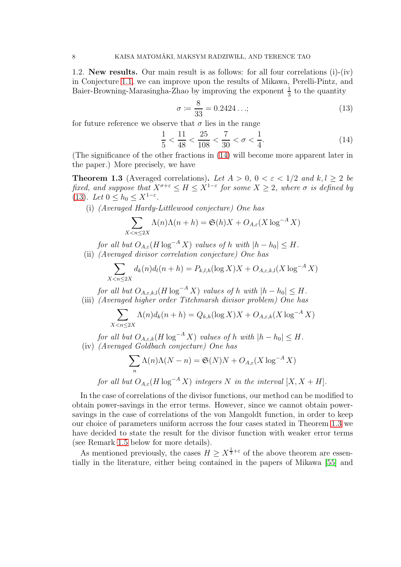1.2. New results. Our main result is as follows: for all four correlations (i)-(iv) in Conjecture [1.1,](#page-1-6) we can improve upon the results of Mikawa, Perelli-Pintz, and Baier-Browning-Marasingha-Zhao by improving the exponent  $\frac{1}{3}$  to the quantity

<span id="page-7-1"></span>
$$
\sigma := \frac{8}{33} = 0.2424\ldots;
$$
\n(13)

for future reference we observe that  $\sigma$  lies in the range

<span id="page-7-0"></span>
$$
\frac{1}{5} < \frac{11}{48} < \frac{25}{108} < \frac{7}{30} < \sigma < \frac{1}{4}.\tag{14}
$$

(The significance of the other fractions in [\(14\)](#page-7-0) will become more apparent later in the paper.) More precisely, we have

<span id="page-7-2"></span>**Theorem 1.3** (Averaged correlations). Let  $A > 0$ ,  $0 < \varepsilon < 1/2$  and  $k, l \ge 2$  be fixed, and suppose that  $X^{\sigma+\varepsilon} \leq H \leq X^{1-\varepsilon}$  for some  $X \geq 2$ , where  $\sigma$  is defined by [\(13\)](#page-7-1). Let  $0 \leq h_0 \leq X^{1-\varepsilon}$ .

(i) (Averaged Hardy-Littlewood conjecture) One has

$$
\sum_{X < n \le 2X} \Lambda(n)\Lambda(n+h) = \mathfrak{S}(h)X + O_{A,\varepsilon}(X\log^{-A}X)
$$

for all but  $O_{A,\varepsilon}(H \log^{-A} X)$  values of h with  $|h - h_0| \leq H$ .

(ii) (Averaged divisor correlation conjecture) One has

 $\overline{X}$ 

$$
\sum_{X < n \le 2X} d_k(n) d_l(n+h) = P_{k,l,h}(\log X)X + O_{A,\varepsilon,k,l}(X \log^{-A} X)
$$

for all but  $O_{A,\varepsilon,k,l}(H \log^{-A} X)$  values of h with  $|h - h_0| \leq H$ . (iii) (Averaged higher order Titchmarsh divisor problem) One has

$$
\sum_{n\leq 2X} \Lambda(n) d_k(n+h) = Q_{k,h}(\log X)X + O_{A,\varepsilon,k}(X \log^{-A} X)
$$

for all but  $O_{A,\varepsilon,k}(H \log^{-A} X)$  values of h with  $|h - h_0| \leq H$ . (iv) (Averaged Goldbach conjecture) One has

$$
\sum_{n} \Lambda(n) \Lambda(N - n) = \mathfrak{S}(N)N + O_{A,\varepsilon}(X \log^{-A} X)
$$

for all but  $O_{A,\varepsilon}(H \log^{-A} X)$  integers N in the interval  $[X, X + H]$ .

In the case of correlations of the divisor functions, our method can be modified to obtain power-savings in the error terms. However, since we cannot obtain powersavings in the case of correlations of the von Mangoldt function, in order to keep our choice of parameters uniform accross the four cases stated in Theorem [1.3](#page-7-2) we have decided to state the result for the divisor function with weaker error terms (see Remark [1.5](#page-12-1) below for more details).

As mentioned previously, the cases  $H \geq X^{\frac{1}{3}+\varepsilon}$  of the above theorem are essentially in the literature, either being contained in the papers of Mikawa [\[55\]](#page-78-5) and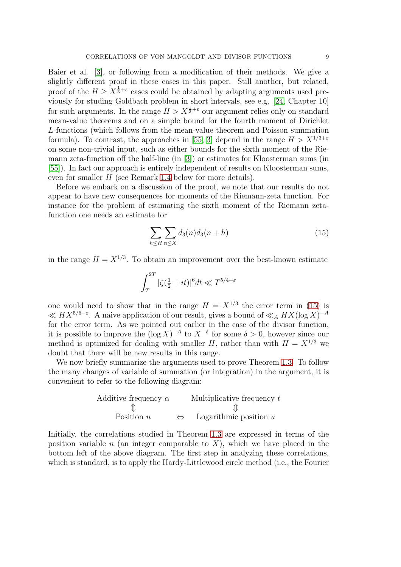Baier et al. [\[3\]](#page-75-1), or following from a modification of their methods. We give a slightly different proof in these cases in this paper. Still another, but related, proof of the  $H \ge X^{\frac{1}{3}+\varepsilon}$  cases could be obtained by adapting arguments used previously for studing Goldbach problem in short intervals, see e.g. [\[24,](#page-76-19) Chapter 10] for such arguments. In the range  $H > X^{\frac{1}{3}+\varepsilon}$  our argument relies only on standard mean-value theorems and on a simple bound for the fourth moment of Dirichlet L-functions (which follows from the mean-value theorem and Poisson summation formula). To contrast, the approaches in [\[55,](#page-78-5) [3\]](#page-75-1) depend in the range  $H > X^{1/3+\varepsilon}$ on some non-trivial input, such as either bounds for the sixth moment of the Riemann zeta-function off the half-line (in [\[3\]](#page-75-1)) or estimates for Kloosterman sums (in [\[55\]](#page-78-5)). In fact our approach is entirely independent of results on Kloosterman sums, even for smaller H (see Remark [1.4](#page-12-2) below for more details).

Before we embark on a discussion of the proof, we note that our results do not appear to have new consequences for moments of the Riemann-zeta function. For instance for the problem of estimating the sixth moment of the Riemann zetafunction one needs an estimate for

<span id="page-8-0"></span>
$$
\sum_{h\leq H} \sum_{n\leq X} d_3(n) d_3(n+h) \tag{15}
$$

in the range  $H = X^{1/3}$ . To obtain an improvement over the best-known estimate

$$
\int_T^{2T} |\zeta(\tfrac 12+it)|^6 dt \ll T^{5/4+\varepsilon}
$$

one would need to show that in the range  $H = X^{1/3}$  the error term in [\(15\)](#page-8-0) is  $\ll HX^{5/6-\varepsilon}$ . A naive application of our result, gives a bound of  $\ll_A HX(\log X)^{-A}$ for the error term. As we pointed out earlier in the case of the divisor function, it is possible to improve the  $(\log X)^{-A}$  to  $X^{-\delta}$  for some  $\delta > 0$ , however since our method is optimized for dealing with smaller H, rather than with  $H = X^{1/3}$  we doubt that there will be new results in this range.

We now briefly summarize the arguments used to prove Theorem [1.3.](#page-7-2) To follow the many changes of variable of summation (or integration) in the argument, it is convenient to refer to the following diagram:

Additive frequency 
$$
\alpha
$$
 Multiplicative frequency  $t$   
\n $\updownarrow$   $\updownarrow$   
\nPosition  $n \Leftrightarrow$  Logarithmic position  $u$ 

Initially, the correlations studied in Theorem [1.3](#page-7-2) are expressed in terms of the position variable n (an integer comparable to X), which we have placed in the bottom left of the above diagram. The first step in analyzing these correlations, which is standard, is to apply the Hardy-Littlewood circle method (i.e., the Fourier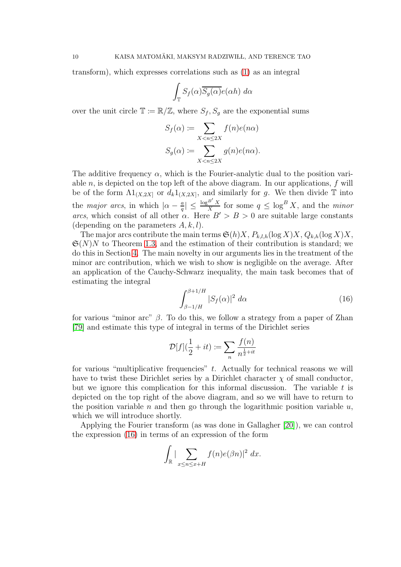transform), which expresses correlations such as [\(1\)](#page-0-0) as an integral

$$
\int_{\mathbb{T}} S_f(\alpha) \overline{S_g(\alpha)} e(\alpha h) \ d\alpha
$$

over the unit circle  $\mathbb{T} := \mathbb{R}/\mathbb{Z}$ , where  $S_f, S_g$  are the exponential sums

$$
S_f(\alpha) := \sum_{X < n \le 2X} f(n)e(n\alpha)
$$
\n
$$
S_g(\alpha) := \sum_{X < n \le 2X} g(n)e(n\alpha).
$$

The additive frequency  $\alpha$ , which is the Fourier-analytic dual to the position variable  $n$ , is depicted on the top left of the above diagram. In our applications,  $f$  will be of the form  $\Lambda 1_{(X,2X]}$  or  $d_k 1_{(X,2X]}$ , and similarly for g. We then divide T into the *major arcs*, in which  $|\alpha - \frac{a}{q}|$  $\left| \frac{a}{q} \right| \leq \frac{\log^{B'} X}{X}$  $\frac{d}{dX}$  for some  $q \leq \log^B X$ , and the *minor* arcs, which consist of all other  $\alpha$ . Here  $B' > B > 0$  are suitable large constants (depending on the parameters  $A, k, l$ ).

The major arcs contribute the main terms  $\mathfrak{S}(h)X$ ,  $P_{k,l,h}(\log X)X$ ,  $Q_{k,h}(\log X)X$ ,  $\mathfrak{S}(N)N$  to Theorem [1.3,](#page-7-2) and the estimation of their contribution is standard; we do this in Section [4.](#page-35-0) The main novelty in our arguments lies in the treatment of the minor arc contribution, which we wish to show is negligible on the average. After an application of the Cauchy-Schwarz inequality, the main task becomes that of estimating the integral

<span id="page-9-0"></span>
$$
\int_{\beta-1/H}^{\beta+1/H} |S_f(\alpha)|^2 d\alpha \tag{16}
$$

for various "minor arc"  $\beta$ . To do this, we follow a strategy from a paper of Zhan [\[79\]](#page-79-3) and estimate this type of integral in terms of the Dirichlet series

$$
\mathcal{D}[f](\frac{1}{2}+it) := \sum_{n} \frac{f(n)}{n^{\frac{1}{2}+it}}
$$

for various "multiplicative frequencies"  $t$ . Actually for technical reasons we will have to twist these Dirichlet series by a Dirichlet character  $\chi$  of small conductor, but we ignore this complication for this informal discussion. The variable  $t$  is depicted on the top right of the above diagram, and so we will have to return to the position variable n and then go through the logarithmic position variable  $u$ , which we will introduce shortly.

Applying the Fourier transform (as was done in Gallagher [\[20\]](#page-76-20)), we can control the expression [\(16\)](#page-9-0) in terms of an expression of the form

$$
\int_{\mathbb{R}} |\sum_{x \le n \le x+H} f(n)e(\beta n)|^2 dx.
$$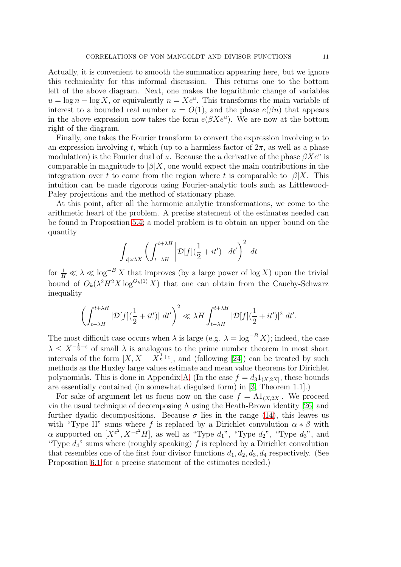Actually, it is convenient to smooth the summation appearing here, but we ignore this technicality for this informal discussion. This returns one to the bottom left of the above diagram. Next, one makes the logarithmic change of variables  $u = \log n - \log X$ , or equivalently  $n = Xe^u$ . This transforms the main variable of interest to a bounded real number  $u = O(1)$ , and the phase  $e(\beta n)$  that appears in the above expression now takes the form  $e(\beta Xe^u)$ . We are now at the bottom right of the diagram.

Finally, one takes the Fourier transform to convert the expression involving  $u$  to an expression involving t, which (up to a harmless factor of  $2\pi$ , as well as a phase modulation) is the Fourier dual of u. Because the u derivative of the phase  $\beta Xe^u$  is comparable in magnitude to  $\beta|X$ , one would expect the main contributions in the integration over t to come from the region where t is comparable to  $|\beta|X$ . This intuition can be made rigorous using Fourier-analytic tools such as Littlewood-Paley projections and the method of stationary phase.

At this point, after all the harmonic analytic transformations, we come to the arithmetic heart of the problem. A precise statement of the estimates needed can be found in Proposition [5.4;](#page-53-0) a model problem is to obtain an upper bound on the quantity

$$
\int_{|t| \asymp \lambda X} \left( \int_{t-\lambda H}^{t+\lambda H} \left| \mathcal{D}[f](\frac{1}{2} + it') \right| dt' \right)^2 dt
$$

for  $\frac{1}{H} \ll \lambda \ll \log^{-B} X$  that improves (by a large power of  $\log X$ ) upon the trivial bound of  $O_k(\lambda^2 H^2 X \log^{O_k(1)} X)$  that one can obtain from the Cauchy-Schwarz inequality

$$
\left(\int_{t-\lambda H}^{t+\lambda H} |\mathcal{D}[f](\frac{1}{2}+it')| \, dt'\right)^2 \ll \lambda H \int_{t-\lambda H}^{t+\lambda H} |\mathcal{D}[f](\frac{1}{2}+it')|^2 \, dt'.
$$

The most difficult case occurs when  $\lambda$  is large (e.g.  $\lambda = \log^{-B} X$ ); indeed, the case  $\lambda \leq X^{-\frac{1}{6}-\varepsilon}$  of small  $\lambda$  is analogous to the prime number theorem in most short intervals of the form  $[X, X + X^{\frac{1}{6} + \epsilon}],$  and (following [\[24\]](#page-76-19)) can be treated by such methods as the Huxley large values estimate and mean value theorems for Dirichlet polynomials. This is done in Appendix [A.](#page-72-0) (In the case  $f = d_3 1_{(X, 2X]}$ , these bounds are essentially contained (in somewhat disguised form) in [\[3,](#page-75-1) Theorem 1.1].)

For sake of argument let us focus now on the case  $f = \Lambda 1_{(X, 2X]}$ . We proceed via the usual technique of decomposing  $\Lambda$  using the Heath-Brown identity [\[26\]](#page-76-0) and further dyadic decompositions. Because  $\sigma$  lies in the range [\(14\)](#page-7-0), this leaves us with "Type II" sums where f is replaced by a Dirichlet convolution  $\alpha * \beta$  with  $\alpha$  supported on  $[X^{\varepsilon^2}, X^{-\varepsilon^2}H]$ , as well as "Type  $d_1$ ", "Type  $d_2$ ", "Type  $d_3$ ", and "Type  $d_4$ " sums where (roughly speaking) f is replaced by a Dirichlet convolution that resembles one of the first four divisor functions  $d_1, d_2, d_3, d_4$  respectively. (See Proposition [6.1](#page-57-0) for a precise statement of the estimates needed.)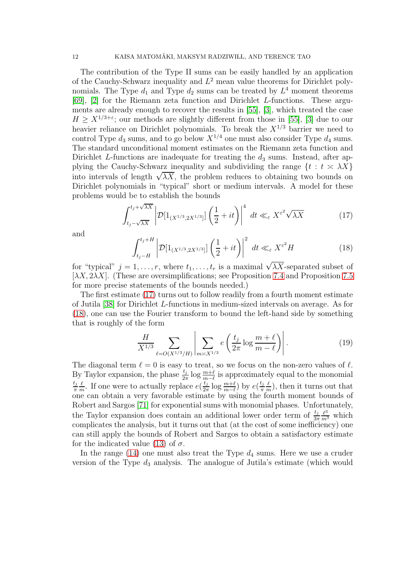The contribution of the Type II sums can be easily handled by an application of the Cauchy-Schwarz inequality and  $L^2$  mean value theorems for Dirichlet polynomials. The Type  $d_1$  and Type  $d_2$  sums can be treated by  $L^4$  moment theorems [\[69\]](#page-78-20), [\[2\]](#page-75-2) for the Riemann zeta function and Dirichlet L-functions. These arguments are already enough to recover the results in [\[55\]](#page-78-5), [\[3\]](#page-75-1), which treated the case  $H \geq X^{1/3+\epsilon}$ ; our methods are slightly different from those in [\[55\]](#page-78-5), [\[3\]](#page-75-1) due to our heavier reliance on Dirichlet polynomials. To break the  $X^{1/3}$  barrier we need to control Type  $d_3$  sums, and to go below  $X^{1/4}$  one must also consider Type  $d_4$  sums. The standard unconditional moment estimates on the Riemann zeta function and Dirichlet L-functions are inadequate for treating the  $d_3$  sums. Instead, after applying the Cauchy-Schwarz inequality and subdividing the range  $\{t : t \ge \lambda X\}$ into intervals of length  $\sqrt{\lambda X}$ , the problem reduces to obtaining two bounds on Dirichlet polynomials in "typical" short or medium intervals. A model for these problems would be to establish the bounds

<span id="page-11-0"></span>
$$
\int_{t_j - \sqrt{\lambda X}}^{t_j + \sqrt{\lambda X}} \left| \mathcal{D}[\mathbf{1}_{(X^{1/3}, 2X^{1/3}]}] \left( \frac{1}{2} + it \right) \right|^4 dt \ll_{\varepsilon} X^{\varepsilon^2} \sqrt{\lambda X}
$$
 (17)

and

<span id="page-11-1"></span>
$$
\int_{t_j-H}^{t_j+H} \left| \mathcal{D}[1_{(X^{1/3},2X^{1/3}]}] \left(\frac{1}{2} + it\right) \right|^2 dt \ll_{\varepsilon} X^{\varepsilon^2} H
$$
 (18)

for "typical"  $j = 1, \ldots, r$ , where  $t_1, \ldots, t_r$  is a maximal  $\sqrt{\lambda X}$ -separated subset of [ $\lambda X$ ,  $2\lambda X$ ]. (These are oversimplifications; see Proposition [7.4](#page-64-0) and Proposition [7.5](#page-65-0) for more precise statements of the bounds needed.)

The first estimate [\(17\)](#page-11-0) turns out to follow readily from a fourth moment estimate of Jutila [\[38\]](#page-77-19) for Dirichlet L-functions in medium-sized intervals on average. As for [\(18\)](#page-11-1), one can use the Fourier transform to bound the left-hand side by something that is roughly of the form

<span id="page-11-2"></span>
$$
\frac{H}{X^{1/3}} \sum_{\ell=O(X^{1/3}/H)} \left| \sum_{m \asymp X^{1/3}} e\left(\frac{t_j}{2\pi} \log \frac{m+\ell}{m-\ell}\right) \right|.
$$
 (19)

The diagonal term  $\ell = 0$  is easy to treat, so we focus on the non-zero values of  $\ell$ . By Taylor expansion, the phase  $\frac{t_j}{2\pi} \log \frac{m+\ell}{m-\ell}$  is approximately equal to the monomial  $t_j$ π  $\ell$  $\frac{\ell}{m}$ . If one were to actually replace  $e(\frac{t_j}{2\pi})$  $\frac{t_j}{2\pi} \log \frac{m+\ell}{m-\ell}$ ) by  $e(\frac{t_j}{\pi})$ π  $\ell$  $\frac{\ell}{m}$ , then it turns out that one can obtain a very favorable estimate by using the fourth moment bounds of Robert and Sargos [\[71\]](#page-78-21) for exponential sums with monomial phases. Unfortunately, the Taylor expansion does contain an additional lower order term of  $\frac{t_j}{3\pi} \frac{\ell^3}{m^3}$  which complicates the analysis, but it turns out that (at the cost of some inefficiency) one can still apply the bounds of Robert and Sargos to obtain a satisfactory estimate for the indicated value [\(13\)](#page-7-1) of  $\sigma$ .

In the range  $(14)$  one must also treat the Type  $d_4$  sums. Here we use a cruder version of the Type  $d_3$  analysis. The analogue of Jutila's estimate (which would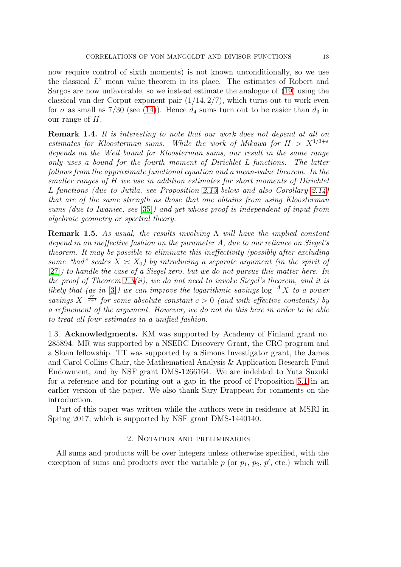now require control of sixth moments) is not known unconditionally, so we use the classical  $L^2$  mean value theorem in its place. The estimates of Robert and Sargos are now unfavorable, so we instead estimate the analogue of [\(19\)](#page-11-2) using the classical van der Corput exponent pair  $(1/14, 2/7)$ , which turns out to work even for  $\sigma$  as small as 7/30 (see [\(14\)](#page-7-0)). Hence  $d_4$  sums turn out to be easier than  $d_3$  in our range of  $H$ .

<span id="page-12-2"></span>Remark 1.4. It is interesting to note that our work does not depend at all on estimates for Kloosterman sums. While the work of Mikawa for  $H > X^{1/3+\epsilon}$ depends on the Weil bound for Kloosterman sums, our result in the same range only uses a bound for the fourth moment of Dirichlet L-functions. The latter follows from the approximate functional equation and a mean-value theorem. In the smaller ranges of H we use in addition estimates for short moments of Dirichlet L-functions (due to Jutila, see Proposition [2.13](#page-23-0) below and also Corollary [2.14\)](#page-23-1) that are of the same strength as those that one obtains from using Kloosterman sums (due to Iwaniec, see [\[35\]](#page-77-20)) and yet whose proof is independent of input from algebraic geometry or spectral theory.

<span id="page-12-1"></span>**Remark 1.5.** As usual, the results involving  $\Lambda$  will have the implied constant depend in an ineffective fashion on the parameter A, due to our reliance on Siegel's theorem. It may be possible to eliminate this ineffectivity (possibly after excluding some "bad" scales  $X \cong X_0$ ) by introducing a separate argument (in the spirit of [\[27\]](#page-77-21)) to handle the case of a Siegel zero, but we do not pursue this matter here. In the proof of Theorem [1.3\(](#page-7-2)ii), we do not need to invoke Siegel's theorem, and it is likely that (as in [\[3\]](#page-75-1)) we can improve the logarithmic savings  $\log^{-A} X$  to a power savings  $X^{-\frac{cs}{k+l}}$  for some absolute constant  $c > 0$  (and with effective constants) by a refinement of the argument. However, we do not do this here in order to be able to treat all four estimates in a unified fashion.

1.3. Acknowledgments. KM was supported by Academy of Finland grant no. 285894. MR was supported by a NSERC Discovery Grant, the CRC program and a Sloan fellowship. TT was supported by a Simons Investigator grant, the James and Carol Collins Chair, the Mathematical Analysis & Application Research Fund Endowment, and by NSF grant DMS-1266164. We are indebted to Yuta Suzuki for a reference and for pointing out a gap in the proof of Proposition [5.1](#page-40-0) in an earlier version of the paper. We also thank Sary Drappeau for comments on the introduction.

<span id="page-12-0"></span>Part of this paper was written while the authors were in residence at MSRI in Spring 2017, which is supported by NSF grant DMS-1440140.

### 2. Notation and preliminaries

All sums and products will be over integers unless otherwise specified, with the exception of sums and products over the variable  $p$  (or  $p_1, p_2, p'$ , etc.) which will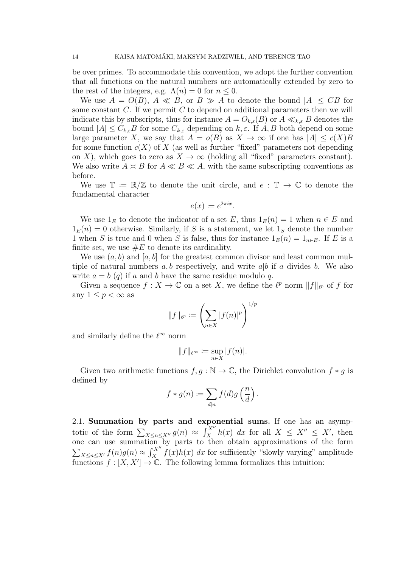be over primes. To accommodate this convention, we adopt the further convention that all functions on the natural numbers are automatically extended by zero to the rest of the integers, e.g.  $\Lambda(n) = 0$  for  $n \leq 0$ .

We use  $A = O(B)$ ,  $A \ll B$ , or  $B \gg A$  to denote the bound  $|A| \leq CB$  for some constant  $C$ . If we permit  $C$  to depend on additional parameters then we will indicate this by subscripts, thus for instance  $A = O_{k,\varepsilon}(B)$  or  $A \ll_{k,\varepsilon} B$  denotes the bound  $|A| \leq C_{k,\varepsilon}B$  for some  $C_{k,\varepsilon}$  depending on  $k,\varepsilon$ . If  $A, B$  both depend on some large parameter X, we say that  $A = o(B)$  as  $X \to \infty$  if one has  $|A| \le c(X)B$ for some function  $c(X)$  of X (as well as further "fixed" parameters not depending on X), which goes to zero as  $X \to \infty$  (holding all "fixed" parameters constant). We also write  $A \times B$  for  $A \ll B \ll A$ , with the same subscripting conventions as before.

We use  $\mathbb{T} := \mathbb{R}/\mathbb{Z}$  to denote the unit circle, and  $e : \mathbb{T} \to \mathbb{C}$  to denote the fundamental character

$$
e(x) \coloneqq e^{2\pi ix}.
$$

We use  $1_E$  to denote the indicator of a set E, thus  $1_E(n) = 1$  when  $n \in E$  and  $1_E(n) = 0$  otherwise. Similarly, if S is a statement, we let  $1_S$  denote the number 1 when S is true and 0 when S is false, thus for instance  $1_E(n) = 1_{n \in E}$ . If E is a finite set, we use  $\#E$  to denote its cardinality.

We use  $(a, b)$  and  $[a, b]$  for the greatest common divisor and least common multiple of natural numbers  $a, b$  respectively, and write  $a|b$  if a divides b. We also write  $a = b$  (q) if a and b have the same residue modulo q.

Given a sequence  $f: X \to \mathbb{C}$  on a set X, we define the  $\ell^p$  norm  $||f||_{\ell^p}$  of f for any  $1 \leq p < \infty$  as

$$
||f||_{\ell^p} := \left(\sum_{n \in X} |f(n)|^p\right)^{1/p}
$$

and similarly define the  $\ell^{\infty}$  norm

$$
||f||_{\ell^\infty} \coloneqq \sup_{n \in X} |f(n)|.
$$

Given two arithmetic functions  $f, g : \mathbb{N} \to \mathbb{C}$ , the Dirichlet convolution  $f * g$  is defined by

$$
f * g(n) := \sum_{d|n} f(d)g\left(\frac{n}{d}\right).
$$

2.1. Summation by parts and exponential sums. If one has an asymptotic of the form  $\sum_{X \leq n \leq X''} g(n) \approx \int_{X}^{X''} h(x) dx$  for all  $X \leq X'' \leq X'$ , then one can use summation by parts to then obtain approximations of the form  $\sum_{X \leq n \leq X'} f(n)g(n) \approx \int_{X}^{X''} f(x)h(x) dx$  for sufficiently "slowly varying" amplitude functions  $f : [X, X'] \to \mathbb{C}$ . The following lemma formalizes this intuition: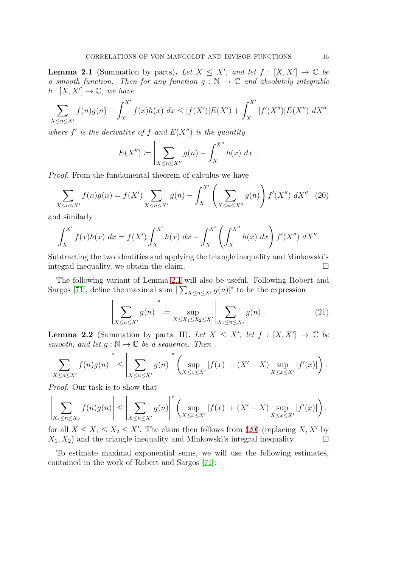<span id="page-14-0"></span>**Lemma 2.1** (Summation by parts). Let  $X \leq X'$ , and let  $f : [X, X'] \to \mathbb{C}$  be a smooth function. Then for any function  $g : \mathbb{N} \to \mathbb{C}$  and absolutely integrable  $h: [X, X'] \to \mathbb{C}$ , we have

$$
\sum_{X \le n \le X'} f(n)g(n) - \int_{X}^{X'} f(x)h(x) \ dx \le |f(X')|E(X') + \int_{X}^{X'} |f'(X'')|E(X'') \ dx''
$$

where  $f'$  is the derivative of  $f$  and  $E(X'')$  is the quantity

$$
E(X'') := \left| \sum_{X \leq n \leq X''} g(n) - \int_{X}^{X''} h(x) \, dx \right|.
$$

Proof. From the fundamental theorem of calculus we have

<span id="page-14-1"></span>
$$
\sum_{X \le n \le X'} f(n)g(n) = f(X') \sum_{X \le n \le X'} g(n) - \int_X^{X'} \left( \sum_{X \le n \le X''} g(n) \right) f'(X'') dX'' \tag{20}
$$

and similarly

$$
\int_{X}^{X'} f(x)h(x) \ dx = f(X') \int_{X}^{X'} h(x) \ dx - \int_{X}^{X'} \left( \int_{X}^{X''} h(x) \ dx \right) f'(X'') \ dX''.
$$

Subtracting the two identities and applying the triangle inequality and Minkowski's integral inequality, we obtain the claim.

The following variant of Lemma [2.1](#page-14-0) will also be useful. Following Robert and Sargos [\[71\]](#page-78-21), define the maximal sum  $\sum_{X \leq n \leq X'} g(n) \vert^*$  to be the expression

$$
\left| \sum_{X \le n \le X'} g(n) \right|^* := \sup_{X \le X_1 \le X_2 \le X'} \left| \sum_{X_1 \le n \le X_2} g(n) \right|.
$$
 (21)

<span id="page-14-2"></span>**Lemma 2.2** (Summation by parts, II). Let  $X \leq X'$ , let  $f : [X, X'] \to \mathbb{C}$  be smooth, and let  $g : \mathbb{N} \to \mathbb{C}$  be a sequence. Then

$$
\left| \sum_{X \le n \le X'} f(n)g(n) \right|^* \le \left| \sum_{X \le n \le X'} g(n) \right|^* \left( \sup_{X \le x \le X'} |f(x)| + (X' - X) \sup_{X \le x \le X'} |f'(x)| \right).
$$

Proof. Our task is to show that

$$
\left| \sum_{X_1 \le n \le X_2} f(n)g(n) \right| \le \left| \sum_{X \le n \le X'} g(n) \right|^* \left( \sup_{X \le x \le X'} |f(x)| + (X' - X) \sup_{X \le x \le X'} |f'(x)| \right).
$$

for all  $X \leq X_1 \leq X_2 \leq X'$ . The claim then follows from [\(20\)](#page-14-1) (replacing  $X, X'$  by  $X_1, X_2$  and the triangle inequality and Minkowski's integral inequality.  $\Box$ 

To estimate maximal exponential sums, we will use the following estimates, contained in the work of Robert and Sargos [\[71\]](#page-78-21):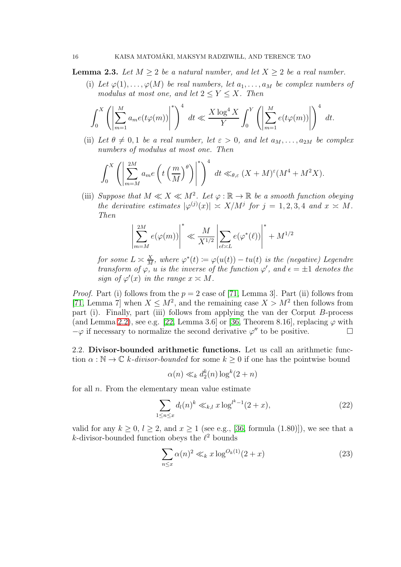**Lemma 2.3.** Let  $M > 2$  be a natural number, and let  $X > 2$  be a real number.

(i) Let  $\varphi(1), \ldots, \varphi(M)$  be real numbers, let  $a_1, \ldots, a_M$  be complex numbers of modulus at most one, and let  $2 \le Y \le X$ . Then

$$
\int_0^X \left( \left| \sum_{m=1}^M a_m e(t\varphi(m)) \right|^* \right)^4 dt \ll \frac{X \log^4 X}{Y} \int_0^Y \left( \left| \sum_{m=1}^M e(t\varphi(m)) \right| \right)^4 dt.
$$

(ii) Let  $\theta \neq 0, 1$  be a real number, let  $\varepsilon > 0$ , and let  $a_M, \ldots, a_{2M}$  be complex numbers of modulus at most one. Then

$$
\int_0^X \left( \left| \sum_{m=M}^{2M} a_m e\left( t \left( \frac{m}{M} \right)^{\theta} \right) \right|^* \right)^4 dt \ll_{\theta, \varepsilon} (X+M)^{\varepsilon} (M^4+M^2X).
$$

(iii) Suppose that  $M \ll X \ll M^2$ . Let  $\varphi : \mathbb{R} \to \mathbb{R}$  be a smooth function obeying the derivative estimates  $|\varphi^{(j)}(x)| \asymp X/M^j$  for  $j = 1, 2, 3, 4$  and  $x \asymp M$ . Then

$$
\left| \sum_{m=M}^{2M} e(\varphi(m)) \right|^* \ll \frac{M}{X^{1/2}} \left| \sum_{\ell \ell \asymp L} e(\varphi^*(\ell)) \right|^* + M^{1/2}
$$

for some  $L \simeq \frac{X}{M}$  $\frac{X}{M}$ , where  $\varphi^*(t) := \varphi(u(t)) - tu(t)$  is the (negative) Legendre transform of  $\varphi$ , u is the inverse of the function  $\varphi'$ , and  $\epsilon = \pm 1$  denotes the sign of  $\varphi'(x)$  in the range  $x \asymp M$ .

*Proof.* Part (i) follows from the  $p = 2$  case of [\[71,](#page-78-21) Lemma 3]. Part (ii) follows from [\[71,](#page-78-21) Lemma 7] when  $X \leq M^2$ , and the remaining case  $X > M^2$  then follows from part (i). Finally, part (iii) follows from applying the van der Corput B-process (and Lemma [2.2\)](#page-14-2), see e.g. [\[22,](#page-76-21) Lemma 3.6] or [\[36,](#page-77-2) Theorem 8.16], replacing  $\varphi$  with  $-\varphi$  if necessary to normalize the second derivative  $\varphi''$  to be positive.

2.2. Divisor-bounded arithmetic functions. Let us call an arithmetic function  $\alpha : \mathbb{N} \to \mathbb{C}$  k-divisor-bounded for some  $k \geq 0$  if one has the pointwise bound

$$
\alpha(n) \ll_k d_2^k(n) \log^k(2+n)
$$

for all  $n$ . From the elementary mean value estimate

<span id="page-15-1"></span>
$$
\sum_{1 \le n \le x} d_l(n)^k \ll_{k,l} x \log^{l^k - 1}(2 + x),\tag{22}
$$

valid for any  $k \geq 0$ ,  $l \geq 2$ , and  $x \geq 1$  (see e.g., [\[36,](#page-77-2) formula (1.80)]), we see that a  $k$ -divisor-bounded function obeys the  $\ell^2$  bounds

<span id="page-15-0"></span>
$$
\sum_{n \le x} \alpha(n)^2 \ll_k x \log^{O_k(1)}(2+x) \tag{23}
$$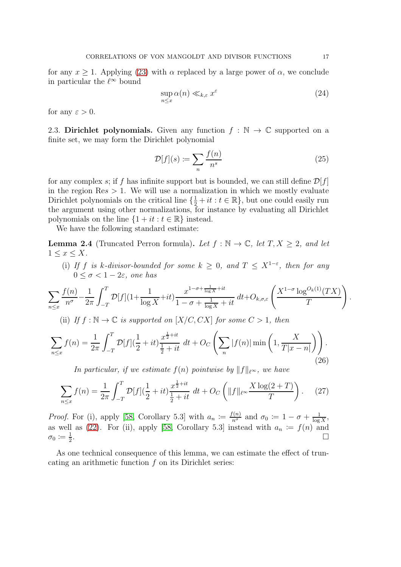for any  $x \ge 1$ . Applying [\(23\)](#page-15-0) with  $\alpha$  replaced by a large power of  $\alpha$ , we conclude in particular the  $\ell^{\infty}$  bound

<span id="page-16-1"></span>
$$
\sup_{n \le x} \alpha(n) \ll_{k,\varepsilon} x^{\varepsilon} \tag{24}
$$

for any  $\varepsilon > 0$ .

2.3. Dirichlet polynomials. Given any function  $f : \mathbb{N} \to \mathbb{C}$  supported on a finite set, we may form the Dirichlet polynomial

$$
\mathcal{D}[f](s) \coloneqq \sum_{n} \frac{f(n)}{n^s} \tag{25}
$$

for any complex s; if f has infinite support but is bounded, we can still define  $\mathcal{D}[f]$ in the region  $\text{Res} > 1$ . We will use a normalization in which we mostly evaluate Dirichlet polynomials on the critical line  $\{\frac{1}{2} + it : t \in \mathbb{R}\}$ , but one could easily run the argument using other normalizations, for instance by evaluating all Dirichlet polynomials on the line  $\{1 + it : t \in \mathbb{R}\}\$ instead.

We have the following standard estimate:

<span id="page-16-0"></span>**Lemma 2.4** (Truncated Perron formula). Let  $f : \mathbb{N} \to \mathbb{C}$ , let  $T, X \geq 2$ , and let  $1 \leq x \leq X$ .

(i) If f is k-divisor-bounded for some  $k \geq 0$ , and  $T \leq X^{1-\epsilon}$ , then for any  $0 \leq \sigma < 1-2\varepsilon$ , one has

$$
\sum_{n\leq x} \frac{f(n)}{n^{\sigma}} - \frac{1}{2\pi} \int_{-T}^{T} \mathcal{D}[f](1 + \frac{1}{\log X} + it) \frac{x^{1-\sigma + \frac{1}{\log X} + it}}{1 - \sigma + \frac{1}{\log X} + it} dt + O_{k,\sigma,\varepsilon} \left( \frac{X^{1-\sigma} \log^{O_k(1)}(TX)}{T} \right).
$$

(ii) If  $f : \mathbb{N} \to \mathbb{C}$  is supported on  $[X/C, CX]$  for some  $C > 1$ , then

$$
\sum_{n \le x} f(n) = \frac{1}{2\pi} \int_{-T}^{T} \mathcal{D}[f](\frac{1}{2} + it) \frac{x^{\frac{1}{2} + it}}{\frac{1}{2} + it} dt + O_C\left(\sum_{n} |f(n)| \min\left(1, \frac{X}{T|x - n|}\right)\right).
$$
\n(26)

In particular, if we estimate  $f(n)$  pointwise by  $||f||_{\ell^{\infty}}$ , we have

$$
\sum_{n \le x} f(n) = \frac{1}{2\pi} \int_{-T}^{T} \mathcal{D}[f](\frac{1}{2} + it) \frac{x^{\frac{1}{2} + it}}{\frac{1}{2} + it} dt + O_C\left(\|f\|_{\ell^\infty} \frac{X \log(2 + T)}{T}\right). \tag{27}
$$

*Proof.* For (i), apply [\[58,](#page-78-3) Corollary 5.3] with  $a_n := \frac{f(n)}{n^{\sigma}}$  and  $\sigma_0 := 1 - \sigma + \frac{1}{\log n}$  $\frac{1}{\log X},$ as well as [\(22\)](#page-15-1). For (ii), apply [\[58,](#page-78-3) Corollary 5.3] instead with  $a_n := f(n)$  and  $\sigma_0 \coloneqq \frac{1}{2}$ 2 .

As one technical consequence of this lemma, we can estimate the effect of truncating an arithmetic function f on its Dirichlet series: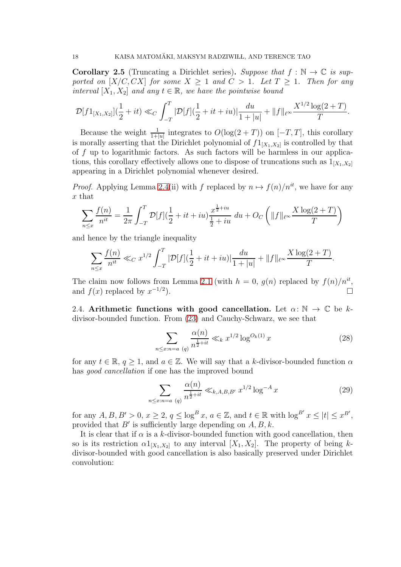<span id="page-17-0"></span>**Corollary 2.5** (Truncating a Dirichlet series). Suppose that  $f : \mathbb{N} \to \mathbb{C}$  is supported on  $[X/C, CX]$  for some  $X \geq 1$  and  $C > 1$ . Let  $T \geq 1$ . Then for any interval  $[X_1, X_2]$  and any  $t \in \mathbb{R}$ , we have the pointwise bound

$$
\mathcal{D}[f1_{[X_1,X_2]}](\frac{1}{2}+it) \ll_C \int_{-T}^{T} |\mathcal{D}[f](\frac{1}{2}+it+iu)|\frac{du}{1+|u|} + ||f||_{\ell^{\infty}} \frac{X^{1/2}\log(2+T)}{T}.
$$

Because the weight  $\frac{1}{1+|u|}$  integrates to  $O(\log(2+T))$  on  $[-T, T]$ , this corollary is morally asserting that the Dirichlet polynomial of  $f1_{[X_1,X_2]}$  is controlled by that of  $f$  up to logarithmic factors. As such factors will be harmless in our applications, this corollary effectively allows one to dispose of truncations such as  $1_{[X_1,X_2]}$ appearing in a Dirichlet polynomial whenever desired.

*Proof.* Applying Lemma [2.4\(](#page-16-0)ii) with f replaced by  $n \mapsto f(n)/n^{it}$ , we have for any x that

$$
\sum_{n \le x} \frac{f(n)}{n^{it}} = \frac{1}{2\pi} \int_{-T}^{T} \mathcal{D}[f](\frac{1}{2} + it + iu) \frac{x^{\frac{1}{2}+iu}}{\frac{1}{2}+iu} du + O_C\left(\|f\|_{\ell^\infty} \frac{X \log(2+T)}{T}\right)
$$

and hence by the triangle inequality

$$
\sum_{n \le x} \frac{f(n)}{n^{it}} \ll_C x^{1/2} \int_{-T}^{T} |\mathcal{D}[f](\frac{1}{2} + it + iu)| \frac{du}{1 + |u|} + ||f||_{\ell^{\infty}} \frac{X \log(2 + T)}{T}.
$$

The claim now follows from Lemma [2.1](#page-14-0) (with  $h = 0$ ,  $g(n)$  replaced by  $f(n)/n^{it}$ , and  $f(x)$  replaced by  $x^{-1/2}$ ).<br>D

2.4. Arithmetic functions with good cancellation. Let  $\alpha: \mathbb{N} \to \mathbb{C}$  be kdivisor-bounded function. From [\(23\)](#page-15-0) and Cauchy-Schwarz, we see that

$$
\sum_{n \le x: n=a} \frac{\alpha(n)}{n^{\frac{1}{2}+it}} \ll_k x^{1/2} \log^{O_k(1)} x \tag{28}
$$

for any  $t \in \mathbb{R}$ ,  $q > 1$ , and  $a \in \mathbb{Z}$ . We will say that a k-divisor-bounded function  $\alpha$ has *good cancellation* if one has the improved bound

<span id="page-17-1"></span>
$$
\sum_{n \le x: n=a} \frac{\alpha(n)}{n^{\frac{1}{2}+it}} \ll_{k,A,B,B'} x^{1/2} \log^{-A} x \tag{29}
$$

for any  $A, B, B' > 0, x \ge 2, q \le \log^B x, a \in \mathbb{Z}$ , and  $t \in \mathbb{R}$  with  $\log^{B'} x \le |t| \le x^{B'}$ , provided that  $B'$  is sufficiently large depending on  $A, B, k$ .

It is clear that if  $\alpha$  is a k-divisor-bounded function with good cancellation, then so is its restriction  $\alpha 1_{[X_1,X_2]}$  to any interval  $[X_1,X_2]$ . The property of being kdivisor-bounded with good cancellation is also basically preserved under Dirichlet convolution: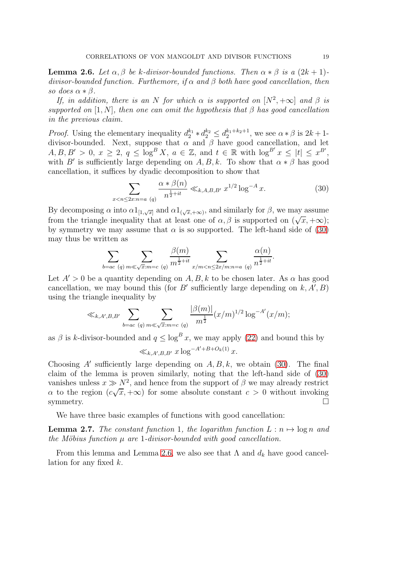<span id="page-18-1"></span>**Lemma 2.6.** Let  $\alpha, \beta$  be k-divisor-bounded functions. Then  $\alpha * \beta$  is a  $(2k+1)$ divisor-bounded function. Furthemore, if  $\alpha$  and  $\beta$  both have good cancellation, then so does  $\alpha * \beta$ .

If, in addition, there is an N for which  $\alpha$  is supported on  $[N^2, +\infty]$  and  $\beta$  is supported on [1, N], then one can omit the hypothesis that  $\beta$  has good cancellation in the previous claim.

*Proof.* Using the elementary inequality  $d_2^{k_1} * d_2^{k_2} \leq d_2^{k_1+k_2+1}$ , we see  $\alpha * \beta$  is  $2k+1$ divisor-bounded. Next, suppose that  $\alpha$  and  $\beta$  have good cancellation, and let  $A, B, B' > 0, x \geq 2, q \leq \log^{B} X, a \in \mathbb{Z}, \text{ and } t \in \mathbb{R} \text{ with } \log^{B'} x \leq |t| \leq x^{B'}$ with B' is sufficiently large depending on  $A, B, k$ . To show that  $\alpha * \beta$  has good cancellation, it suffices by dyadic decomposition to show that

<span id="page-18-0"></span>
$$
\sum_{x < n \le 2x: n = a \ (q)} \frac{\alpha * \beta(n)}{n^{\frac{1}{2} + it}} \ll_{k, A, B, B'} x^{1/2} \log^{-A} x. \tag{30}
$$

By decomposing  $\alpha$  into  $\alpha 1_{[1,\sqrt{x}]}$  and  $\alpha 1_{(\sqrt{x},+\infty)}$ , and similarly for  $\beta$ , we may assume from the triangle inequality that at least one of  $\alpha$ ,  $\beta$  is supported on  $(\sqrt{x}, +\infty)$ ; by symmetry we may assume that  $\alpha$  is so supported. The left-hand side of [\(30\)](#page-18-0) may thus be written as

$$
\sum_{b=ac\ (q)\ m\ll \sqrt{x}:\ m=c\ (q)} \frac{\beta(m)}{m^{\frac{1}{2}+it}} \sum_{x/m
$$

Let  $A' > 0$  be a quantity depending on  $A, B, k$  to be chosen later. As  $\alpha$  has good cancellation, we may bound this (for B' sufficiently large depending on  $k, A', B$ ) using the triangle inequality by

$$
\ll_{k,A',B,B'} \sum_{b=ac\ (q)\ m\ll \sqrt{x}:\ m=c\ (q)} \frac{|\beta(m)|}{m^{\frac{1}{2}}} (x/m)^{1/2} \log^{-A'}(x/m);
$$

as  $\beta$  is k-divisor-bounded and  $q \leq \log^B x$ , we may apply [\(22\)](#page-15-1) and bound this by

$$
\ll_{k,A',B,B'} x \log^{-A'+B+O_k(1)} x.
$$

Choosing A' sufficiently large depending on  $A, B, k$ , we obtain [\(30\)](#page-18-0). The final claim of the lemma is proven similarly, noting that the left-hand side of [\(30\)](#page-18-0) vanishes unless  $x \gg N^2$ , and hence from the support of  $\beta$  we may already restrict  $\alpha$  to the region  $(c\sqrt{x}, +\infty)$  for some absolute constant  $c > 0$  without invoking symmetry.  $\Box$ 

We have three basic examples of functions with good cancellation:

<span id="page-18-2"></span>**Lemma 2.7.** The constant function 1, the logarithm function  $L : n \mapsto \log n$  and the Möbius function  $\mu$  are 1-divisor-bounded with good cancellation.

From this lemma and Lemma [2.6,](#page-18-1) we also see that  $\Lambda$  and  $d_k$  have good cancellation for any fixed  $k$ .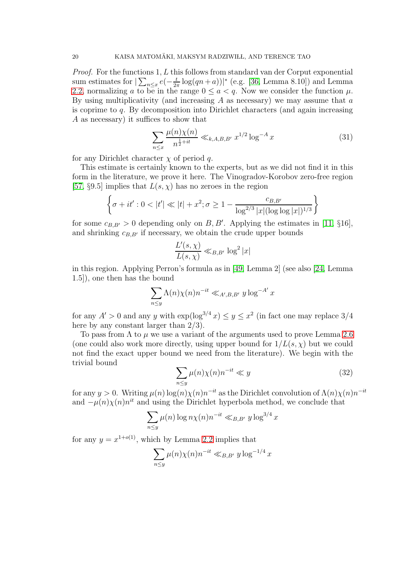*Proof.* For the functions 1, L this follows from standard van der Corput exponential sum estimates for  $\sum_{n \leq x} e^{-\frac{t}{2x}}$  $\frac{t}{2\pi}$  log(qn+a))|\* (e.g. [\[36,](#page-77-2) Lemma 8.10]) and Lemma [2.2,](#page-14-2) normalizing a to be in the range  $0 \le a < q$ . Now we consider the function  $\mu$ . By using multiplicativity (and increasing  $A$  as necessary) we may assume that  $a$ is coprime to  $q$ . By decomposition into Dirichlet characters (and again increasing A as necessary) it suffices to show that

<span id="page-19-1"></span>
$$
\sum_{n \le x} \frac{\mu(n)\chi(n)}{n^{\frac{1}{2}+it}} \ll_{k,A,B,B'} x^{1/2} \log^{-A} x \tag{31}
$$

for any Dirichlet character  $\chi$  of period q.

This estimate is certainly known to the experts, but as we did not find it in this form in the literature, we prove it here. The Vinogradov-Korobov zero-free region [\[57,](#page-78-22) §9.5] implies that  $L(s, \chi)$  has no zeroes in the region

$$
\left\{\sigma + it' : 0 < |t'| \ll |t| + x^2; \sigma \ge 1 - \frac{c_{B,B'}}{\log^{2/3} |x| (\log \log |x|)^{1/3}}\right\}
$$

for some  $c_{B,B'} > 0$  depending only on B, B'. Applying the estimates in [\[11,](#page-76-22) §16], and shrinking  $c_{B,B'}$  if necessary, we obtain the crude upper bounds

$$
\frac{L'(s,\chi)}{L(s,\chi)} \ll_{B,B'} \log^2|x|
$$

in this region. Applying Perron's formula as in [\[49,](#page-77-22) Lemma 2] (see also [\[24,](#page-76-19) Lemma 1.5]), one then has the bound

$$
\sum_{n\leq y} \Lambda(n)\chi(n)n^{-it} \ll_{A',B,B'} y\log^{-A'} x
$$

for any  $A' > 0$  and any y with  $\exp(\log^{3/4} x) \leq y \leq x^2$  (in fact one may replace 3/4 here by any constant larger than 2/3).

To pass from  $\Lambda$  to  $\mu$  we use a variant of the arguments used to prove Lemma [2.6](#page-18-1) (one could also work more directly, using upper bound for  $1/L(s, \chi)$  but we could not find the exact upper bound we need from the literature). We begin with the trivial bound

<span id="page-19-0"></span>
$$
\sum_{n\leq y}\mu(n)\chi(n)n^{-it} \ll y\tag{32}
$$

for any  $y > 0$ . Writing  $\mu(n) \log(n) \chi(n) n^{-it}$  as the Dirichlet convolution of  $\Lambda(n) \chi(n) n^{-it}$ and  $-\mu(n)\chi(n)n^{it}$  and using the Dirichlet hyperbola method, we conclude that

$$
\sum_{n\leq y}\mu(n)\log n\chi(n)n^{-it}\ll_{B,B'} y\log^{3/4} x
$$

for any  $y = x^{1+o(1)}$ , which by Lemma [2.2](#page-14-2) implies that

$$
\sum_{n\leq y}\mu(n)\chi(n)n^{-it}\ll_{B,B'}y\log^{-1/4}x
$$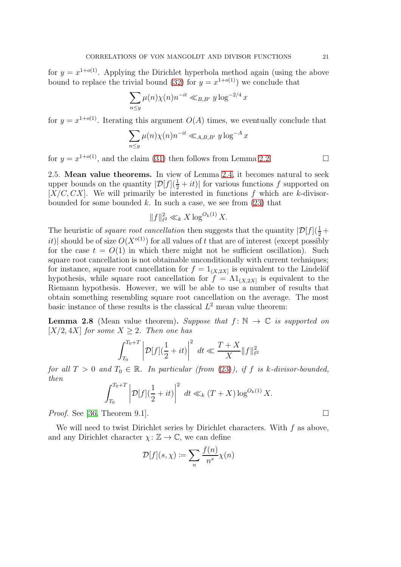for  $y = x^{1+o(1)}$ . Applying the Dirichlet hyperbola method again (using the above bound to replace the trivial bound [\(32\)](#page-19-0) for  $y = x^{1+o(1)}$  we conclude that

$$
\sum_{n\leq y}\mu(n)\chi(n)n^{-it}\ll_{B,B'}y\log^{-2/4}x
$$

for  $y = x^{1+o(1)}$ . Iterating this argument  $O(A)$  times, we eventually conclude that

$$
\sum_{n\leq y}\mu(n)\chi(n)n^{-it}\ll_{A,B,B'}y\log^{-A}x
$$

for  $y = x^{1+o(1)}$ , and the claim [\(31\)](#page-19-1) then follows from Lemma [2.2.](#page-14-2)

2.5. Mean value theorems. In view of Lemma [2.4,](#page-16-0) it becomes natural to seek upper bounds on the quantity  $|\mathcal{D}[f](\frac{1}{2}+it)|$  for various functions f supported on  $[X/C, CX]$ . We will primarily be interested in functions f which are k-divisorbounded for some bounded k. In such a case, we see from  $(23)$  that

$$
||f||_{\ell^2}^2 \ll_k X \log^{O_k(1)} X.
$$

The heuristic of *square root cancellation* then suggests that the quantity  $|\mathcal{D}[f](\frac{1}{2} +$ it)| should be of size  $O(X^{o(1)})$  for all values of t that are of interest (except possibly for the case  $t = O(1)$  in which there might not be sufficient oscillation). Such square root cancellation is not obtainable unconditionally with current techniques; for instance, square root cancellation for  $f = 1_{(X, 2X]}$  is equivalent to the Lindelöf hypothesis, while square root cancellation for  $f = \Lambda 1_{(X, 2X]}$  is equivalent to the Riemann hypothesis. However, we will be able to use a number of results that obtain something resembling square root cancellation on the average. The most basic instance of these results is the classical  $L^2$  mean value theorem:

<span id="page-20-0"></span>**Lemma 2.8** (Mean value theorem). Suppose that  $f: \mathbb{N} \to \mathbb{C}$  is supported on  $[X/2, 4X]$  for some  $X \geq 2$ . Then one has

$$
\int_{T_0}^{T_0+T} \left| \mathcal{D}[f](\frac{1}{2} + it) \right|^2 dt \ll \frac{T+X}{X} ||f||_{\ell^2}^2
$$

for all  $T > 0$  and  $T_0 \in \mathbb{R}$ . In particular (from [\(23\)](#page-15-0)), if f is k-divisor-bounded, then

$$
\int_{T_0}^{T_0+T} \left| \mathcal{D}[f](\frac{1}{2} + it) \right|^2 dt \ll_k (T + X) \log^{O_k(1)} X.
$$

*Proof.* See [\[36,](#page-77-2) Theorem 9.1].

We will need to twist Dirichlet series by Dirichlet characters. With  $f$  as above, and any Dirichlet character  $\chi: \mathbb{Z} \to \mathbb{C}$ , we can define

$$
\mathcal{D}[f](s,\chi) \coloneqq \sum_{n} \frac{f(n)}{n^s} \chi(n)
$$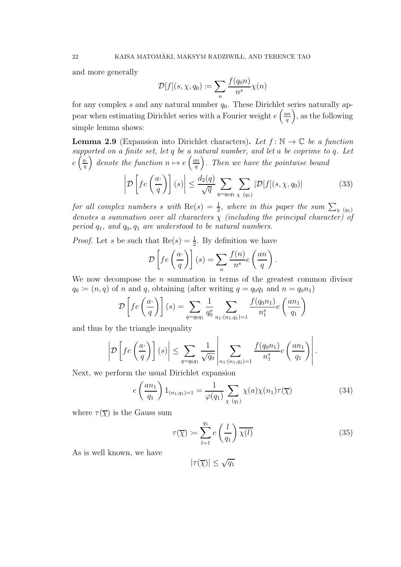and more generally

$$
\mathcal{D}[f](s,\chi,q_0) := \sum_n \frac{f(q_0 n)}{n^s} \chi(n)
$$

for any complex s and any natural number  $q_0$ . These Dirichlet series naturally appear when estimating Dirichlet series with a Fourier weight  $e\left(\frac{an}{a}\right)$  $\left(\frac{u}{q}\right)$ , as the following simple lemma shows:

<span id="page-21-2"></span>**Lemma 2.9** (Expansion into Dirichlet characters). Let  $f: \mathbb{N} \to \mathbb{C}$  be a function supported on a finite set, let q be a natural number, and let a be coprime to q. Let  $e\left(\frac{a}{q}\right)$  denote the function  $n \mapsto e\left(\frac{an}{q}\right)$  $\left(\frac{mn}{q}\right)$ . Then we have the pointwise bound

<span id="page-21-1"></span>
$$
\left| \mathcal{D} \left[ f e\left( \frac{a}{q} \right) \right] (s) \right| \leq \frac{d_2(q)}{\sqrt{q}} \sum_{q = q_0 q_1} \sum_{\chi \ (q_1)} |\mathcal{D}[f](s, \chi, q_0)| \tag{33}
$$

for all complex numbers s with  $\text{Re}(s) = \frac{1}{2}$ , where in this paper the sum  $\sum_{\chi(q_1)}$ denotes a summation over all characters  $\chi$  (including the principal character) of period  $q_1$ , and  $q_0$ ,  $q_1$  are understood to be natural numbers.

*Proof.* Let s be such that  $\text{Re}(s) = \frac{1}{2}$ . By definition we have

$$
\mathcal{D}\left[fe\left(\frac{a}{q}\right)\right](s) = \sum_{n} \frac{f(n)}{n^s} e\left(\frac{an}{q}\right).
$$

We now decompose the  $n$  summation in terms of the greatest common divisor  $q_0 \coloneqq (n, q)$  of n and q, obtaining (after writing  $q = q_0 q_1$  and  $n = q_0 n_1$ )

$$
\mathcal{D}\left[fe\left(\frac{a}{q}\right)\right](s) = \sum_{q=q_0q_1} \frac{1}{q_0^s} \sum_{n_1:(n_1,q_1)=1} \frac{f(q_0n_1)}{n_1^s} e\left(\frac{an_1}{q_1}\right)
$$

and thus by the triangle inequality

$$
\left| \mathcal{D} \left[ fe\left(\frac{a}{q}\right) \right](s) \right| \leq \sum_{q=q_0q_1} \frac{1}{\sqrt{q_0}} \left| \sum_{n_1:(n_1,q_1)=1} \frac{f(q_0n_1)}{n_1^s} e\left(\frac{a n_1}{q_1}\right) \right|.
$$

Next, we perform the usual Dirichlet expansion

$$
e\left(\frac{an_1}{q_1}\right)1_{(n_1,q_1)=1} = \frac{1}{\varphi(q_1)} \sum_{\chi\ (q_1)} \chi(a)\chi(n_1)\tau(\overline{\chi})
$$
 (34)

where  $\tau(\overline{\chi})$  is the Gauss sum

<span id="page-21-0"></span>
$$
\tau(\overline{\chi}) \coloneqq \sum_{l=1}^{q_1} e\left(\frac{l}{q_1}\right) \overline{\chi(l)}\tag{35}
$$

As is well known, we have

 $|\tau(\overline{\chi})| \leq \sqrt{q_1}$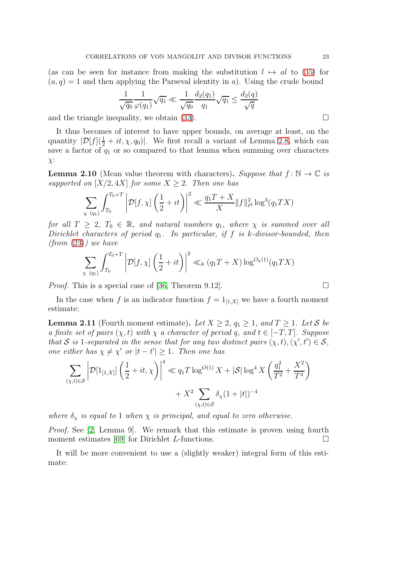(as can be seen for instance from making the substitution  $l \mapsto al$  to [\(35\)](#page-21-0) for  $(a, q) = 1$  and then applying the Parseval identity in a). Using the crude bound

$$
\frac{1}{\sqrt{q_0}} \frac{1}{\varphi(q_1)} \sqrt{q_1} \ll \frac{1}{\sqrt{q_0}} \frac{d_2(q_1)}{q_1} \sqrt{q_1} \le \frac{d_2(q)}{\sqrt{q}}
$$

and the triangle inequality, we obtain [\(33\)](#page-21-1).  $\Box$ 

It thus becomes of interest to have upper bounds, on average at least, on the quantity  $|\mathcal{D}[f](\frac{1}{2} + it, \chi, q_0)|$ . We first recall a variant of Lemma [2.8,](#page-20-0) which can save a factor of  $q_1$  or so compared to that lemma when summing over characters  $\chi$ :

**Lemma 2.10** (Mean value theorem with characters). Suppose that  $f: \mathbb{N} \to \mathbb{C}$  is supported on  $[X/2, 4X]$  for some  $X \geq 2$ . Then one has

$$
\sum_{\chi \ (q_1)} \int_{T_0}^{T_0+T} \left| \mathcal{D}[f, \chi] \left( \frac{1}{2} + it \right) \right|^2 \ll \frac{q_1 T + X}{X} ||f||_{\ell^2}^2 \log^3(q_1 TX)
$$

for all  $T \geq 2$ ,  $T_0 \in \mathbb{R}$ , and natural numbers  $q_1$ , where  $\chi$  is summed over all Dirichlet characters of period  $q_1$ . In particular, if f is k-divisor-bounded, then  $(from (23))$  $(from (23))$  $(from (23))$  we have

$$
\sum_{\chi\ (q_1)} \int_{T_0}^{T_0+T} \left| \mathcal{D}[f,\chi] \left( \frac{1}{2} + it \right) \right|^2 \ll_k (q_1 T + X) \log^{O_k(1)}(q_1 TX)
$$

Proof. This is a special case of [\[36,](#page-77-2) Theorem 9.12].

In the case when f is an indicator function  $f = 1_{[1,X]}$  we have a fourth moment estimate:

<span id="page-22-0"></span>**Lemma 2.11** (Fourth moment estimate). Let  $X \geq 2$ ,  $q_1 \geq 1$ , and  $T \geq 1$ . Let S be a finite set of pairs  $(\chi, t)$  with  $\chi$  a character of period q, and  $t \in [-T, T]$ . Suppose that S is 1-separated in the sense that for any two distinct pairs  $(\chi, t), (\chi', t') \in S$ , one either has  $\chi \neq \chi'$  or  $|t-t'| \geq 1$ . Then one has

$$
\sum_{(\chi,t)\in\mathcal{S}} \left| \mathcal{D}[1_{[1,X]}] \left( \frac{1}{2} + it, \chi \right) \right|^4 \ll q_1 T \log^{O(1)} X + |\mathcal{S}| \log^4 X \left( \frac{q_1^2}{T^2} + \frac{X^2}{T^4} \right) + X^2 \sum_{(\chi,t)\in\mathcal{S}} \delta_X (1+|t|)^{-4}
$$

where  $\delta_{\gamma}$  is equal to 1 when  $\chi$  is principal, and equal to zero otherwise.

Proof. See [\[2,](#page-75-2) Lemma 9]. We remark that this estimate is proven using fourth moment estimates [\[69\]](#page-78-20) for Dirichlet L-functions.  $\Box$ 

It will be more convenient to use a (slightly weaker) integral form of this estimate:

$$
\Box
$$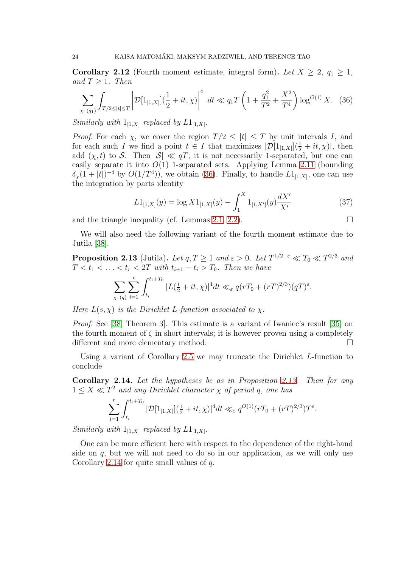**Corollary 2.12** (Fourth moment estimate, integral form). Let  $X \geq 2$ ,  $q_1 \geq 1$ , and  $T \geq 1$ . Then

<span id="page-23-2"></span>
$$
\sum_{\chi\ (q_1)} \int_{T/2 \le |t| \le T} \left| \mathcal{D}[1_{[1,X]}](\frac{1}{2} + it, \chi) \right|^4 \ dt \ll q_1 T \left( 1 + \frac{q_1^2}{T^2} + \frac{X^2}{T^4} \right) \log^{O(1)} X. \tag{36}
$$

Similarly with  $1_{[1,X]}$  replaced by  $L1_{[1,X]}.$ 

*Proof.* For each  $\chi$ , we cover the region  $T/2 \leq |t| \leq T$  by unit intervals I, and for each such I we find a point  $t \in I$  that maximizes  $|\mathcal{D}[1_{[1,X]}](\frac{1}{2}+it,\chi)|$ , then add  $(\chi, t)$  to S. Then  $|S| \ll qT$ ; it is not necessarily 1-separated, but one can easily separate it into  $O(1)$  1-separated sets. Applying Lemma [2.11](#page-22-0) (bounding  $\delta_{\chi}(1+|t|)^{-4}$  by  $O(1/T^4)$ , we obtain [\(36\)](#page-23-2). Finally, to handle  $L1_{[1,X]}$ , one can use the integration by parts identity

<span id="page-23-3"></span>
$$
L1_{[1,X]}(y) = \log X1_{[1,X]}(y) - \int_1^X 1_{[1,X']}(y) \frac{dX'}{X'} \tag{37}
$$

and the triangle inequality (cf. Lemmas [2.1,](#page-14-0) [2.2\)](#page-14-2).

We will also need the following variant of the fourth moment estimate due to Jutila [\[38\]](#page-77-19).

<span id="page-23-0"></span>**Proposition 2.13** (Jutila). Let  $q, T \geq 1$  and  $\varepsilon > 0$ . Let  $T^{1/2+\varepsilon} \ll T_0 \ll T^{2/3}$  and  $T < t_1 < \ldots < t_r < 2T$  with  $t_{i+1} - t_i > T_0$ . Then we have

$$
\sum_{\chi \ (q)} \sum_{i=1}^r \int_{t_i}^{t_i+T_0} |L(\tfrac{1}{2}+it,\chi)|^4 dt \ll_{\varepsilon} q(rT_0+(rT)^{2/3})(qT)^{\varepsilon}.
$$

Here  $L(s, \chi)$  is the Dirichlet L-function associated to  $\chi$ .

Proof. See [\[38,](#page-77-19) Theorem 3]. This estimate is a variant of Iwaniec's result [\[35\]](#page-77-20) on the fourth moment of  $\zeta$  in short intervals; it is however proven using a completely different and more elementary method.

Using a variant of Corollary [2.5](#page-17-0) we may truncate the Dirichlet L-function to conclude

<span id="page-23-1"></span>Corollary 2.14. Let the hypotheses be as in Proposition [2.13.](#page-23-0) Then for any  $1 \leq X \ll T^2$  and any Dirichlet character  $\chi$  of period q, one has

$$
\sum_{i=1}^r \int_{t_i}^{t_i+T_0} |\mathcal{D}[1_{[1,X]}](\frac{1}{2}+it,\chi)|^4 dt \ll_{\varepsilon} q^{O(1)}(rT_0+(rT)^{2/3})T^{\varepsilon}
$$

.

Similarly with  $1_{[1,X]}$  replaced by  $L1_{[1,X]}.$ 

One can be more efficient here with respect to the dependence of the right-hand side on  $q$ , but we will not need to do so in our application, as we will only use Corollary [2.14](#page-23-1) for quite small values of  $q$ .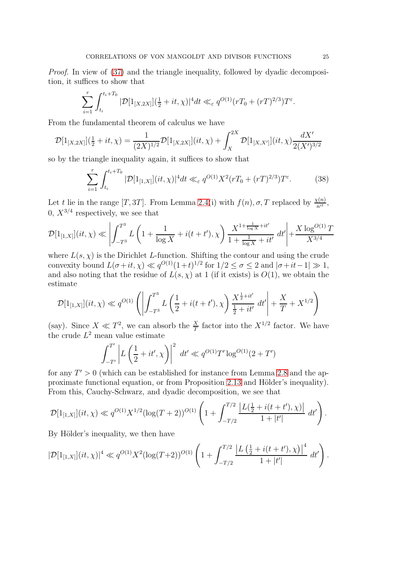Proof. In view of [\(37\)](#page-23-3) and the triangle inequality, followed by dyadic decomposition, it suffices to show that

$$
\sum_{i=1}^r \int_{t_i}^{t_i+T_0} |\mathcal{D}[1_{[X,2X]}](\frac{1}{2}+it,\chi)|^4 dt \ll_{\varepsilon} q^{O(1)}(rT_0+(rT)^{2/3})T^{\varepsilon}.
$$

From the fundamental theorem of calculus we have

$$
\mathcal{D}[1_{[X,2X]}](\frac{1}{2}+it,\chi)=\frac{1}{(2X)^{1/2}}\mathcal{D}[1_{[X,2X]}](it,\chi)+\int_X^{2X}\mathcal{D}[1_{[X,X']}](it,\chi)\frac{dX'}{2(X')^{3/2}}
$$

so by the triangle inequality again, it suffices to show that

<span id="page-24-0"></span>
$$
\sum_{i=1}^{r} \int_{t_i}^{t_i+T_0} |\mathcal{D}[1_{[1,X]}](it,\chi)|^4 dt \ll_{\varepsilon} q^{O(1)} X^2 (rT_0 + (rT)^{2/3}) T^{\varepsilon}.
$$
 (38)

Let t lie in the range [T, 3T]. From Lemma [2.4\(](#page-16-0)i) with  $f(n)$ ,  $\sigma$ , T replaced by  $\frac{\chi(n)}{n^{it}}$ , 0,  $X^{3/4}$  respectively, we see that

$$
\mathcal{D}[1_{[1,X]}](it,\chi) \ll \left| \int_{-T^3}^{T^3} L\left(1 + \frac{1}{\log X} + i(t + t'),\chi\right) \frac{X^{1 + \frac{1}{\log X} + it'}}{1 + \frac{1}{\log X} + it'} \, dt' \right| + \frac{X \log^{O(1)} T}{X^{3/4}}
$$

where  $L(s, \chi)$  is the Dirichlet L-function. Shifting the contour and using the crude convexity bound  $L(\sigma+it, \chi) \ll q^{O(1)}(1+t)^{1/2}$  for  $1/2 \leq \sigma \leq 2$  and  $|\sigma+it-1| \gg 1$ , and also noting that the residue of  $L(s, \chi)$  at 1 (if it exists) is  $O(1)$ , we obtain the estimate

$$
\mathcal{D}[1_{[1,X]}](it,\chi) \ll q^{O(1)} \left( \left| \int_{-T^3}^{T^3} L\left(\frac{1}{2} + i(t+t'),\chi\right) \frac{X^{\frac{1}{2}+it'}}{\frac{1}{2} + it'} \, dt' \right| + \frac{X}{T} + X^{1/2} \right)
$$

(say). Since  $X \ll T^2$ , we can absorb the  $\frac{X}{T}$  factor into the  $X^{1/2}$  factor. We have the crude  $L^2$  mean value estimate

$$
\int_{-T'}^{T'} \left| L\left(\frac{1}{2} + it', \chi\right) \right|^2 dt' \ll q^{O(1)} T' \log^{O(1)}(2+T')
$$

for any  $T' > 0$  (which can be established for instance from Lemma [2.8](#page-20-0) and the ap-proximate functional equation, or from Proposition [2.13](#page-23-0) and Hölder's inequality). From this, Cauchy-Schwarz, and dyadic decomposition, we see that

$$
\mathcal{D}[1_{[1,X]}](it,\chi) \ll q^{O(1)}X^{1/2}(\log(T+2))^{O(1)}\left(1+\int_{-T/2}^{T/2}\frac{|L(\frac{1}{2}+i(t+t'),\chi)|}{1+|t'|}\;dt'\right).
$$

By Hölder's inequality, we then have

$$
|\mathcal{D}[1_{[1,X]}](it,\chi)|^4 \ll q^{O(1)}X^2(\log(T+2))^{O(1)}\left(1+\int_{-T/2}^{T/2}\frac{\left|L\left(\frac{1}{2}+i(t+t'),\chi\right)\right|^4}{1+|t'|}\,dt'\right).
$$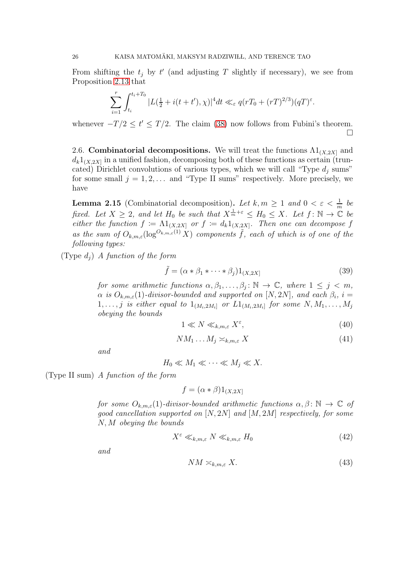From shifting the  $t_j$  by  $t'$  (and adjusting T slightly if necessary), we see from Proposition [2.13](#page-23-0) that

$$
\sum_{i=1}^r \int_{t_i}^{t_i+T_0} |L(\frac{1}{2}+i(t+t'),\chi)|^4 dt \ll_{\varepsilon} q(rT_0+(rT)^{2/3})(qT)^{\varepsilon}.
$$

whenever  $-T/2 \le t' \le T/2$ . The claim [\(38\)](#page-24-0) now follows from Fubini's theorem.  $\Box$ 

2.6. Combinatorial decompositions. We will treat the functions  $\Lambda 1_{(X,2X]}$  and  $d_k 1_{(X,2X]}$  in a unified fashion, decomposing both of these functions as certain (truncated) Dirichlet convolutions of various types, which we will call "Type  $d_i$  sums" for some small  $j = 1, 2, \ldots$  and "Type II sums" respectively. More precisely, we have

<span id="page-25-2"></span>**Lemma 2.15** (Combinatorial decomposition). Let  $k, m \geq 1$  and  $0 < \varepsilon < \frac{1}{m}$  be fixed. Let  $X \geq 2$ , and let  $H_0$  be such that  $X^{\frac{1}{m}+\varepsilon} \leq H_0 \leq X$ . Let  $f: \mathbb{N} \to \mathbb{C}$  be either the function  $f := \Lambda 1_{(X, 2X]}$  or  $f := d_k 1_{(X, 2X]}$ . Then one can decompose f as the sum of  $O_{k,m,\varepsilon}(\log^{O_{k,m,\varepsilon}(1)} X)$  components  $\tilde{f}$ , each of which is of one of the following types:

(Type  $d_i$ ) A function of the form

$$
\tilde{f} = (\alpha * \beta_1 * \dots * \beta_j) 1_{(X,2X]}
$$
\n(39)

for some arithmetic functions  $\alpha, \beta_1, \ldots, \beta_j : \mathbb{N} \to \mathbb{C}$ , where  $1 \leq j \leq m$ ,  $\alpha$  is  $O_{k,m,\varepsilon}(1)$ -divisor-bounded and supported on  $[N,2N]$ , and each  $\beta_i$ , i =  $1, \ldots, j$  is either equal to  $1_{(M_i, 2M_i]}$  or  $L1_{(M_i, 2M_i]}$  for some  $N, M_1, \ldots, M_j$ obeying the bounds

<span id="page-25-0"></span>
$$
1 \ll N \ll_{k,m,\varepsilon} X^{\varepsilon},\tag{40}
$$

$$
NM_1 \dots M_j \asymp_{k,m,\varepsilon} X \tag{41}
$$

and

$$
H_0 \ll M_1 \ll \cdots \ll M_j \ll X.
$$

(Type II sum) A function of the form

$$
f = (\alpha * \beta)1_{(X,2X]}
$$

for some  $O_{k,m,\varepsilon}(1)$ -divisor-bounded arithmetic functions  $\alpha,\beta\colon\mathbb{N}\to\mathbb{C}$  of good cancellation supported on  $[N, 2N]$  and  $[M, 2M]$  respectively, for some N, M obeying the bounds

<span id="page-25-1"></span>
$$
X^{\varepsilon} \ll_{k,m,\varepsilon} N \ll_{k,m,\varepsilon} H_0 \tag{42}
$$

and

$$
NM \asymp_{k,m,\varepsilon} X. \tag{43}
$$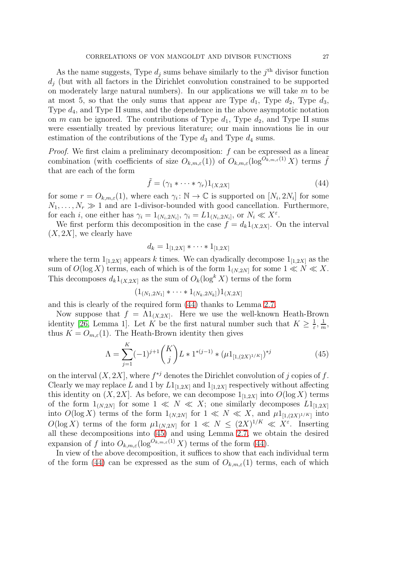As the name suggests, Type  $d_j$  sums behave similarly to the  $j<sup>th</sup>$  divisor function  $d_i$  (but with all factors in the Dirichlet convolution constrained to be supported on moderately large natural numbers). In our applications we will take  $m$  to be at most 5, so that the only sums that appear are Type  $d_1$ , Type  $d_2$ , Type  $d_3$ , Type d4, and Type II sums, and the dependence in the above asymptotic notation on m can be ignored. The contributions of Type  $d_1$ , Type  $d_2$ , and Type II sums were essentially treated by previous literature; our main innovations lie in our estimation of the contributions of the Type  $d_3$  and Type  $d_4$  sums.

*Proof.* We first claim a preliminary decomposition:  $f$  can be expressed as a linear combination (with coefficients of size  $O_{k,m,\varepsilon}(1)$ ) of  $O_{k,m,\varepsilon}(\log^{O_{k,m,\varepsilon}(1)} X)$  terms  $\tilde{f}$ that are each of the form

<span id="page-26-0"></span>
$$
\tilde{f} = (\gamma_1 * \cdots * \gamma_r) 1_{(X, 2X]}
$$
\n(44)

for some  $r = O_{k,m,\varepsilon}(1)$ , where each  $\gamma_i : \mathbb{N} \to \mathbb{C}$  is supported on  $[N_i, 2N_i]$  for some  $N_1, \ldots, N_r \gg 1$  and are 1-divisor-bounded with good cancellation. Furthermore, for each *i*, one either has  $\gamma_i = 1_{(N_i, 2N_i]}, \gamma_i = L1_{(N_i, 2N_i]}, \text{ or } N_i \ll X^{\varepsilon}$ .

We first perform this decomposition in the case  $f = d_k 1_{(X, 2X]}$ . On the interval  $(X, 2X]$ , we clearly have

$$
d_k = 1_{[1,2X]} \ast \cdots \ast 1_{[1,2X]}
$$

where the term  $1_{[1,2X]}$  appears k times. We can dyadically decompose  $1_{[1,2X]}$  as the sum of  $O(\log X)$  terms, each of which is of the form  $1_{(N,2N]}$  for some  $1 \ll N \ll X$ . This decomposes  $d_k 1_{(X,2X]}$  as the sum of  $O_k(\log^k X)$  terms of the form

$$
(1_{(N_1,2N_1]}*\cdots*1_{(N_k,2N_k]})1_{(X,2X]}
$$

and this is clearly of the required form [\(44\)](#page-26-0) thanks to Lemma [2.7.](#page-18-2)

Now suppose that  $f = \Lambda 1_{(X, 2X]}$ . Here we use the well-known Heath-Brown identity [\[26,](#page-76-0) Lemma 1]. Let K be the first natural number such that  $K \geq \frac{1}{\varepsilon}$  $\frac{1}{\varepsilon}, \frac{1}{n}$  $\frac{1}{m}$ thus  $K = O_{m,\varepsilon}(1)$ . The Heath-Brown identity then gives

<span id="page-26-1"></span>
$$
\Lambda = \sum_{j=1}^{K} (-1)^{j+1} {K \choose j} L * 1^{*(j-1)} * (\mu 1_{[1,(2X)^{1/K}]})^{*j}
$$
(45)

on the interval  $(X, 2X]$ , where  $f^{*j}$  denotes the Dirichlet convolution of j copies of f. Clearly we may replace L and 1 by  $L1_{[1,2X]}$  and  $1_{[1,2X]}$  respectively without affecting this identity on  $(X, 2X]$ . As before, we can decompose  $1_{[1,2X]}$  into  $O(\log X)$  terms of the form  $1_{(N,2N]}$  for some  $1 \ll N \ll X$ ; one similarly decomposes  $L1_{[1,2X]}$ into  $O(\log X)$  terms of the form  $1_{(N,2N]}$  for  $1 \ll N \ll X$ , and  $\mu 1_{[1,(2X)^{1/K}]}$  into  $O(\log X)$  terms of the form  $\mu 1_{(N,2N]}$  for  $1 \ll N \leq (2X)^{1/K} \ll X^{\varepsilon}$ . Inserting all these decompositions into [\(45\)](#page-26-1) and using Lemma [2.7,](#page-18-2) we obtain the desired expansion of f into  $O_{k,m,\varepsilon}(\log^{O_{k,m,\varepsilon}(1)} X)$  terms of the form [\(44\)](#page-26-0).

In view of the above decomposition, it suffices to show that each individual term of the form [\(44\)](#page-26-0) can be expressed as the sum of  $O_{k,m,\varepsilon}(1)$  terms, each of which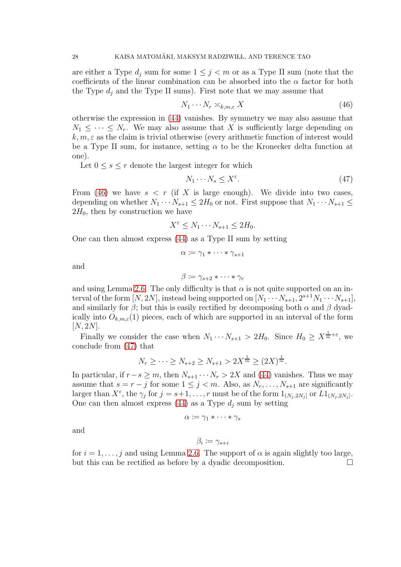are either a Type  $d_i$  sum for some  $1 \leq j \leq m$  or as a Type II sum (note that the coefficients of the linear combination can be absorbed into the  $\alpha$  factor for both the Type  $d_i$  and the Type II sums). First note that we may assume that

<span id="page-27-0"></span>
$$
N_1 \cdots N_r \simeq_{k,m,\varepsilon} X \tag{46}
$$

otherwise the expression in [\(44\)](#page-26-0) vanishes. By symmetry we may also assume that  $N_1 \leq \cdots \leq N_r$ . We may also assume that X is sufficiently large depending on  $k, m, \varepsilon$  as the claim is trivial otherwise (every arithmetic function of interest would be a Type II sum, for instance, setting  $\alpha$  to be the Kronecker delta function at one).

Let  $0 \leq s \leq r$  denote the largest integer for which

<span id="page-27-1"></span>
$$
N_1 \cdots N_s \le X^{\varepsilon}.\tag{47}
$$

From [\(46\)](#page-27-0) we have  $s < r$  (if X is large enough). We divide into two cases, depending on whether  $N_1 \cdots N_{s+1} \leq 2H_0$  or not. First suppose that  $N_1 \cdots N_{s+1} \leq$  $2H_0$ , then by construction we have

$$
X^{\varepsilon} \le N_1 \cdots N_{s+1} \le 2H_0.
$$

One can then almost express [\(44\)](#page-26-0) as a Type II sum by setting

$$
\alpha \coloneqq \gamma_1 * \cdots * \gamma_{s+1}
$$

and

$$
\beta \coloneqq \gamma_{s+2} * \cdots * \gamma_r
$$

and using Lemma [2.6.](#page-18-1) The only difficulty is that  $\alpha$  is not quite supported on an interval of the form  $[N, 2N]$ , instead being supported on  $[N_1 \cdots N_{s+1}, 2^{s+1}N_1 \cdots N_{s+1}],$ and similarly for  $\beta$ ; but this is easily rectified by decomposing both  $\alpha$  and  $\beta$  dyadically into  $O_{k,m,\varepsilon}(1)$  pieces, each of which are supported in an interval of the form  $[N, 2N].$ 

Finally we consider the case when  $N_1 \cdots N_{s+1} > 2H_0$ . Since  $H_0 \ge X^{\frac{1}{m} + \varepsilon}$ , we conclude from [\(47\)](#page-27-1) that

$$
N_r \ge \cdots \ge N_{s+2} \ge N_{s+1} > 2X^{\frac{1}{m}} \ge (2X)^{\frac{1}{m}}.
$$

In particular, if  $r-s \geq m$ , then  $N_{s+1} \cdots N_r > 2X$  and [\(44\)](#page-26-0) vanishes. Thus we may assume that  $s = r - j$  for some  $1 \leq j < m$ . Also, as  $N_r, \ldots, N_{s+1}$  are significantly larger than  $X^{\varepsilon}$ , the  $\gamma_j$  for  $j = s+1, \ldots, r$  must be of the form  $1_{(N_j, 2N_j]}$  or  $L1_{(N_j, 2N_j]}$ . One can then almost express  $(44)$  as a Type  $d_i$  sum by setting

$$
\alpha \coloneqq \gamma_1 * \cdots * \gamma_s
$$

and

$$
\beta_i \coloneqq \gamma_{s+i}
$$

for  $i = 1, \ldots, j$  and using Lemma [2.6.](#page-18-1) The support of  $\alpha$  is again slightly too large, but this can be rectified as before by a dyadic decomposition.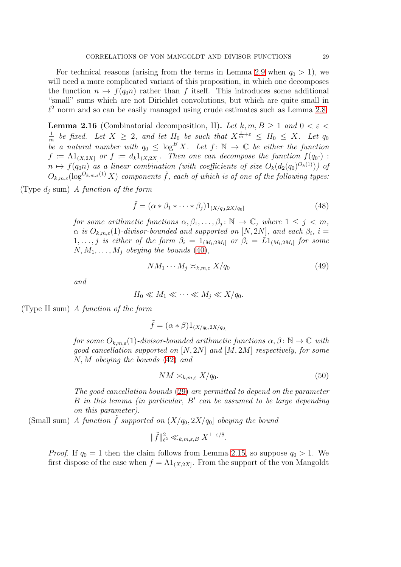For technical reasons (arising from the terms in Lemma [2.9](#page-21-2) when  $q_0 > 1$ ), we will need a more complicated variant of this proposition, in which one decomposes the function  $n \mapsto f(q_0n)$  rather than f itself. This introduces some additional "small" sums which are not Dirichlet convolutions, but which are quite small in  $\ell^2$  norm and so can be easily managed using crude estimates such as Lemma [2.8.](#page-20-0)

**Lemma 2.16** (Combinatorial decomposition, II). Let k, m,  $B \ge 1$  and  $0 < \varepsilon$ 1  $\frac{1}{m}$  be fixed. Let  $X \geq 2$ , and let  $H_0$  be such that  $X^{\frac{1}{m}+\varepsilon} \leq H_0 \leq X$ . Let  $q_0$ be a natural number with  $q_0 \leq \log^B X$ . Let  $f: \mathbb{N} \to \mathbb{C}$  be either the function  $f = \Lambda 1_{(X,2X]}$  or  $f := d_k 1_{(X,2X]}$ . Then one can decompose the function  $f(q_0 \cdot)$ :  $n \mapsto f(q_0 n)$  as a linear combination (with coefficients of size  $O_k(d_2(q_0)^{O_k(1)})$ ) of  $O_{k,m,\varepsilon}(\log^{O_{k,m,\varepsilon}(1)} X)$  components  $\tilde{f}$ , each of which is of one of the following types:

(Type  $d_i$  sum) A function of the form

$$
\tilde{f} = (\alpha * \beta_1 * \cdots * \beta_j) 1_{(X/q_0, 2X/q_0]}
$$
\n(48)

for some arithmetic functions  $\alpha, \beta_1, \ldots, \beta_j : \mathbb{N} \to \mathbb{C}$ , where  $1 \leq j \leq m$ ,  $\alpha$  is  $O_{k,m,\varepsilon}(1)$ -divisor-bounded and supported on  $[N,2N],$  and each  $\beta_i,$   $i=$  $1, \ldots, j$  is either of the form  $\beta_i = 1_{(M_i, 2M_i]}$  or  $\beta_i = L1_{(M_i, 2M_i]}$  for some  $N, M_1, \ldots, M_i$  obeying the bounds [\(40\)](#page-25-0),

$$
NM_1 \cdots M_j \asymp_{k,m,\varepsilon} X/q_0 \tag{49}
$$

and

$$
H_0 \ll M_1 \ll \cdots \ll M_j \ll X/q_0.
$$

(Type II sum) A function of the form

$$
\tilde{f} = (\alpha * \beta)1_{(X/q_0, 2X/q_0]}
$$

for some  $O_{k,m,\varepsilon}(1)$ -divisor-bounded arithmetic functions  $\alpha, \beta \colon \mathbb{N} \to \mathbb{C}$  with good cancellation supported on  $[N, 2N]$  and  $[M, 2M]$  respectively, for some N, M obeying the bounds [\(42\)](#page-25-1) and

$$
NM \asymp_{k,m,\varepsilon} X/q_0. \tag{50}
$$

The good cancellation bounds [\(29\)](#page-17-1) are permitted to depend on the parameter B in this lemma (in particular, B′ can be assumed to be large depending on this parameter).

(Small sum) A function  $\tilde{f}$  supported on  $(X/q_0, 2X/q_0)$  obeying the bound

$$
\|\tilde{f}\|_{\ell^2}^2 \ll_{k,m,\varepsilon,B} X^{1-\varepsilon/8}.
$$

*Proof.* If  $q_0 = 1$  then the claim follows from Lemma [2.15,](#page-25-2) so suppose  $q_0 > 1$ . We first dispose of the case when  $f = \Lambda 1_{(X, 2X]}$ . From the support of the von Mangoldt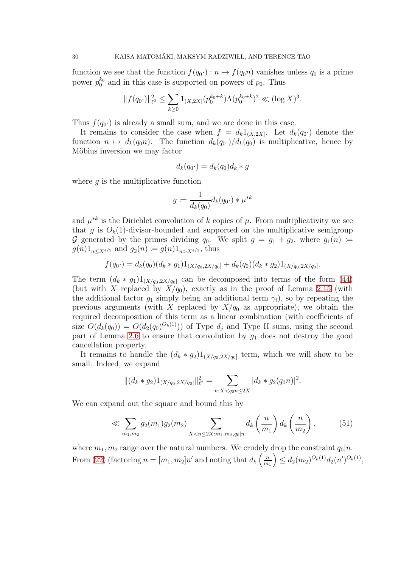function we see that the function  $f(q_0 \cdot) : n \mapsto f(q_0 n)$  vanishes unless  $q_0$  is a prime power  $p_0^{k_0}$  and in this case is supported on powers of  $p_0$ . Thus

$$
||f(q_0 \cdot)||_{\ell^2}^2 \le \sum_{k \ge 0} 1_{(X,2X]}(p_0^{k_0+k}) \Lambda(p_0^{k_0+k})^2 \ll (\log X)^3.
$$

Thus  $f(q_0)$  is already a small sum, and we are done in this case.

It remains to consider the case when  $f = d_k 1_{(X,2X]}$ . Let  $d_k(q_0)$  denote the function  $n \mapsto d_k(q_0n)$ . The function  $d_k(q_0) / d_k(q_0)$  is multiplicative, hence by Möbius inversion we may factor

$$
d_k(q_0 \cdot) = d_k(q_0) d_k * g
$$

where  $q$  is the multiplicative function

$$
g \coloneqq \frac{1}{d_k(q_0)} d_k(q_0 \cdot) \ast \mu^{\ast k}
$$

and  $\mu^{*k}$  is the Dirichlet convolution of k copies of  $\mu$ . From multiplicativity we see that g is  $O_k(1)$ -divisor-bounded and supported on the multiplicative semigroup G generated by the primes dividing  $q_0$ . We split  $g = g_1 + g_2$ , where  $g_1(n) :=$  $g(n)1_{n\leq X^{ \varepsilon/2}}$  and  $g_2(n) \coloneqq g(n)1_{n>X^{ \varepsilon/2}}$ , thus

$$
f(q_0 \cdot) = d_k(q_0)(d_k * g_1)1_{(X/q_0, 2X/q_0]} + d_k(q_0)(d_k * g_2)1_{(X/q_0, 2X/q_0]}.
$$

The term  $(d_k * g_1)1_{(X/q_0, 2X/q_0]}$  can be decomposed into terms of the form [\(44\)](#page-26-0) (but with X replaced by  $X/q_0$ ), exactly as in the proof of Lemma [2.15](#page-25-2) (with the additional factor  $g_1$  simply being an additional term  $\gamma_i$ ), so by repeating the previous arguments (with X replaced by  $X/q_0$  as appropriate), we obtain the required decomposition of this term as a linear combination (with coefficients of size  $O(d_k(q_0)) = O(d_2(q_0)^{O_k(1)})$  of Type  $d_j$  and Type II sums, using the second part of Lemma [2.6](#page-18-1) to ensure that convolution by  $g_1$  does not destroy the good cancellation property.

It remains to handle the  $(d_k * g_2)1_{(X/q_0, 2X/q_0]}$  term, which we will show to be small. Indeed, we expand

$$
||(d_k * g_2)1_{(X/q_0, 2X/q_0)}||_{\ell^2}^2 = \sum_{n:X < q_0 n \le 2X} |d_k * g_2(q_0 n)|^2.
$$

We can expand out the square and bound this by

<span id="page-29-0"></span>
$$
\ll \sum_{m_1, m_2} g_2(m_1) g_2(m_2) \sum_{X < n \le 2X : m_1, m_2, q_0 \mid n} d_k\left(\frac{n}{m_1}\right) d_k\left(\frac{n}{m_2}\right),\tag{51}
$$

where  $m_1, m_2$  range over the natural numbers. We crudely drop the constraint  $q_0|n$ . From [\(22\)](#page-15-1) (factoring  $n = [m_1, m_2]n'$  and noting that  $d_k \left( \frac{n}{m} \right)$  $m<sub>1</sub>$  $\Big) \leq d_2(m_2)^{O_k(1)} d_2(n')^{O_k(1)},$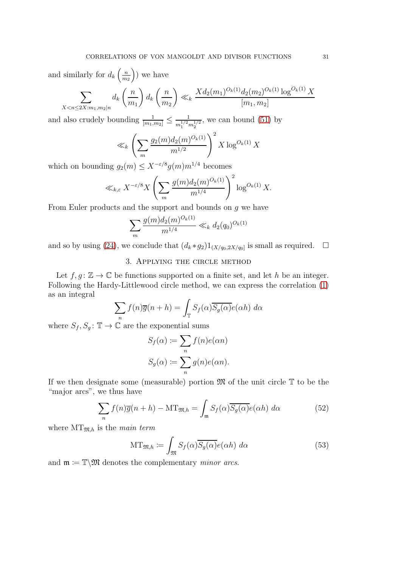and similarly for  $d_k \left( \frac{n}{m} \right)$  $m<sub>2</sub>$  $\big)$  we have

$$
\sum_{X < n \le 2X : m_1, m_2 \mid n} d_k \left(\frac{n}{m_1}\right) d_k \left(\frac{n}{m_2}\right) \ll_k \frac{X d_2(m_1)^{O_k(1)} d_2(m_2)^{O_k(1)} \log^{O_k(1)} X}{[m_1, m_2]}
$$

and also crudely bounding  $\frac{1}{[m_1,m_2]} \leq \frac{1}{m_1^{1/2}i}$  $\frac{1}{m_1^{1/2}m_2^{1/2}}$ , we can bound [\(51\)](#page-29-0) by

$$
\ll_k \left( \sum_m \frac{g_2(m) d_2(m)^{O_k(1)}}{m^{1/2}} \right)^2 X \log^{O_k(1)} X
$$

which on bounding  $g_2(m) \leq X^{-\varepsilon/8} g(m) m^{1/4}$  becomes

$$
\ll_{k,\varepsilon} X^{-\varepsilon/8} X \left( \sum_{m} \frac{g(m) d_2(m)^{O_k(1)}}{m^{1/4}} \right)^2 \log^{O_k(1)} X.
$$

From Euler products and the support and bounds on g we have

$$
\sum_{m} \frac{g(m)d_2(m)^{O_k(1)}}{m^{1/4}} \ll_k d_2(q_0)^{O_k(1)}
$$

and so by using [\(24\)](#page-16-1), we conclude that  $(d_k * g_2)1_{(X/q_0, 2X/q_0)}$  is small as required.  $\Box$ 

# 3. Applying the circle method

Let  $f, g: \mathbb{Z} \to \mathbb{C}$  be functions supported on a finite set, and let h be an integer. Following the Hardy-Littlewood circle method, we can express the correlation [\(1\)](#page-0-0) as an integral

$$
\sum_{n} f(n)\overline{g}(n+h) = \int_{\mathbb{T}} S_f(\alpha)\overline{S_g(\alpha)}e(\alpha h) d\alpha
$$

where  $S_f, S_g: \mathbb{T} \to \mathbb{C}$  are the exponential sums

$$
S_f(\alpha) := \sum_n f(n)e(\alpha n)
$$
  

$$
S_g(\alpha) := \sum_n g(n)e(\alpha n).
$$

If we then designate some (measurable) portion  $\mathfrak{M}$  of the unit circle  $\mathbb T$  to be the "major arcs", we thus have

<span id="page-30-0"></span>
$$
\sum_{n} f(n)\overline{g}(n+h) - MT_{\mathfrak{M},h} = \int_{\mathfrak{m}} S_f(\alpha)\overline{S_g(\alpha)}e(\alpha h) d\alpha \qquad (52)
$$

where  $MT_{\mathfrak{M},h}$  is the main term

<span id="page-30-1"></span>
$$
\mathrm{MT}_{\mathfrak{M},h} \coloneqq \int_{\mathfrak{M}} S_f(\alpha) \overline{S_g(\alpha)} e(\alpha h) \, d\alpha \tag{53}
$$

and  $\mathfrak{m} \coloneqq \mathbb{T} \backslash \mathfrak{M}$  denotes the complementary *minor arcs*.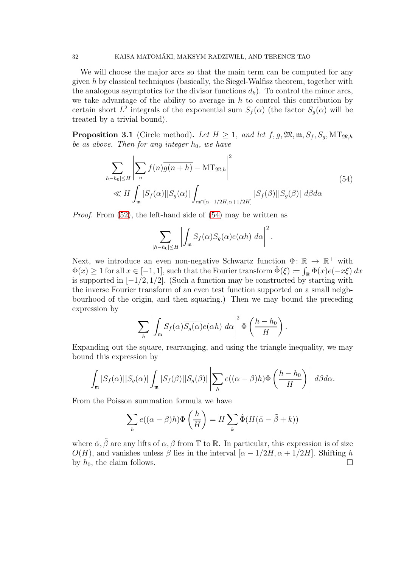We will choose the major arcs so that the main term can be computed for any given h by classical techniques (basically, the Siegel-Walfisz theorem, together with the analogous asymptotics for the divisor functions  $d_k$ ). To control the minor arcs, we take advantage of the ability to average in  $h$  to control this contribution by certain short  $L^2$  integrals of the exponential sum  $S_f(\alpha)$  (the factor  $S_g(\alpha)$  will be treated by a trivial bound).

<span id="page-31-1"></span>**Proposition 3.1** (Circle method). Let  $H \geq 1$ , and let  $f, g, \mathfrak{M}, \mathfrak{m}, S_f, S_g, \mathfrak{MT}_{\mathfrak{M},h}$ be as above. Then for any integer  $h_0$ , we have

$$
\sum_{|h-h_0| \le H} \left| \sum_n f(n) \overline{g(n+h)} - MT_{\mathfrak{M},h} \right|^2
$$
\n
$$
\ll H \int_{\mathfrak{m}} |S_f(\alpha)| |S_g(\alpha)| \int_{\mathfrak{m} \cap [\alpha - 1/2H, \alpha + 1/2H]} |S_f(\beta)| |S_g(\beta)| d\beta d\alpha
$$
\n(54)

<span id="page-31-0"></span>Proof. From [\(52\)](#page-30-0), the left-hand side of [\(54\)](#page-31-0) may be written as

$$
\sum_{|h-h_0| \le H} \left| \int_{\mathfrak{m}} S_f(\alpha) \overline{S_g(\alpha)} e(\alpha h) \, d\alpha \right|^2.
$$

Next, we introduce an even non-negative Schwartz function  $\Phi: \mathbb{R} \to \mathbb{R}^+$  with  $\Phi(x) \geq 1$  for all  $x \in [-1, 1]$ , such that the Fourier transform  $\hat{\Phi}(\xi) := \int_{\mathbb{R}} \Phi(x)e(-x\xi) dx$ is supported in  $[-1/2, 1/2]$ . (Such a function may be constructed by starting with the inverse Fourier transform of an even test function supported on a small neighbourhood of the origin, and then squaring.) Then we may bound the preceding expression by

$$
\sum_{h}\left|\int_{\mathfrak{m}}S_{f}(\alpha)\overline{S_{g}(\alpha)}e(\alpha h) d\alpha\right|^{2}\Phi\left(\frac{h-h_{0}}{H}\right).
$$

Expanding out the square, rearranging, and using the triangle inequality, we may bound this expression by

$$
\int_{\mathfrak{m}} |S_f(\alpha)| |S_g(\alpha)| \int_{\mathfrak{m}} |S_f(\beta)| |S_g(\beta)| \left| \sum_{h} e((\alpha - \beta)h) \Phi\left(\frac{h - h_0}{H}\right) \right| d\beta d\alpha.
$$

From the Poisson summation formula we have

$$
\sum_{h} e((\alpha - \beta)h) \Phi\left(\frac{h}{H}\right) = H \sum_{k} \hat{\Phi}(H(\tilde{\alpha} - \tilde{\beta} + k))
$$

where  $\tilde{\alpha}, \tilde{\beta}$  are any lifts of  $\alpha, \beta$  from T to R. In particular, this expression is of size  $O(H)$ , and vanishes unless  $\beta$  lies in the interval  $[\alpha - 1/2H, \alpha + 1/2H]$ . Shifting h by h<sub>0</sub>, the claim follows. by  $h_0$ , the claim follows.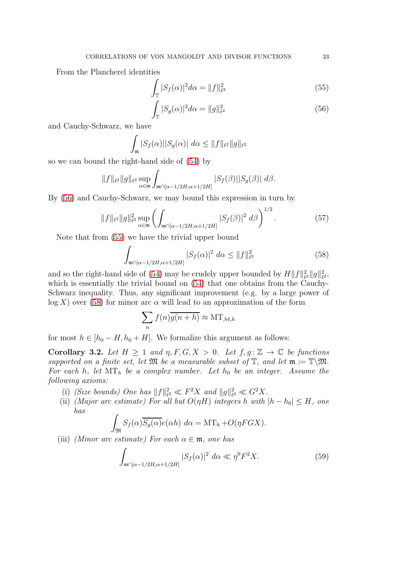From the Plancherel identities

$$
\int_{\mathbb{T}} |S_f(\alpha)|^2 d\alpha = \|f\|_{\ell^2}^2 \tag{55}
$$

<span id="page-32-1"></span><span id="page-32-0"></span>
$$
\int_{\mathbb{T}} |S_g(\alpha)|^2 d\alpha = ||g||_{\ell^2}^2 \tag{56}
$$

and Cauchy-Schwarz, we have

$$
\int_{\mathfrak{m}} |S_f(\alpha)| |S_g(\alpha)| d\alpha \leq ||f||_{\ell^2} ||g||_{\ell^2}
$$

so we can bound the right-hand side of [\(54\)](#page-31-0) by

$$
||f||_{\ell^2}||g||_{\ell^2}\sup_{\alpha\in\mathfrak{m}}\int_{\mathfrak{m}\cap[\alpha-1/2H,\alpha+1/2H]}|S_f(\beta)||S_g(\beta)|\ d\beta.
$$

By [\(56\)](#page-32-0) and Cauchy-Schwarz, we may bound this expression in turn by

<span id="page-32-4"></span>
$$
||f||_{\ell^2} ||g||_{\ell^2}^2 \sup_{\alpha \in \mathfrak{m}} \left( \int_{\mathfrak{m} \cap [\alpha - 1/2H, \alpha + 1/2H]} |S_f(\beta)|^2 \, d\beta \right)^{1/2}.
$$
 (57)

Note that from [\(55\)](#page-32-1) we have the trivial upper bound

<span id="page-32-2"></span>
$$
\int_{\mathfrak{m} \cap [\alpha - 1/2H, \alpha + 1/2H]} |S_f(\alpha)|^2 \, d\alpha \le \|f\|_{\ell^2}^2 \tag{58}
$$

and so the right-hand side of [\(54\)](#page-31-0) may be crudely upper bounded by  $H||f||_{\ell}^2$  $\frac{2}{\ell^2} \|g\|_{\ell^1}^2$  $_{\ell^2}^2,$ which is essentially the trivial bound on  $(54)$  that one obtains from the Cauchy-Schwarz inequality. Thus, any significant improvement (e.g. by a large power of  $log X$ ) over [\(58\)](#page-32-2) for minor arc  $\alpha$  will lead to an approximation of the form

$$
\sum_{n} f(n)\overline{g(n+h)} \approx \text{MT}_{\mathcal{M},h}
$$

for most  $h \in [h_0 - H, h_0 + H]$ . We formalize this argument as follows:

<span id="page-32-5"></span>Corollary 3.2. Let  $H \geq 1$  and  $\eta, F, G, X > 0$ . Let  $f, g: \mathbb{Z} \to \mathbb{C}$  be functions supported on a finite set, let  $\mathfrak{M}$  be a measurable subset of  $\mathbb{T}$ , and let  $\mathfrak{m} := \mathbb{T} \backslash \mathfrak{M}$ . For each h, let  $MT_h$  be a complex number. Let  $h_0$  be an integer. Assume the following axioms:

- (i) (Size bounds) One has  $||f||_{\ell}^2$  $\mathcal{E}_\ell^2 \ll F^2 X$  and  $\|g\|_\ell^2$  $e^2 \ll G^2 X$ .
- (ii) (Major arc estimate) For all but  $O(\eta H)$  integers h with  $|h h_0| \leq H$ , one has

$$
\int_{\mathfrak{M}} S_f(\alpha) \overline{S_g(\alpha)} e(\alpha h) \ d\alpha = \mathrm{MT}_h + O(\eta FGX).
$$

(iii) *(Minor arc estimate)* For each  $\alpha \in \mathfrak{m}$ , one has

<span id="page-32-3"></span>
$$
\int_{\mathfrak{m}\cap[\alpha-1/2H,\alpha+1/2H]} |S_f(\alpha)|^2 \ d\alpha \ll \eta^6 F^2 X. \tag{59}
$$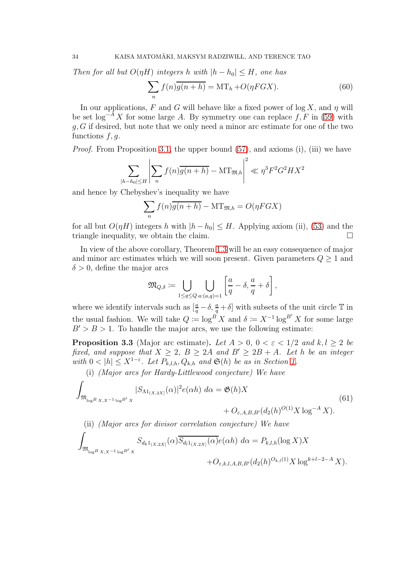Then for all but  $O(\eta H)$  integers h with  $|h - h_0| \leq H$ , one has

$$
\sum_{n} f(n)\overline{g(n+h)} = MT_h + O(\eta FGX). \tag{60}
$$

In our applications, F and G will behave like a fixed power of  $\log X$ , and  $\eta$  will be set  $\log^{-A} X$  for some large A. By symmetry one can replace f, F in [\(59\)](#page-32-3) with  $g, G$  if desired, but note that we only need a minor arc estimate for one of the two functions  $f, g$ .

*Proof.* From Proposition [3.1,](#page-31-1) the upper bound  $(57)$ , and axioms (i), (iii) we have

$$
\sum_{|h-h_0| \le H} \left| \sum_n f(n) \overline{g(n+h)} - \mathrm{MT}_{\mathfrak{M},h} \right|^2 \ll \eta^3 F^2 G^2 H X^2
$$

and hence by Chebyshev's inequality we have

$$
\sum_{n} f(n)\overline{g(n+h)} - MT_{\mathfrak{M},h} = O(\eta FGX)
$$

for all but  $O(\eta H)$  integers h with  $|h - h_0| \leq H$ . Applying axiom (ii), [\(53\)](#page-30-1) and the triangle inequality we obtain the claim triangle inequality, we obtain the claim.

In view of the above corollary, Theorem [1.3](#page-7-2) will be an easy consequence of major and minor arc estimates which we will soon present. Given parameters  $Q \geq 1$  and  $\delta > 0$ , define the major arcs

$$
\mathfrak{M}_{Q,\delta} := \bigcup_{1 \leq q \leq Q} \bigcup_{a:(a,q)=1} \left[ \frac{a}{q} - \delta, \frac{a}{q} + \delta \right],
$$

where we identify intervals such as  $\left[\frac{a}{q} - \delta, \frac{a}{q} + \delta\right]$  with subsets of the unit circle  $\mathbb T$  in the usual fashion. We will take  $Q := \log^B X$  and  $\delta := X^{-1} \log^{B'} X$  for some large  $B' > B > 1$ . To handle the major arcs, we use the following estimate:

<span id="page-33-0"></span>**Proposition 3.3** (Major arc estimate). Let  $A > 0$ ,  $0 < \varepsilon < 1/2$  and  $k, l > 2$  be fixed, and suppose that  $X \geq 2$ ,  $B \geq 2A$  and  $B' \geq 2B + A$ . Let h be an integer with  $0 < |h| \leq X^{1-\varepsilon}$ . Let  $P_{k,l,h}, Q_{k,h}$  and  $\mathfrak{S}(h)$  be as in Section [1.](#page-0-1)

(i) (Major arcs for Hardy-Littlewood conjecture) We have

$$
\int_{\mathfrak{M}_{\log^{B} X,X^{-1} \log^{B'} X}} |S_{\Lambda 1_{(X,2X]}}(\alpha)|^{2} e(\alpha h) d\alpha = \mathfrak{G}(h) X + O_{\varepsilon, A,B,B'}(d_{2}(h)^{O(1)} X \log^{-A} X).
$$
\n(61)

(ii) *(Major arcs for divisor correlation conjecture)* We have 
$$
f
$$

$$
\int_{\mathfrak{M}_{\log^{B} X,X^{-1} \log^{B'} X}} S_{d_{k} 1_{(X,2X]}}(\alpha) \overline{S_{d_{l} 1_{(X,2X]}}(\alpha)} e(\alpha h) d\alpha = P_{k,l,h}(\log X) X + O_{\varepsilon,k,l,A,B,B'}(d_{2}(h)^{O_{k,l}(1)} X \log^{k+l-2-A} X).
$$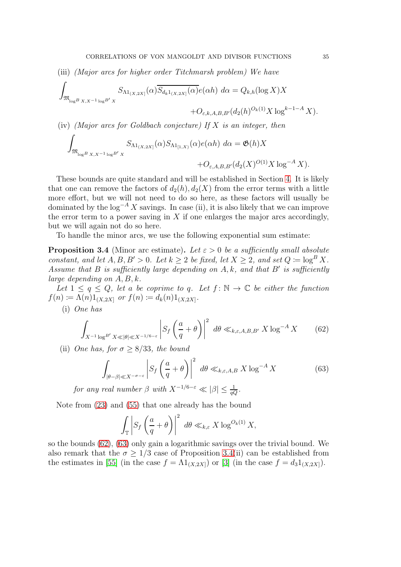(iii) (Major arcs for higher order Titchmarsh problem) We have

$$
\int_{\mathfrak{M}_{\log^{B} X,X^{-1} \log^{B'} X}} S_{\Lambda 1_{(X,2X]}}(\alpha) \overline{S_{d_k 1_{(X,2X]}}(\alpha)} e(\alpha h) \ d\alpha = Q_{k,h}(\log X) X + O_{\varepsilon,k,A,B,B'}(d_2(h)^{O_k(1)} X \log^{k-1-A} X).
$$

(iv) (Major arcs for Goldbach conjecture) If  $X$  is an integer, then

$$
\int_{\mathfrak{M}_{\log B_{(X,X^{-1}\log B'X)}}} S_{\Lambda 1_{(X,2X]}}(\alpha) S_{\Lambda 1_{[1,X]}}(\alpha) e(\alpha h) \, d\alpha = \mathfrak{G}(h) X + O_{\varepsilon, A, B, B'}(d_2(X)^{O(1)} X \log^{-A} X).
$$

These bounds are quite standard and will be established in Section [4.](#page-35-0) It is likely that one can remove the factors of  $d_2(h)$ ,  $d_2(X)$  from the error terms with a little more effort, but we will not need to do so here, as these factors will usually be dominated by the  $\log^{-A} X$  savings. In case (ii), it is also likely that we can improve the error term to a power saving in  $X$  if one enlarges the major arcs accordingly, but we will again not do so here.

To handle the minor arcs, we use the following exponential sum estimate:

<span id="page-34-2"></span>**Proposition 3.4** (Minor arc estimate). Let  $\varepsilon > 0$  be a sufficiently small absolute constant, and let  $A, B, B' > 0$ . Let  $k \geq 2$  be fixed, let  $X \geq 2$ , and set  $Q \coloneqq \log^B X$ . Assume that B is sufficiently large depending on  $A, k$ , and that B' is sufficiently large depending on  $A, B, k$ .

Let  $1 \le q \le Q$ , let a be coprime to q. Let  $f: \mathbb{N} \to \mathbb{C}$  be either the function  $f(n) \coloneqq \Lambda(n) 1_{(X,2X]}$  or  $f(n) \coloneqq d_k(n) 1_{(X,2X]}$ .

(i) One has

<span id="page-34-0"></span>
$$
\int_{X^{-1}\log^{B'}X \ll |\theta| \ll X^{-1/6-\varepsilon}} \left| S_f\left(\frac{a}{q}+\theta\right) \right|^2 \ d\theta \ll_{k,\varepsilon,A,B,B'} X \log^{-A} X \tag{62}
$$

(ii) One has, for  $\sigma \geq 8/33$ , the bound

<span id="page-34-1"></span>
$$
\int_{|\theta-\beta| \ll X^{-\sigma-\varepsilon}} \left| S_f\left(\frac{a}{q}+\theta\right) \right|^2 \ d\theta \ll_{k,\varepsilon,A,B} X \log^{-A} X \tag{63}
$$

for any real number  $\beta$  with  $X^{-1/6-\varepsilon} \ll |\beta| \leq \frac{1}{qQ}$ .

Note from [\(23\)](#page-15-0) and [\(55\)](#page-32-1) that one already has the bound

$$
\int_{\mathbb{T}} \left| S_f \left( \frac{a}{q} + \theta \right) \right|^2 \ d\theta \ll_{k,\varepsilon} X \log^{O_k(1)} X,
$$

so the bounds [\(62\)](#page-34-0), [\(63\)](#page-34-1) only gain a logarithmic savings over the trivial bound. We also remark that the  $\sigma \geq 1/3$  case of Proposition [3.4\(](#page-34-2)ii) can be established from the estimates in [\[55\]](#page-78-5) (in the case  $f = \Lambda 1_{(X,2X)}$ ) or [\[3\]](#page-75-1) (in the case  $f = d_3 1_{(X,2X)}$ ).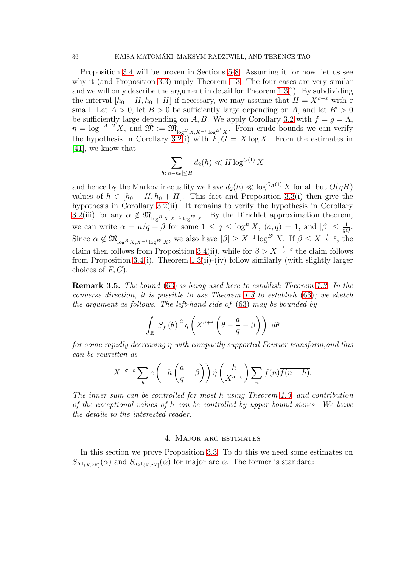Proposition [3.4](#page-34-2) will be proven in Sections [5-](#page-40-1)[8.](#page-66-0) Assuming it for now, let us see why it (and Proposition [3.3\)](#page-33-0) imply Theorem [1.3.](#page-7-2) The four cases are very similar and we will only describe the argument in detail for Theorem [1.3\(](#page-7-2)i). By subdividing the interval  $[h_0 - H, h_0 + H]$  if necessary, we may assume that  $H = X^{\sigma+\varepsilon}$  with  $\varepsilon$ small. Let  $A > 0$ , let  $B > 0$  be sufficiently large depending on A, and let  $B' > 0$ be sufficiently large depending on A, B. We apply Corollary [3.2](#page-32-5) with  $f = g = \Lambda$ ,  $\eta = \log^{-A-2} X$ , and  $\mathfrak{M} := \mathfrak{M}_{\log^B X, X^{-1} \log^{B'} X}$ . From crude bounds we can verify the hypothesis in Corollary [3.2\(](#page-32-5)i) with  $\tilde{F}, G = X \log X$ . From the estimates in [\[41\]](#page-77-23), we know that

$$
\sum_{h:|h-h_0| \le H} d_2(h) \ll H \log^{O(1)} X
$$

and hence by the Markov inequality we have  $d_2(h) \ll \log^{O_A(1)} X$  for all but  $O(\eta H)$ values of  $h \in [h_0 - H, h_0 + H]$ . This fact and Proposition [3.3\(](#page-33-0)i) then give the hypothesis in Corollary [3.2\(](#page-32-5)ii). It remains to verify the hypothesis in Corollary [3.2\(](#page-32-5)iii) for any  $\alpha \notin \mathfrak{M}_{\log^B X, X^{-1} \log^{B'} X}$ . By the Dirichlet approximation theorem, we can write  $\alpha = a/q + \beta$  for some  $1 \le q \le \log^B X$ ,  $(a,q) = 1$ , and  $|\beta| \le \frac{1}{qQ}$ . Since  $\alpha \notin \mathfrak{M}_{\log^B X, X^{-1} \log^{B'} X}$ , we also have  $|\beta| \geq X^{-1} \log^{B'} X$ . If  $\beta \leq X^{-\frac{1}{6} - \varepsilon}$ , the claim then follows from Proposition [3.4\(](#page-34-2)ii), while for  $\beta > X^{-\frac{1}{6}-\varepsilon}$  the claim follows from Proposition [3.4\(](#page-34-2)i). Theorem [1.3\(](#page-7-2)ii)-(iv) follow similarly (with slightly larger choices of  $F, G$ .

Remark 3.5. The bound [\(63\)](#page-34-1) is being used here to establish Theorem [1.3.](#page-7-2) In the converse direction, it is possible to use Theorem [1.3](#page-7-2) to establish  $(63)$ ; we sketch the argument as follows. The left-hand side of [\(63\)](#page-34-1) may be bounded by

$$
\int_{\mathbb{R}} |S_f(\theta)|^2 \eta \left( X^{\sigma+\varepsilon} \left( \theta - \frac{a}{q} - \beta \right) \right) d\theta
$$

for some rapidly decreasing η with compactly supported Fourier transform,and this can be rewritten as

$$
X^{-\sigma-\varepsilon} \sum_{h} e\left(-h\left(\frac{a}{q}+\beta\right)\right) \hat{\eta}\left(\frac{h}{X^{\sigma+\varepsilon}}\right) \sum_{n} f(n) \overline{f(n+h)}.
$$

The inner sum can be controlled for most h using Theorem [1.3,](#page-7-2) and contribution of the exceptional values of h can be controlled by upper bound sieves. We leave the details to the interested reader.

#### 4. Major arc estimates

<span id="page-35-0"></span>In this section we prove Proposition [3.3.](#page-33-0) To do this we need some estimates on  $S_{\Lambda 1_{(X,2X]}}(\alpha)$  and  $S_{d_k1_{(X,2X]}}(\alpha)$  for major arc  $\alpha$ . The former is standard: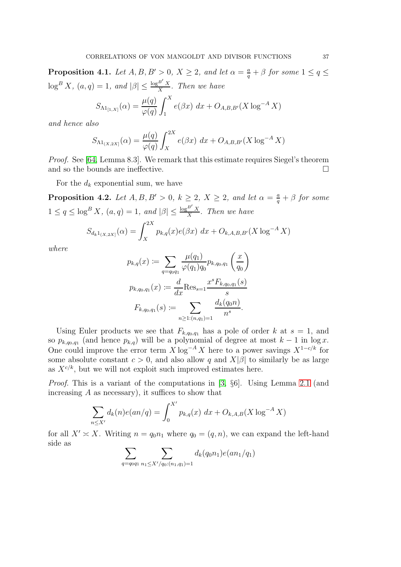<span id="page-36-0"></span>**Proposition 4.1.** Let  $A, B, B' > 0, X \geq 2$ , and let  $\alpha = \frac{a}{q} + \beta$  for some  $1 \leq q \leq$  $\log^B X$ ,  $(a,q) = 1$ , and  $|\beta| \leq \frac{\log^{B'} X}{X}$  $\frac{E_{X}}{X}$ . Then we have

$$
S_{\Lambda 1_{[1,X]}}(\alpha) = \frac{\mu(q)}{\varphi(q)} \int_1^X e(\beta x) \, dx + O_{A,B,B'}(X \log^{-A} X)
$$

and hence also

$$
S_{\Lambda 1_{(X,2X]}}(\alpha) = \frac{\mu(q)}{\varphi(q)} \int_X^{2X} e(\beta x) \, dx + O_{A,B,B'}(X \log^{-A} X)
$$

Proof. See [\[64,](#page-78-0) Lemma 8.3]. We remark that this estimate requires Siegel's theorem and so the bounds are ineffective.  $\Box$ 

For the  $d_k$  exponential sum, we have

<span id="page-36-1"></span>**Proposition 4.2.** Let  $A, B, B' > 0$ ,  $k \geq 2$ ,  $X \geq 2$ , and let  $\alpha = \frac{a}{q} + \beta$  for some  $1 \leq q \leq \log^B X$ ,  $(a,q) = 1$ , and  $|\beta| \leq \frac{\log^{B'} X}{X}$  $\frac{X}{X}$ . Then we have

$$
S_{d_k 1_{(X,2X]}}(\alpha) = \int_X^{2X} p_{k,q}(x) e(\beta x) \, dx + O_{k,A,B,B'}(X \log^{-A} X)
$$

where

$$
p_{k,q}(x) := \sum_{q=q_{0}q_{1}} \frac{\mu(q_{1})}{\varphi(q_{1})q_{0}} p_{k,q_{0},q_{1}} \left(\frac{x}{q_{0}}\right)
$$
  

$$
p_{k,q_{0},q_{1}}(x) := \frac{d}{dx} \text{Res}_{s=1} \frac{x^{s} F_{k,q_{0},q_{1}}(s)}{s}
$$
  

$$
F_{k,q_{0},q_{1}}(s) := \sum_{n \geq 1: (n,q_{1})=1} \frac{d_{k}(q_{0}n)}{n^{s}}.
$$

Using Euler products we see that  $F_{k,q_0,q_1}$  has a pole of order k at  $s=1$ , and so  $p_{k,q_0,q_1}$  (and hence  $p_{k,q}$ ) will be a polynomial of degree at most  $k-1$  in  $\log x$ . One could improve the error term  $X \log^{-A} X$  here to a power savings  $X^{1-c/k}$  for some absolute constant  $c > 0$ , and also allow q and  $X|\beta|$  to similarly be as large as  $X^{c/k}$ , but we will not exploit such improved estimates here.

Proof. This is a variant of the computations in [\[3,](#page-75-0) §6]. Using Lemma [2.1](#page-14-0) (and increasing  $A$  as necessary), it suffices to show that

$$
\sum_{n \le X'} d_k(n) e(an/q) = \int_0^{X'} p_{k,q}(x) \, dx + O_{k,A,B}(X \log^{-A} X)
$$

for all  $X' \simeq X$ . Writing  $n = q_0 n_1$  where  $q_0 = (q, n)$ , we can expand the left-hand side as

$$
\sum_{q=q_0q_1} \sum_{n_1 \le X'/q_0:(n_1,q_1)=1} d_k(q_0n_1)e(an_1/q_1)
$$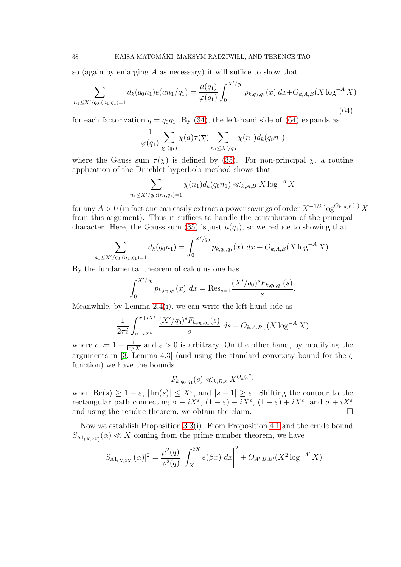so (again by enlarging  $A$  as necessary) it will suffice to show that

<span id="page-37-0"></span>
$$
\sum_{n_1 \le X'/q_0:(n_1,q_1)=1} d_k(q_0 n_1) e(an_1/q_1) = \frac{\mu(q_1)}{\varphi(q_1)} \int_0^{X'/q_0} p_{k,q_0,q_1}(x) dx + O_{k,A,B}(X \log^{-A} X)
$$
\n(64)

for each factorization  $q = q_0q_1$ . By [\(34\)](#page-21-0), the left-hand side of [\(64\)](#page-37-0) expands as

$$
\frac{1}{\varphi(q_1)} \sum_{\chi \ (q_1)} \chi(a) \tau(\overline{\chi}) \sum_{n_1 \le X'/q_0} \chi(n_1) d_k(q_0 n_1)
$$

where the Gauss sum  $\tau(\overline{\chi})$  is defined by [\(35\)](#page-21-1). For non-principal  $\chi$ , a routine application of the Dirichlet hyperbola method shows that

$$
\sum_{n_1 \le X'/q_0:(n_1,q_1)=1} \chi(n_1) d_k(q_0 n_1) \ll_{k,A,B} X \log^{-A} X
$$

for any  $A > 0$  (in fact one can easily extract a power savings of order  $X^{-1/k} \log^{O_{k,A,B}(1)} X$ from this argument). Thus it suffices to handle the contribution of the principal character. Here, the Gauss sum [\(35\)](#page-21-1) is just  $\mu(q_1)$ , so we reduce to showing that

$$
\sum_{n_1 \le X'/q_0:(n_1,q_1)=1} d_k(q_0 n_1) = \int_0^{X'/q_0} p_{k,q_0,q_1}(x) \, dx + O_{k,A,B}(X \log^{-A} X).
$$

By the fundamental theorem of calculus one has

$$
\int_0^{X'/q_0} p_{k,q_0,q_1}(x) dx = \text{Res}_{s=1} \frac{(X'/q_0)^s F_{k,q_0,q_1}(s)}{s}.
$$

Meanwhile, by Lemma [2.4\(](#page-16-0)i), we can write the left-hand side as

$$
\frac{1}{2\pi i} \int_{\sigma - iX^{\varepsilon}}^{\sigma + iX^{\varepsilon}} \frac{(X'/q_0)^s F_{k,q_0,q_1}(s)}{s} ds + O_{k,A,B,\varepsilon}(X \log^{-A} X)
$$

where  $\sigma := 1 + \frac{1}{\log X}$  and  $\varepsilon > 0$  is arbitrary. On the other hand, by modifying the arguments in [\[3,](#page-75-0) Lemma 4.3] (and using the standard convexity bound for the  $\zeta$ function) we have the bounds

$$
F_{k,q_0,q_1}(s) \ll_{k,B,\varepsilon} X^{O_k(\varepsilon^2)}
$$

when  $\text{Re}(s) \geq 1 - \varepsilon$ ,  $|\text{Im}(s)| \leq X^{\varepsilon}$ , and  $|s - 1| \geq \varepsilon$ . Shifting the contour to the rectangular path connecting  $\sigma - iX^{\varepsilon}$ ,  $(1 - \varepsilon) - iX^{\varepsilon}$ ,  $(1 - \varepsilon) + iX^{\varepsilon}$ , and  $\sigma + iX^{\varepsilon}$ and using the residue theorem, we obtain the claim.

Now we establish Proposition [3.3\(](#page-33-0)i). From Proposition [4.1](#page-36-0) and the crude bound  $S_{\Lambda 1_{(X,2X]}}(\alpha) \ll X$  coming from the prime number theorem, we have

$$
|S_{\Lambda 1_{(X,2X]}}(\alpha)|^2 = \frac{\mu^2(q)}{\varphi^2(q)} \left| \int_X^{2X} e(\beta x) \, dx \right|^2 + O_{A',B,B'}(X^2 \log^{-A'} X)
$$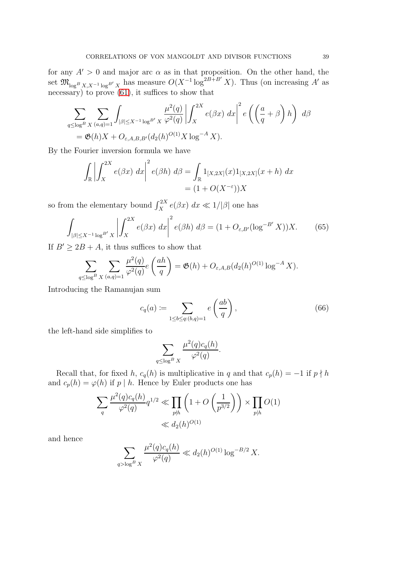for any  $A' > 0$  and major arc  $\alpha$  as in that proposition. On the other hand, the set  $\mathfrak{M}_{\log^B X, X^{-1} \log^{B'} X}$  has measure  $O(X^{-1} \log^{2B+B'} X)$ . Thus (on increasing A' as necessary) to prove  $(61)$ , it suffices to show that

$$
\sum_{q \leq \log^B X} \sum_{(a,q)=1} \int_{|\beta| \leq X^{-1} \log^{B'} X} \frac{\mu^2(q)}{\varphi^2(q)} \left| \int_X^{2X} e(\beta x) \, dx \right|^2 e\left( \left( \frac{a}{q} + \beta \right) h \right) \, d\beta
$$
\n
$$
= \mathfrak{G}(h)X + O_{\varepsilon, A, B, B'}(d_2(h)^{O(1)} X \log^{-A} X).
$$

By the Fourier inversion formula we have

$$
\int_{\mathbb{R}} \left| \int_{X}^{2X} e(\beta x) dx \right|^{2} e(\beta h) d\beta = \int_{\mathbb{R}} 1_{[X,2X]}(x) 1_{[X,2X]}(x+h) dx
$$
  
=  $(1 + O(X^{-\varepsilon}))X$ 

so from the elementary bound  $\int_X^{2X} e(\beta x) dx \ll 1/|\beta|$  one has

<span id="page-38-0"></span>
$$
\int_{|\beta| \le X^{-1} \log^{B'} X} \left| \int_X^{2X} e(\beta x) \, dx \right|^2 e(\beta h) \, d\beta = (1 + O_{\varepsilon, B'} (\log^{-B'} X)) X. \tag{65}
$$

If  $B' \geq 2B + A$ , it thus suffices to show that

$$
\sum_{q\leq \log^B X} \sum_{(a,q)=1} \frac{\mu^2(q)}{\varphi^2(q)} e\left(\frac{ah}{q}\right) = \mathfrak{G}(h) + O_{\varepsilon,A,B}(d_2(h)^{O(1)} \log^{-A} X).
$$

Introducing the Ramanujan sum

<span id="page-38-1"></span>
$$
c_q(a) := \sum_{1 \le b \le q: (b,q)=1} e\left(\frac{ab}{q}\right),\tag{66}
$$

the left-hand side simplifies to

$$
\sum_{q \le \log^B X} \frac{\mu^2(q)c_q(h)}{\varphi^2(q)}.
$$

Recall that, for fixed h,  $c_q(h)$  is multiplicative in q and that  $c_p(h) = -1$  if  $p \nmid h$ and  $c_p(h) = \varphi(h)$  if p | h. Hence by Euler products one has

$$
\sum_{q} \frac{\mu^2(q)c_q(h)}{\varphi^2(q)} q^{1/2} \ll \prod_{p \nmid h} \left( 1 + O\left(\frac{1}{p^{3/2}}\right) \right) \times \prod_{p \mid h} O(1)
$$
  

$$
\ll d_2(h)^{O(1)}
$$

and hence

$$
\sum_{q>\log^B X} \frac{\mu^2(q)c_q(h)}{\varphi^2(q)} \ll d_2(h)^{O(1)} \log^{-B/2} X.
$$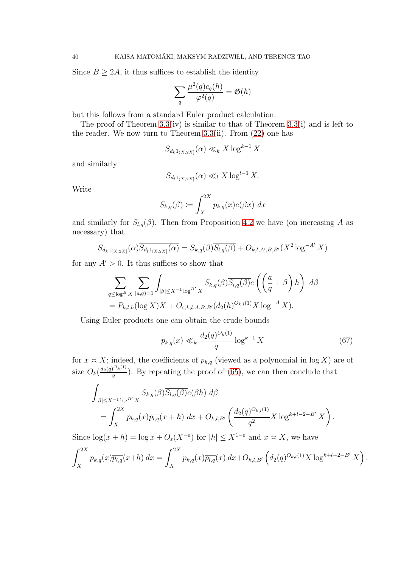Since  $B \geq 2A$ , it thus suffices to establish the identity

$$
\sum_{q} \frac{\mu^2(q)c_q(h)}{\varphi^2(q)} = \mathfrak{G}(h)
$$

but this follows from a standard Euler product calculation.

The proof of Theorem  $3.3(iv)$  is similar to that of Theorem  $3.3(i)$  and is left to the reader. We now turn to Theorem  $3.3$ (ii). From  $(22)$  one has

$$
S_{d_k 1_{(X,2X]}}(\alpha) \ll_k X \log^{k-1} X
$$

and similarly

$$
S_{d_l 1_{(X,2X]}}(\alpha) \ll_l X \log^{l-1} X.
$$

Write

$$
S_{k,q}(\beta) \coloneqq \int_X^{2X} p_{k,q}(x) e(\beta x) \ dx
$$

and similarly for  $S_{l,q}(\beta)$ . Then from Proposition [4.2](#page-36-1) we have (on increasing A as necessary) that

$$
S_{d_k 1_{(X,2X]}}(\alpha) \overline{S_{d_l 1_{(X,2X]}}(\alpha)} = S_{k,q}(\beta) \overline{S_{l,q}(\beta)} + O_{k,l,A',B,B'}(X^2 \log^{-A'} X)
$$

for any  $A' > 0$ . It thus suffices to show that

$$
\sum_{q \leq \log^B X} \sum_{(a,q)=1} \int_{|\beta| \leq X^{-1} \log^{B'} X} S_{k,q}(\beta) \overline{S_{l,q}(\beta)} e\left(\left(\frac{a}{q} + \beta\right)h\right) d\beta
$$
  
=  $P_{k,l,h}(\log X)X + O_{\varepsilon,k,l,A,B,B'}(d_2(h)^{O_{k,l}(1)} X \log^{-A} X).$ 

Using Euler products one can obtain the crude bounds

<span id="page-39-0"></span>
$$
p_{k,q}(x) \ll_k \frac{d_2(q)^{O_k(1)}}{q} \log^{k-1} X \tag{67}
$$

for  $x \simeq X$ ; indeed, the coefficients of  $p_{k,q}$  (viewed as a polynomial in log X) are of size  $O_k(\frac{d_2(q)^{O_k(1)}}{q})$  $\frac{q}{q}$ ). By repeating the proof of [\(65\)](#page-38-0), we can then conclude that

$$
\int_{|\beta| \le X^{-1} \log^{B'} X} S_{k,q}(\beta) \overline{S_{l,q}(\beta)} e(\beta h) d\beta
$$
\n
$$
= \int_X^{2X} p_{k,q}(x) \overline{p_{l,q}}(x+h) dx + O_{k,l,B'} \left( \frac{d_2(q)^{O_{k,l}(1)}}{q^2} X \log^{k+l-2-B'} X \right).
$$

Since  $\log(x+h) = \log x + O_{\varepsilon}(X^{-\varepsilon})$  for  $|h| \leq X^{1-\varepsilon}$  and  $x \approx X$ , we have

$$
\int_X^{2X} p_{k,q}(x) \overline{p_{l,q}}(x+h) dx = \int_X^{2X} p_{k,q}(x) \overline{p_{l,q}}(x) dx + O_{k,l,B'} \left( d_2(q)^{O_{k,l}(1)} X \log^{k+l-2-B'} X \right).
$$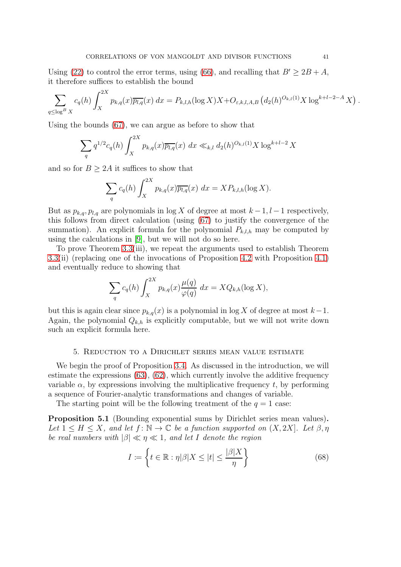Using [\(22\)](#page-15-0) to control the error terms, using [\(66\)](#page-38-1), and recalling that  $B' \geq 2B + A$ , it therefore suffices to establish the bound

$$
\sum_{q \leq \log^B X} c_q(h) \int_X^{2X} p_{k,q}(x) \overline{p_{l,q}}(x) dx = P_{k,l,h}(\log X) X + O_{\varepsilon,k,l,A,B} (d_2(h)^{O_{k,l}(1)} X \log^{k+l-2-A} X).
$$

Using the bounds [\(67\)](#page-39-0), we can argue as before to show that

$$
\sum_{q} q^{1/2} c_q(h) \int_X^{2X} p_{k,q}(x) \overline{p_{l,q}}(x) \ dx \ll_{k,l} d_2(h)^{O_{k,l}(1)} X \log^{k+l-2} X
$$

and so for  $B \geq 2A$  it suffices to show that

$$
\sum_{q} c_q(h) \int_X^{2X} p_{k,q}(x) \overline{p_{l,q}}(x) dx = X P_{k,l,h}(\log X).
$$

But as  $p_{k,q}$ ,  $p_{l,q}$  are polynomials in log X of degree at most  $k-1, l-1$  respectively, this follows from direct calculation (using [\(67\)](#page-39-0) to justify the convergence of the summation). An explicit formula for the polynomial  $P_{k,l,h}$  may be computed by using the calculations in [\[9\]](#page-76-0), but we will not do so here.

To prove Theorem [3.3\(](#page-33-0)iii), we repeat the arguments used to establish Theorem [3.3\(](#page-33-0)ii) (replacing one of the invocations of Proposition [4.2](#page-36-1) with Proposition [4.1\)](#page-36-0) and eventually reduce to showing that

$$
\sum_{q} c_q(h) \int_X^{2X} p_{k,q}(x) \frac{\mu(q)}{\varphi(q)} dx = X Q_{k,h}(\log X),
$$

but this is again clear since  $p_{k,q}(x)$  is a polynomial in log X of degree at most  $k-1$ . Again, the polynomial  $Q_{k,h}$  is explicitly computable, but we will not write down such an explicit formula here.

## 5. Reduction to a Dirichlet series mean value estimate

We begin the proof of Proposition [3.4.](#page-34-0) As discussed in the introduction, we will estimate the expressions  $(63)$ ,  $(62)$ , which currently involve the additive frequency variable  $\alpha$ , by expressions involving the multiplicative frequency t, by performing a sequence of Fourier-analytic transformations and changes of variable.

The starting point will be the following treatment of the  $q = 1$  case:

<span id="page-40-1"></span>Proposition 5.1 (Bounding exponential sums by Dirichlet series mean values). Let  $1 \leq H \leq X$ , and let  $f: \mathbb{N} \to \mathbb{C}$  be a function supported on  $(X, 2X]$ . Let  $\beta, \eta$ be real numbers with  $|\beta| \ll \eta \ll 1$ , and let I denote the region

<span id="page-40-0"></span>
$$
I := \left\{ t \in \mathbb{R} : \eta | \beta | X \le |t| \le \frac{|\beta| X}{\eta} \right\} \tag{68}
$$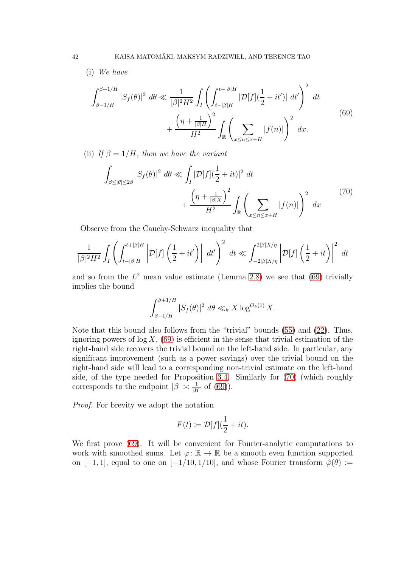(i) We have

<span id="page-41-0"></span>
$$
\int_{\beta-1/H}^{\beta+1/H} |S_f(\theta)|^2 \, d\theta \ll \frac{1}{|\beta|^2 H^2} \int_I \left( \int_{t-|\beta|H}^{t+|\beta|H} |\mathcal{D}[f](\frac{1}{2} + it')| \, dt' \right)^2 \, dt + \frac{\left(\eta + \frac{1}{|\beta|H}\right)^2}{H^2} \int_{\mathbb{R}} \left( \sum_{x \le n \le x+H} |f(n)| \right)^2 \, dx. \tag{69}
$$

(ii) If  $\beta = 1/H$ , then we have the variant

<span id="page-41-1"></span>
$$
\int_{\beta \le |\theta| \le 2\beta} |S_f(\theta)|^2 \, d\theta \ll \int_I |\mathcal{D}[f](\frac{1}{2} + it)|^2 \, dt\n+ \frac{\left(\eta + \frac{1}{|\beta|X}\right)^2}{H^2} \int_{\mathbb{R}} \left(\sum_{x \le n \le x+H} |f(n)|\right)^2 \, dx
$$
\n(70)

Observe from the Cauchy-Schwarz inequality that

$$
\frac{1}{|\beta|^2 H^2} \int_I \left( \int_{t-|\beta|H}^{t+|\beta|H} \left| \mathcal{D}[f] \left( \frac{1}{2} + it' \right) \right| dt' \right)^2 dt \ll \int_{-2|\beta|X/\eta}^{2|\beta|X/\eta} \left| \mathcal{D}[f] \left( \frac{1}{2} + it \right) \right|^2 dt
$$

and so from the  $L^2$  mean value estimate (Lemma [2.8\)](#page-20-0) we see that [\(69\)](#page-41-0) trivially implies the bound

$$
\int_{\beta-1/H}^{\beta+1/H} |S_f(\theta)|^2 \ d\theta \ll_k X \log^{O_k(1)} X.
$$

Note that this bound also follows from the "trivial" bounds [\(55\)](#page-32-0) and [\(22\)](#page-15-0). Thus, ignoring powers of  $log X$ , [\(69\)](#page-41-0) is efficient in the sense that trivial estimation of the right-hand side recovers the trivial bound on the left-hand side. In particular, any significant improvement (such as a power savings) over the trivial bound on the right-hand side will lead to a corresponding non-trivial estimate on the left-hand side, of the type needed for Proposition [3.4.](#page-34-0) Similarly for [\(70\)](#page-41-1) (which roughly corresponds to the endpoint  $|\beta| \approx \frac{1}{|H|}$  of [\(69\)](#page-41-0)).

Proof. For brevity we adopt the notation

$$
F(t) := \mathcal{D}[f](\frac{1}{2} + it).
$$

We first prove [\(69\)](#page-41-0). It will be convenient for Fourier-analytic computations to work with smoothed sums. Let  $\varphi: \mathbb{R} \to \mathbb{R}$  be a smooth even function supported on [-1, 1], equal to one on [-1/10, 1/10], and whose Fourier transform  $\hat{\varphi}(\theta) :=$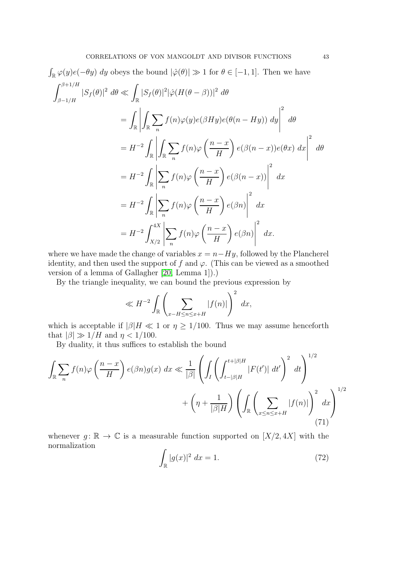$$
\int_{\mathbb{R}} \varphi(y)e(-\theta y) dy \text{ obeys the bound } |\hat{\varphi}(\theta)| \gg 1 \text{ for } \theta \in [-1, 1]. \text{ Then we have}
$$
\n
$$
\int_{\beta-1/H}^{\beta+1/H} |S_f(\theta)|^2 d\theta \ll \int_{\mathbb{R}} |S_f(\theta)|^2 |\hat{\varphi}(H(\theta-\beta))|^2 d\theta
$$
\n
$$
= \int_{\mathbb{R}} \left| \int_{\mathbb{R}} \sum_n f(n)\varphi(y)e(\beta Hy)e(\theta(n-Hy)) dy \right|^2 d\theta
$$
\n
$$
= H^{-2} \int_{\mathbb{R}} \left| \int_{\mathbb{R}} \sum_n f(n)\varphi\left(\frac{n-x}{H}\right) e(\beta(n-x))e(\theta x) dx \right|^2 d\theta
$$
\n
$$
= H^{-2} \int_{\mathbb{R}} \left| \sum_n f(n)\varphi\left(\frac{n-x}{H}\right) e(\beta(n-x)) \right|^2 dx
$$
\n
$$
= H^{-2} \int_{\mathbb{R}} \left| \sum_n f(n)\varphi\left(\frac{n-x}{H}\right) e(\beta n) \right|^2 dx
$$
\n
$$
= H^{-2} \int_{X/2}^{4X} \left| \sum_n f(n)\varphi\left(\frac{n-x}{H}\right) e(\beta n) \right|^2 dx
$$

where we have made the change of variables  $x = n - Hy$ , followed by the Plancherel identity, and then used the support of f and  $\varphi$ . (This can be viewed as a smoothed version of a lemma of Gallagher [\[20,](#page-76-1) Lemma 1]).)

By the triangle inequality, we can bound the previous expression by

$$
\ll H^{-2} \int_{\mathbb{R}} \left( \sum_{x-H \le n \le x+H} |f(n)| \right)^2 dx,
$$

which is acceptable if  $|\beta|H \ll 1$  or  $\eta \geq 1/100$ . Thus we may assume henceforth that  $|\beta| \gg 1/H$  and  $\eta < 1/100$ .

By duality, it thus suffices to establish the bound

<span id="page-42-0"></span>
$$
\int_{\mathbb{R}} \sum_{n} f(n) \varphi \left( \frac{n-x}{H} \right) e(\beta n) g(x) dx \ll \frac{1}{|\beta|} \left( \int_{I} \left( \int_{t-|\beta|H}^{t+|\beta|H} |F(t')| dt' \right)^{2} dt \right)^{1/2} + \left( \eta + \frac{1}{|\beta|H} \right) \left( \int_{\mathbb{R}} \left( \sum_{x \le n \le x+H} |f(n)| \right)^{2} dx \right)^{1/2} \tag{71}
$$

whenever  $g: \mathbb{R} \to \mathbb{C}$  is a measurable function supported on  $[X/2, 4X]$  with the normalization

<span id="page-42-1"></span>
$$
\int_{\mathbb{R}} |g(x)|^2 dx = 1. \tag{72}
$$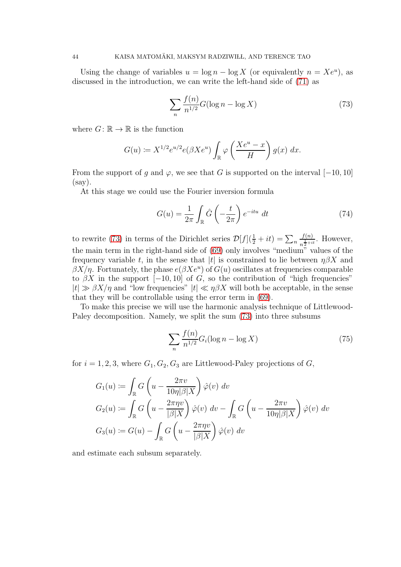Using the change of variables  $u = \log n - \log X$  (or equivalently  $n = Xe^u$ ), as discussed in the introduction, we can write the left-hand side of [\(71\)](#page-42-0) as

<span id="page-43-0"></span>
$$
\sum_{n} \frac{f(n)}{n^{1/2}} G(\log n - \log X) \tag{73}
$$

where  $G: \mathbb{R} \to \mathbb{R}$  is the function

$$
G(u) \coloneqq X^{1/2} e^{u/2} e(\beta X e^u) \int_{\mathbb{R}} \varphi \left( \frac{X e^u - x}{H} \right) g(x) dx.
$$

From the support of g and  $\varphi$ , we see that G is supported on the interval [−10, 10] (say).

At this stage we could use the Fourier inversion formula

<span id="page-43-1"></span>
$$
G(u) = \frac{1}{2\pi} \int_{\mathbb{R}} \hat{G}\left(-\frac{t}{2\pi}\right) e^{-itu} dt \tag{74}
$$

to rewrite [\(73\)](#page-43-0) in terms of the Dirichlet series  $\mathcal{D}[f](\frac{1}{2} + it) = \sum_{n=1}^{\infty}$  $f(n)$  $\frac{J(n)}{n^{\frac{1}{2}+it}}$ . However, the main term in the right-hand side of [\(69\)](#page-41-0) only involves "medium" values of the frequency variable t, in the sense that |t| is constrained to lie between  $\eta\beta X$  and  $\beta X/\eta$ . Fortunately, the phase  $e(\beta Xe^u)$  of  $G(u)$  oscillates at frequencies comparable to  $\beta X$  in the support  $[-10, 10]$  of G, so the contribution of "high frequencies"  $|t| \gg \beta X/\eta$  and "low frequencies"  $|t| \ll \eta \beta X$  will both be acceptable, in the sense that they will be controllable using the error term in [\(69\)](#page-41-0).

To make this precise we will use the harmonic analysis technique of Littlewood-Paley decomposition. Namely, we split the sum [\(73\)](#page-43-0) into three subsums

<span id="page-43-2"></span>
$$
\sum_{n} \frac{f(n)}{n^{1/2}} G_i(\log n - \log X)
$$
 (75)

for  $i = 1, 2, 3$ , where  $G_1, G_2, G_3$  are Littlewood-Paley projections of G,

$$
G_1(u) := \int_{\mathbb{R}} G\left(u - \frac{2\pi v}{10\eta|\beta|X}\right) \hat{\varphi}(v) dv
$$
  
\n
$$
G_2(u) := \int_{\mathbb{R}} G\left(u - \frac{2\pi \eta v}{|\beta|X}\right) \hat{\varphi}(v) dv - \int_{\mathbb{R}} G\left(u - \frac{2\pi v}{10\eta|\beta|X}\right) \hat{\varphi}(v) dv
$$
  
\n
$$
G_3(u) := G(u) - \int_{\mathbb{R}} G\left(u - \frac{2\pi \eta v}{|\beta|X}\right) \hat{\varphi}(v) dv
$$

and estimate each subsum separately.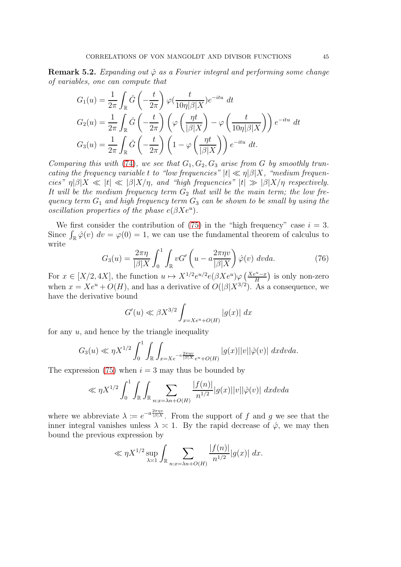<span id="page-44-0"></span>**Remark 5.2.** Expanding out  $\hat{\varphi}$  as a Fourier integral and performing some change of variables, one can compute that

$$
G_1(u) = \frac{1}{2\pi} \int_{\mathbb{R}} \hat{G}\left(-\frac{t}{2\pi}\right) \varphi\left(\frac{t}{10\eta|\beta|X}\right) e^{-itu} dt
$$
  
\n
$$
G_2(u) = \frac{1}{2\pi} \int_{\mathbb{R}} \hat{G}\left(-\frac{t}{2\pi}\right) \left(\varphi\left(\frac{\eta t}{|\beta|X}\right) - \varphi\left(\frac{t}{10\eta|\beta|X}\right)\right) e^{-itu} dt
$$
  
\n
$$
G_3(u) = \frac{1}{2\pi} \int_{\mathbb{R}} \hat{G}\left(-\frac{t}{2\pi}\right) \left(1 - \varphi\left(\frac{\eta t}{|\beta|X}\right)\right) e^{-itu} dt.
$$

Comparing this with [\(74\)](#page-43-1), we see that  $G_1, G_2, G_3$  arise from G by smoothly truncating the frequency variable t to "low frequencies"  $|t| \ll \eta |\beta| X$ , "medium frequencies"  $\eta|\beta|X \ll |t| \ll |\beta|X/\eta$ , and "high frequencies"  $|t| \gg |\beta|X/\eta$  respectively. It will be the medium frequency term  $G_2$  that will be the main term; the low frequency term  $G_1$  and high frequency term  $G_3$  can be shown to be small by using the oscillation properties of the phase  $e(\beta Xe^u)$ .

We first consider the contribution of [\(75\)](#page-43-2) in the "high frequency" case  $i = 3$ . Since  $\int_{\mathbb{R}} \hat{\varphi}(v) dv = \varphi(0) = 1$ , we can use the fundamental theorem of calculus to write

<span id="page-44-1"></span>
$$
G_3(u) = \frac{2\pi\eta}{|\beta|X} \int_0^1 \int_{\mathbb{R}} vG' \left(u - a\frac{2\pi\eta v}{|\beta|X}\right) \hat{\varphi}(v) dv da.
$$
 (76)

For  $x \in [X/2, 4X]$ , the function  $u \mapsto X^{1/2} e^{u/2} e(\beta X e^u) \varphi\left(\frac{X e^u - x}{H}\right)$  is only non-zero when  $x = Xe^u + O(H)$ , and has a derivative of  $O(|\beta|X^{3/2})$ . As a consequence, we have the derivative bound

$$
G'(u) \ll \beta X^{3/2} \int_{x=Xe^u+O(H)} |g(x)| dx
$$

for any  $u$ , and hence by the triangle inequality

$$
G_3(u) \ll \eta X^{1/2} \int_0^1 \int_{\mathbb{R}} \int_{x = X e^{-a \frac{2\pi n v}{|\beta|X}} e^u + O(H)} |g(x)| |v| |\hat{\varphi}(v)| dx dv da.
$$

The expression [\(75\)](#page-43-2) when  $i = 3$  may thus be bounded by

$$
\ll \eta X^{1/2} \int_0^1 \int_{\mathbb{R}} \int_{\mathbb{R}} \sum_{n:x=\lambda n+O(H)} \frac{|f(n)|}{n^{1/2}} |g(x)| |v| |\hat{\varphi}(v)| dx dv da
$$

where we abbreviate  $\lambda := e^{-a \frac{2\pi \eta v}{|\beta| X}}$ . From the support of f and g we see that the inner integral vanishes unless  $\lambda \approx 1$ . By the rapid decrease of  $\hat{\varphi}$ , we may then bound the previous expression by

$$
\ll \eta X^{1/2} \sup_{\lambda \asymp 1} \int_{\mathbb{R}} \sum_{n: x = \lambda n + O(H)} \frac{|f(n)|}{n^{1/2}} |g(x)| dx.
$$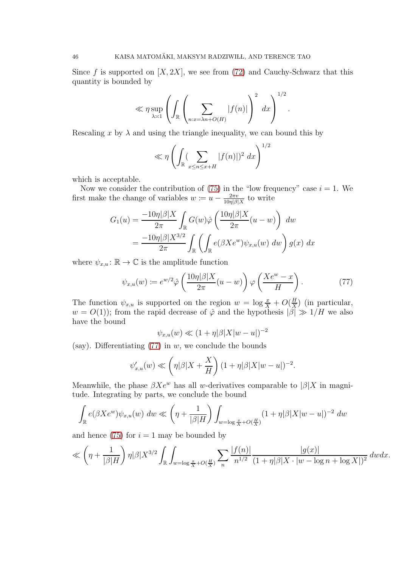Since f is supported on  $[X, 2X]$ , we see from [\(72\)](#page-42-1) and Cauchy-Schwarz that this quantity is bounded by

$$
\ll \eta \sup_{\lambda \asymp 1} \left( \int_{\mathbb{R}} \left( \sum_{n:x = \lambda n + O(H)} |f(n)| \right)^2 dx \right)^{1/2}.
$$

Rescaling x by  $\lambda$  and using the triangle inequality, we can bound this by

$$
\ll \eta \left( \int_{\mathbb{R}} \left( \sum_{x \le n \le x+H} |f(n)| \right)^2 dx \right)^{1/2}
$$

which is acceptable.

Now we consider the contribution of  $(75)$  in the "low frequency" case  $i = 1$ . We first make the change of variables  $w \coloneqq u - \frac{2\pi v}{10\eta|\beta|}$  $\frac{2\pi v}{10\eta|\beta|X}$  to write

$$
G_1(u) = \frac{-10\eta|\beta|X}{2\pi} \int_{\mathbb{R}} G(w)\hat{\varphi}\left(\frac{10\eta|\beta|X}{2\pi}(u-w)\right) dw
$$
  
= 
$$
\frac{-10\eta|\beta|X^{3/2}}{2\pi} \int_{\mathbb{R}} \left(\int_{\mathbb{R}} e(\beta X e^w)\psi_{x,u}(w) dw\right) g(x) dx
$$

where  $\psi_{x,u} : \mathbb{R} \to \mathbb{C}$  is the amplitude function

<span id="page-45-0"></span>
$$
\psi_{x,u}(w) \coloneqq e^{w/2} \hat{\varphi} \left( \frac{10\eta|\beta|X}{2\pi}(u-w) \right) \varphi \left( \frac{Xe^w - x}{H} \right). \tag{77}
$$

The function  $\psi_{x,u}$  is supported on the region  $w = \log \frac{x}{X} + O(\frac{H}{X})$  $\frac{H}{X}$ ) (in particular,  $w = O(1)$ ; from the rapid decrease of  $\hat{\varphi}$  and the hypothesis  $|\beta| \gg 1/H$  we also have the bound

$$
\psi_{x,u}(w) \ll (1+\eta|\beta|X|w-u|)^{-2}
$$

(say). Differentiating  $(77)$  in w, we conclude the bounds

$$
\psi'_{x,u}(w) \ll \left(\eta|\beta|X+\frac{X}{H}\right)(1+\eta|\beta|X|w-u|)^{-2}.
$$

Meanwhile, the phase  $\beta Xe^w$  has all w-derivatives comparable to  $|\beta|X$  in magnitude. Integrating by parts, we conclude the bound

$$
\int_{\mathbb{R}} e(\beta X e^w) \psi_{x,u}(w) \ dw \ll \left(\eta + \frac{1}{|\beta|H}\right) \int_{w = \log \frac{x}{X} + O(\frac{H}{X})} (1 + \eta |\beta| X |w - u|)^{-2} \ dw
$$

and hence [\(75\)](#page-43-2) for  $i = 1$  may be bounded by

$$
\ll \left(\eta + \frac{1}{|\beta|H}\right) \eta |\beta| X^{3/2} \int_{\mathbb{R}} \int_{w = \log \frac{x}{X} + O(\frac{H}{X})} \sum_{n} \frac{|f(n)|}{n^{1/2}} \frac{|g(x)|}{(1 + \eta |\beta| X \cdot |w - \log n + \log X|)^2} \, dw dx.
$$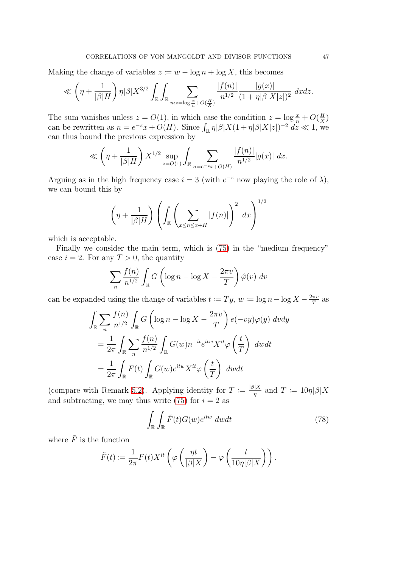Making the change of variables  $z := w - \log n + \log X$ , this becomes

$$
\ll \left(\eta + \frac{1}{|\beta|H}\right) \eta |\beta| X^{3/2} \int_{\mathbb{R}} \int_{\mathbb{R}} \sum_{n: z = \log \frac{x}{n} + O(\frac{H}{X})} \frac{|f(n)|}{n^{1/2}} \frac{|g(x)|}{(1 + \eta |\beta| X| z|)^2} dx dz.
$$

The sum vanishes unless  $z = O(1)$ , in which case the condition  $z = \log \frac{x}{n} + O(\frac{H}{X})$  $\frac{H}{X}$ can be rewritten as  $n = e^{-z}x + O(H)$ . Since  $\int_{\mathbb{R}} \eta |\beta| X(1 + \eta |\beta| X|z|)^{-2} dz \ll 1$ , we can thus bound the previous expression by

$$
\ll \left(\eta + \frac{1}{|\beta|H}\right) X^{1/2} \sup_{z = O(1)} \int_{\mathbb{R}} \sum_{n=e^{-z}x + O(H)} \frac{|f(n)|}{n^{1/2}} |g(x)| dx.
$$

Arguing as in the high frequency case  $i = 3$  (with  $e^{-z}$  now playing the role of  $\lambda$ ), we can bound this by

$$
\left(\eta + \frac{1}{|\beta|H}\right) \left(\int_{\mathbb{R}} \left(\sum_{x \le n \le x+H} |f(n)|\right)^2 dx\right)^{1/2}
$$

which is acceptable.

Finally we consider the main term, which is [\(75\)](#page-43-2) in the "medium frequency" case  $i = 2$ . For any  $T > 0$ , the quantity

$$
\sum_{n} \frac{f(n)}{n^{1/2}} \int_{\mathbb{R}} G\left(\log n - \log X - \frac{2\pi v}{T}\right) \hat{\varphi}(v) dv
$$

can be expanded using the change of variables  $t := Ty, w := \log n - \log X - \frac{2\pi v}{T}$  $\frac{\pi v}{T}$  as

$$
\int_{\mathbb{R}} \sum_{n} \frac{f(n)}{n^{1/2}} \int_{\mathbb{R}} G\left(\log n - \log X - \frac{2\pi v}{T}\right) e(-vy)\varphi(y) dv dy
$$

$$
= \frac{1}{2\pi} \int_{\mathbb{R}} \sum_{n} \frac{f(n)}{n^{1/2}} \int_{\mathbb{R}} G(w) n^{-it} e^{itw} X^{it} \varphi\left(\frac{t}{T}\right) dw dt
$$

$$
= \frac{1}{2\pi} \int_{\mathbb{R}} F(t) \int_{\mathbb{R}} G(w) e^{itw} X^{it} \varphi\left(\frac{t}{T}\right) dw dt
$$

(compare with Remark [5.2\)](#page-44-0). Applying identity for  $T := \frac{|\beta|X}{\eta}$  and  $T := 10\eta |\beta|X$ and subtracting, we may thus write  $(75)$  for  $i = 2$  as

<span id="page-46-0"></span>
$$
\int_{\mathbb{R}} \int_{\mathbb{R}} \tilde{F}(t) G(w) e^{itw} \ dw dt \tag{78}
$$

where  $\tilde{F}$  is the function

$$
\tilde{F}(t) := \frac{1}{2\pi} F(t) X^{it} \left( \varphi \left( \frac{\eta t}{|\beta|X} \right) - \varphi \left( \frac{t}{10\eta |\beta|X} \right) \right).
$$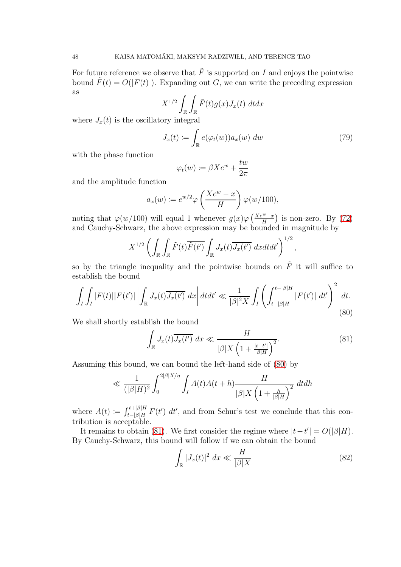For future reference we observe that  $\tilde{F}$  is supported on I and enjoys the pointwise bound  $\tilde{F}(t) = O(|F(t)|)$ . Expanding out G, we can write the preceding expression as

$$
X^{1/2} \int_{\mathbb{R}} \int_{\mathbb{R}} \tilde{F}(t) g(x) J_x(t) dt dx
$$

where  $J_x(t)$  is the oscillatory integral

$$
J_x(t) := \int_{\mathbb{R}} e(\varphi_t(w)) a_x(w) \ dw \tag{79}
$$

,

with the phase function

$$
\varphi_t(w) := \beta X e^w + \frac{t w}{2\pi}
$$

and the amplitude function

$$
a_x(w) := e^{w/2} \varphi \left(\frac{X e^w - x}{H}\right) \varphi(w/100),
$$

noting that  $\varphi(w/100)$  will equal 1 whenever  $g(x)\varphi\left(\frac{Xe^w-x}{H}\right)$  is non-zero. By [\(72\)](#page-42-1) and Cauchy-Schwarz, the above expression may be bounded in magnitude by

$$
X^{1/2} \left( \int_{\mathbb{R}} \int_{\mathbb{R}} \tilde{F}(t) \overline{\tilde{F}(t')} \int_{\mathbb{R}} J_x(t) \overline{J_x(t')} dx dt dt' \right)^{1/2}
$$

so by the triangle inequality and the pointwise bounds on  $\tilde{F}$  it will suffice to establish the bound

<span id="page-47-0"></span>
$$
\int_{I} \int_{I} |F(t)| |F(t')| \left| \int_{\mathbb{R}} J_x(t) \overline{J_x(t')} dx \right| dt dt' \ll \frac{1}{|\beta|^2 X} \int_{I} \left( \int_{t-|\beta|H}^{t+|\beta|H} |F(t')| dt' \right)^2 dt.
$$
\n(80)

We shall shortly establish the bound

<span id="page-47-1"></span>
$$
\int_{\mathbb{R}} J_x(t) \overline{J_x(t')} dx \ll \frac{H}{|\beta| X \left(1 + \frac{|t - t'|}{|\beta| H}\right)^2}.
$$
\n(81)

Assuming this bound, we can bound the left-hand side of [\(80\)](#page-47-0) by

$$
\ll \frac{1}{(|\beta|H)^2} \int_0^{2|\beta|X/\eta} \int_I A(t)A(t+h) \frac{H}{|\beta|X\left(1 + \frac{h}{|\beta|H}\right)^2} dt dh
$$

where  $A(t) := \int_{t-|\beta|H}^{t+|\beta|H} F(t') dt'$ , and from Schur's test we conclude that this contribution is acceptable.

It remains to obtain [\(81\)](#page-47-1). We first consider the regime where  $|t-t'| = O(|\beta|H)$ . By Cauchy-Schwarz, this bound will follow if we can obtain the bound

<span id="page-47-2"></span>
$$
\int_{\mathbb{R}} |J_x(t)|^2 \, dx \ll \frac{H}{|\beta|X} \tag{82}
$$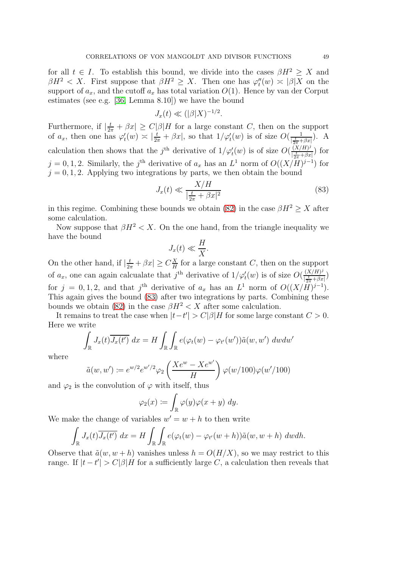for all  $t \in I$ . To establish this bound, we divide into the cases  $\beta H^2 \geq X$  and  $\beta H^2 < X$ . First suppose that  $\beta H^2 \geq X$ . Then one has  $\varphi''_t(w) \approx |\beta| X$  on the support of  $a_x$ , and the cutoff  $a_x$  has total variation  $O(1)$ . Hence by van der Corput estimates (see e.g. [\[36,](#page-77-0) Lemma 8.10]) we have the bound

$$
J_x(t) \ll (|\beta|X)^{-1/2}.
$$

Furthermore, if  $\left|\frac{t}{2\pi} + \beta x\right| \ge C|\beta|H$  for a large constant C, then on the support of  $a_x$ , then one has  $\varphi'_t(w) \approx \left|\frac{t}{2\pi} + \beta x\right|$ , so that  $1/\varphi'_t(w)$  is of size  $O(\frac{1}{\left|\frac{t}{2\pi} + \beta x\right|})$  $\frac{1}{\left|\frac{t}{2\pi} + \beta x\right|}$ ). A calculation then shows that the j<sup>th</sup> derivative of  $1/\varphi'_t(w)$  is of size  $O(\frac{(X/H)^j}{\frac{t}{s}+\beta x})$ |  $\frac{\frac{X}{t}+Bx}{\frac{1}{2\pi}+\beta x}$  for  $j = 0, 1, 2$ . Similarly, the j<sup>th</sup> derivative of  $a_x$  has an  $L^1$  norm of  $O((X/H)^{j-1})$  for  $j = 0, 1, 2$ . Applying two integrations by parts, we then obtain the bound

<span id="page-48-0"></span>
$$
J_x(t) \ll \frac{X/H}{|\frac{t}{2\pi} + \beta x|^2} \tag{83}
$$

in this regime. Combining these bounds we obtain [\(82\)](#page-47-2) in the case  $\beta H^2 \ge X$  after some calculation.

Now suppose that  $\beta H^2 < X$ . On the one hand, from the triangle inequality we have the bound

$$
J_x(t) \ll \frac{H}{X}.
$$

On the other hand, if  $\left|\frac{t}{2\pi} + \beta x\right| \ge C\frac{X}{H}$  $\frac{X}{H}$  for a large constant C, then on the support of  $a_x$ , one can again calcualate that  $j^{\text{th}}$  derivative of  $1/\varphi'_t(w)$  is of size  $O(\frac{(X/H)^j}{\vert \frac{t}{n} + \beta x}$  $\frac{\left(\Lambda/H\right)^{3}}{\left|\frac{t}{2\pi}+\beta x\right|}$ for  $j = 0, 1, 2$ , and that  $j^{\text{th}}$  derivative of  $a_x$  has an  $L^1$  norm of  $O((X/H)^{j-1})$ . This again gives the bound [\(83\)](#page-48-0) after two integrations by parts. Combining these bounds we obtain [\(82\)](#page-47-2) in the case  $\beta H^2 < X$  after some calculation.

It remains to treat the case when  $|t-t'| > C|\beta|H$  for some large constant  $C > 0$ . Here we write

$$
\int_{\mathbb{R}} J_x(t) \overline{J_x(t')} dx = H \int_{\mathbb{R}} \int_{\mathbb{R}} e(\varphi_t(w) - \varphi_{t'}(w')) \tilde{a}(w, w') dw dw'
$$

where

$$
\tilde{a}(w, w') := e^{w/2} e^{w'/2} \varphi_2 \left( \frac{X e^w - X e^{w'}}{H} \right) \varphi(w/100) \varphi(w'/100)
$$

and  $\varphi_2$  is the convolution of  $\varphi$  with itself, thus

$$
\varphi_2(x) \coloneqq \int_{\mathbb{R}} \varphi(y) \varphi(x+y) \ dy.
$$

We make the change of variables  $w' = w + h$  to then write

$$
\int_{\mathbb{R}} J_x(t) \overline{J_x(t')} dx = H \int_{\mathbb{R}} \int_{\mathbb{R}} e(\varphi_t(w) - \varphi_{t'}(w+h)) \tilde{a}(w, w+h) \ dw dh.
$$

Observe that  $\tilde{a}(w, w + h)$  vanishes unless  $h = O(H/X)$ , so we may restrict to this range. If  $|t-t'| > C|\beta|H$  for a sufficiently large C, a calculation then reveals that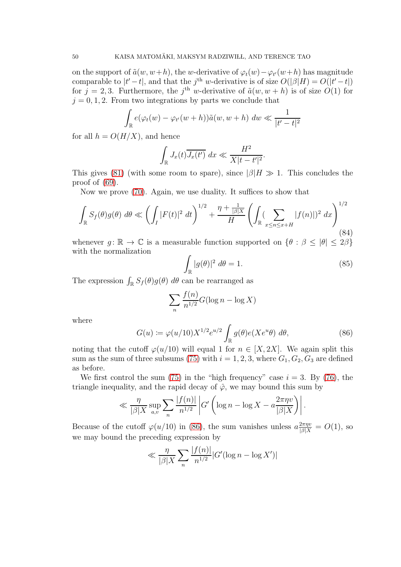on the support of  $\tilde{a}(w, w+h)$ , the w-derivative of  $\varphi_t(w) - \varphi_{t'}(w+h)$  has magnitude comparable to  $|t'-t|$ , and that the j<sup>th</sup> w-derivative is of size  $O(|\beta|H) = O(|t'-t|)$ for  $j = 2, 3$ . Furthermore, the j<sup>th</sup> w-derivative of  $\tilde{a}(w, w + h)$  is of size  $O(1)$  for  $j = 0, 1, 2$ . From two integrations by parts we conclude that

$$
\int_{\mathbb{R}} e(\varphi_t(w) - \varphi_{t'}(w+h))\tilde{a}(w, w+h) \ dw \ll \frac{1}{|t'-t|^2}
$$

for all  $h = O(H/X)$ , and hence

$$
\int_{\mathbb{R}} J_x(t) \overline{J_x(t')} dx \ll \frac{H^2}{X|t - t'|^2}
$$

This gives [\(81\)](#page-47-1) (with some room to spare), since  $|\beta|H \gg 1$ . This concludes the proof of [\(69\)](#page-41-0).

Now we prove [\(70\)](#page-41-1). Again, we use duality. It suffices to show that

<span id="page-49-2"></span>
$$
\int_{\mathbb{R}} S_f(\theta) g(\theta) d\theta \ll \left( \int_I |F(t)|^2 dt \right)^{1/2} + \frac{\eta + \frac{1}{|\beta|X}}{H} \left( \int_{\mathbb{R}} (\sum_{x \le n \le x+H} |f(n)|)^2 dx \right)^{1/2}
$$
\n(84)

whenever  $g: \mathbb{R} \to \mathbb{C}$  is a measurable function supported on  $\{\theta : \beta \leq |\theta| \leq 2\beta\}$ with the normalization

<span id="page-49-1"></span>
$$
\int_{\mathbb{R}} |g(\theta)|^2 \, d\theta = 1. \tag{85}
$$

.

The expression  $\int_{\mathbb{R}} S_f(\theta) g(\theta) d\theta$  can be rearranged as

$$
\sum_{n} \frac{f(n)}{n^{1/2}} G(\log n - \log X)
$$

where

<span id="page-49-0"></span>
$$
G(u) := \varphi(u/10)X^{1/2}e^{u/2}\int_{\mathbb{R}}g(\theta)e(Xe^{u\theta}) d\theta,
$$
\n(86)

noting that the cutoff  $\varphi(u/10)$  will equal 1 for  $n \in [X, 2X]$ . We again split this sum as the sum of three subsums [\(75\)](#page-43-2) with  $i = 1, 2, 3$ , where  $G_1, G_2, G_3$  are defined as before.

We first control the sum [\(75\)](#page-43-2) in the "high frequency" case  $i = 3$ . By [\(76\)](#page-44-1), the triangle inequality, and the rapid decay of  $\hat{\varphi}$ , we may bound this sum by

$$
\ll \frac{\eta}{|\beta|X} \sup_{a,v} \sum_{n} \frac{|f(n)|}{n^{1/2}} \left| G'\left(\log n - \log X - a \frac{2\pi \eta v}{|\beta|X}\right) \right|.
$$

Because of the cutoff  $\varphi(u/10)$  in [\(86\)](#page-49-0), the sum vanishes unless  $a\frac{2\pi\eta v}{|\beta|X} = O(1)$ , so we may bound the preceding expression by

$$
\ll \frac{\eta}{|\beta|X} \sum_{n} \frac{|f(n)|}{n^{1/2}} |G'(\log n - \log X')|
$$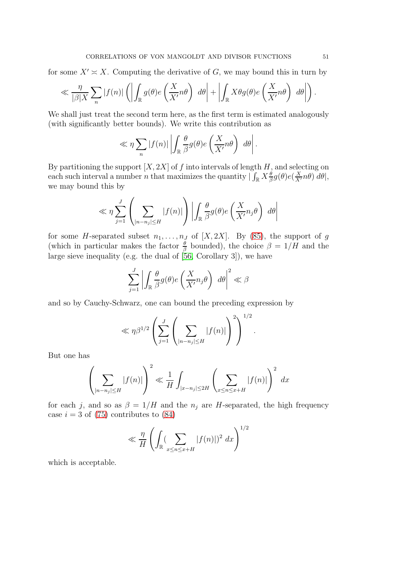for some  $X' \simeq X$ . Computing the derivative of G, we may bound this in turn by

$$
\ll \frac{\eta}{|\beta|X} \sum_{n} |f(n)| \left( \left| \int_{\mathbb{R}} g(\theta) e\left(\frac{X}{X'}n\theta\right) d\theta \right| + \left| \int_{\mathbb{R}} X \theta g(\theta) e\left(\frac{X}{X'}n\theta\right) d\theta \right| \right).
$$

We shall just treat the second term here, as the first term is estimated analogously (with significantly better bounds). We write this contribution as

$$
\ll \eta \sum_{n} |f(n)| \left| \int_{\mathbb{R}} \frac{\theta}{\beta} g(\theta) e\left(\frac{X}{X'} n\theta\right) d\theta \right|.
$$

By partitioning the support  $[X, 2X]$  of f into intervals of length H, and selecting on each such interval a number *n* that maximizes the quantity  $\int_{\mathbb{R}} X_{\beta}^{\theta} g(\theta) e(\frac{X}{X'}n\theta) d\theta$ , we may bound this by

$$
\ll \eta \sum_{j=1}^{J} \left( \sum_{|n-n_j| \le H} |f(n)| \right) \left| \int_{\mathbb{R}} \frac{\theta}{\beta} g(\theta) e\left( \frac{X}{X'} n_j \theta \right) d\theta \right|
$$

for some H-separated subset  $n_1, \ldots, n_J$  of  $[X, 2X]$ . By [\(85\)](#page-49-1), the support of g (which in particular makes the factor  $\frac{\theta}{\beta}$  bounded), the choice  $\beta = 1/H$  and the large sieve inequality (e.g. the dual of [\[56,](#page-78-1) Corollary 3]), we have

$$
\sum_{j=1}^{J} \left| \int_{\mathbb{R}} \frac{\theta}{\beta} g(\theta) e\left(\frac{X}{X'} n_j \theta\right) d\theta \right|^2 \ll \beta
$$

and so by Cauchy-Schwarz, one can bound the preceding expression by

$$
\ll \eta \beta^{1/2} \left( \sum_{j=1}^J \left( \sum_{|n-n_j| \leq H} |f(n)| \right)^2 \right)^{1/2}.
$$

But one has

$$
\left(\sum_{|n-n_j| \le H} |f(n)|\right)^2 \ll \frac{1}{H} \int_{|x-n_j| \le 2H} \left(\sum_{x \le n \le x+H} |f(n)|\right)^2 dx
$$

for each j, and so as  $\beta = 1/H$  and the  $n_j$  are H-separated, the high frequency case  $i = 3$  of [\(75\)](#page-43-2) contributes to [\(84\)](#page-49-2)

$$
\ll \frac{\eta}{H} \left( \int_{\mathbb{R}} (\sum_{x \le n \le x+H} |f(n)|)^2 dx \right)^{1/2}
$$

which is acceptable.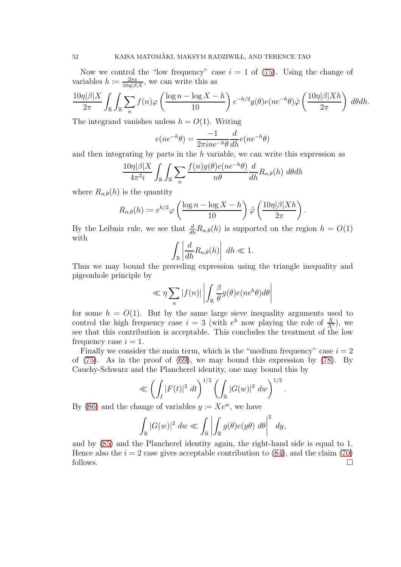Now we control the "low frequency" case  $i = 1$  of [\(75\)](#page-43-2). Using the change of variables  $h := \frac{2\pi v}{10n|B|}$  $\frac{2\pi v}{10\eta|\beta|X}$ , we can write this as

$$
\frac{10\eta|\beta|X}{2\pi} \int_{\mathbb{R}} \int_{\mathbb{R}} \sum_{n} f(n)\varphi\left(\frac{\log n - \log X - h}{10}\right) e^{-h/2} g(\theta) e(ne^{-h}\theta) \hat{\varphi}\left(\frac{10\eta|\beta|Xh}{2\pi}\right) d\theta dh.
$$

The integrand vanishes unless  $h = O(1)$ . Writing

$$
e(ne^{-h}\theta) = \frac{-1}{2\pi i ne^{-h}\theta} \frac{d}{dh}e(ne^{-h}\theta)
$$

and then integrating by parts in the  $h$  variable, we can write this expression as

$$
\frac{10\eta|\beta|X}{4\pi^2i} \int_{\mathbb{R}} \int_{\mathbb{R}} \sum_{n} \frac{f(n)g(\theta)e(ne^{-h}\theta)}{n\theta} \frac{d}{dh} R_{n,\theta}(h) \ d\theta dh
$$

where  $R_{n,\theta}(h)$  is the quantity

$$
R_{n,\theta}(h) := e^{h/2} \varphi \left( \frac{\log n - \log X - h}{10} \right) \hat{\varphi} \left( \frac{10\eta |\beta| X h}{2\pi} \right)
$$

.

.

By the Leibniz rule, we see that  $\frac{d}{dh}R_{n,\theta}(h)$  is supported on the region  $h = O(1)$ with

$$
\int_{\mathbb{R}} \left| \frac{d}{dh} R_{n,\theta}(h) \right| dh \ll 1.
$$

Thus we may bound the preceding expression using the triangle inequality and pigeonhole principle by

$$
\ll \eta \sum_{n} |f(n)| \left| \int_{\mathbb{R}} \frac{\beta}{\theta} g(\theta) e(n e^{h} \theta) d\theta \right|
$$

for some  $h = O(1)$ . But by the same large sieve inequality arguments used to control the high frequency case  $i = 3$  (with  $e^{h}$  now playing the role of  $\frac{X}{X'}$ ), we see that this contribution is acceptable. This concludes the treatment of the low frequency case  $i = 1$ .

Finally we consider the main term, which is the "medium frequency" case  $i = 2$ of  $(75)$ . As in the proof of  $(69)$ , we may bound this expression by  $(78)$ . By Cauchy-Schwarz and the Plancherel identity, one may bound this by

$$
\ll \left(\int_I |F(t)|^2 \ dt\right)^{1/2} \left(\int_{\mathbb{R}} |G(w)|^2 \ dw\right)^{1/2}
$$

By [\(86\)](#page-49-0) and the change of variables  $y = Xe^w$ , we have

$$
\int_{\mathbb{R}} |G(w)|^2 dw \ll \int_{\mathbb{R}} \left| \int_{\mathbb{R}} g(\theta) e(y\theta) d\theta \right|^2 dy,
$$

and by [\(85\)](#page-49-1) and the Plancherel identity again, the right-hand side is equal to 1. Hence also the  $i = 2$  case gives acceptable contribution to [\(84\)](#page-49-2), and the claim [\(70\)](#page-41-1) follows.  $\Box$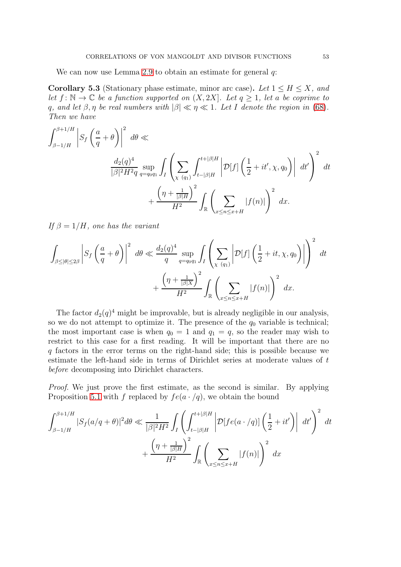We can now use Lemma [2.9](#page-21-2) to obtain an estimate for general  $q$ :

**Corollary 5.3** (Stationary phase estimate, minor arc case). Let  $1 \leq H \leq X$ , and let  $f: \mathbb{N} \to \mathbb{C}$  be a function supported on  $(X, 2X]$ . Let  $q \geq 1$ , let a be coprime to q, and let  $\beta, \eta$  be real numbers with  $|\beta| \ll \eta \ll 1$ . Let I denote the region in [\(68\)](#page-40-0). Then we have

$$
\int_{\beta-1/H}^{\beta+1/H} \left| S_f \left( \frac{a}{q} + \theta \right) \right|^2 d\theta \ll
$$
  

$$
\frac{d_2(q)^4}{|\beta|^2 H^2 q} \sup_{q=q_0 q_1} \int_I \left( \sum_{\chi \ (q_1)} \int_{t-|\beta|H}^{t+|\beta|H} \left| \mathcal{D}[f] \left( \frac{1}{2} + it', \chi, q_0 \right) \right| dt' \right)^2 dt
$$
  

$$
+ \frac{\left( \eta + \frac{1}{|\beta|H} \right)^2}{H^2} \int_{\mathbb{R}} \left( \sum_{x \le n \le x+H} |f(n)| \right)^2 dx.
$$

If  $\beta = 1/H$ , one has the variant

$$
\int_{\beta \le |\theta| \le 2\beta} \left| S_f \left( \frac{a}{q} + \theta \right) \right|^2 d\theta \ll \frac{d_2(q)^4}{q} \sup_{q=q_0q_1} \int_I \left( \sum_{\chi \ (q_1)} \left| \mathcal{D}[f] \left( \frac{1}{2} + it, \chi, q_0 \right) \right| \right)^2 dt + \frac{\left( \eta + \frac{1}{|\beta|X}\right)^2}{H^2} \int_{\mathbb{R}} \left( \sum_{x \le n \le x+H} |f(n)| \right)^2 dx.
$$

The factor  $d_2(q)^4$  might be improvable, but is already negligible in our analysis, so we do not attempt to optimize it. The presence of the  $q_0$  variable is technical; the most important case is when  $q_0 = 1$  and  $q_1 = q$ , so the reader may wish to restrict to this case for a first reading. It will be important that there are no q factors in the error terms on the right-hand side; this is possible because we estimate the left-hand side in terms of Dirichlet series at moderate values of t before decomposing into Dirichlet characters.

Proof. We just prove the first estimate, as the second is similar. By applying Proposition [5.1](#page-40-1) with f replaced by  $fe(a \cdot/q)$ , we obtain the bound

$$
\int_{\beta-1/H}^{\beta+1/H} |S_f(a/q+\theta)|^2 d\theta \ll \frac{1}{|\beta|^2 H^2} \int_I \left( \int_{t-|\beta|H}^{t+|\beta|H} \left| \mathcal{D}[f e(a \cdot/q)] \left( \frac{1}{2} + it' \right) \right| dt' \right)^2 dt + \frac{\left( \eta + \frac{1}{|\beta|H} \right)^2}{H^2} \int_{\mathbb{R}} \left( \sum_{x \le n \le x+H} |f(n)| \right)^2 dx
$$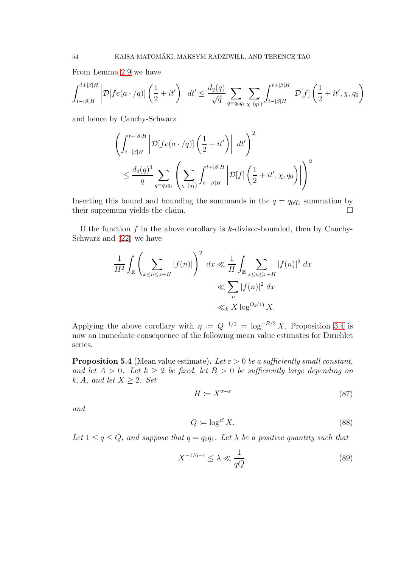From Lemma [2.9](#page-21-2) we have

$$
\int_{t-|\beta|H}^{t+|\beta|H} \left| \mathcal{D}[fe(a \cdot /q)] \left( \frac{1}{2} + it' \right) \right| dt' \le \frac{d_2(q)}{\sqrt{q}} \sum_{q=q_0q_1} \sum_{\chi \ (q_1)} \int_{t-|\beta|H}^{t+|\beta|H} \left| \mathcal{D}[f] \left( \frac{1}{2} + it', \chi, q_0 \right) \right|
$$

and hence by Cauchy-Schwarz

$$
\left(\int_{t-|\beta|H}^{t+|\beta|H} \left| \mathcal{D}[fe(a \cdot/q)] \left(\frac{1}{2} + it' \right) \right| dt' \right)^2
$$
  

$$
\leq \frac{d_2(q)^3}{q} \sum_{q=q_0q_1} \left( \sum_{\chi \ (q_1)} \int_{t-|\beta|H}^{t+|\beta|H} \left| \mathcal{D}[f] \left(\frac{1}{2} + it', \chi, q_0 \right) \right| \right)^2
$$

Inserting this bound and bounding the summands in the  $q = q_0q_1$  summation by their supremum yields the claim.

If the function  $f$  in the above corollary is  $k$ -divisor-bounded, then by Cauchy-Schwarz and [\(22\)](#page-15-0) we have

$$
\frac{1}{H^2} \int_{\mathbb{R}} \left( \sum_{x \le n \le x+H} |f(n)| \right)^2 dx \ll \frac{1}{H} \int_{\mathbb{R}} \sum_{x \le n \le x+H} |f(n)|^2 dx
$$
  

$$
\ll \sum_{n} |f(n)|^2 dx
$$
  

$$
\ll_k X \log^{O_k(1)} X.
$$

Applying the above corollary with  $\eta := Q^{-1/2} = \log^{-B/2} X$ , Proposition [3.4](#page-34-0) is now an immediate consequence of the following mean value estimates for Dirichlet series.

<span id="page-53-0"></span>**Proposition 5.4** (Mean value estimate). Let  $\varepsilon > 0$  be a sufficiently small constant, and let  $A > 0$ . Let  $k \geq 2$  be fixed, let  $B > 0$  be sufficiently large depending on k, A, and let  $X \geq 2$ . Set

<span id="page-53-2"></span>
$$
H \coloneqq X^{\sigma + \varepsilon} \tag{87}
$$

and

<span id="page-53-3"></span>
$$
Q := \log^B X. \tag{88}
$$

Let  $1 \le q \le Q$ , and suppose that  $q = q_0q_1$ . Let  $\lambda$  be a positive quantity such that

<span id="page-53-1"></span>
$$
X^{-1/6-\varepsilon} \le \lambda \ll \frac{1}{qQ}.\tag{89}
$$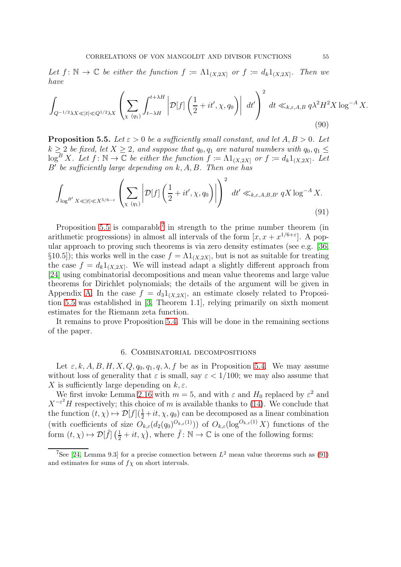Let  $f: \mathbb{N} \to \mathbb{C}$  be either the function  $f := \Lambda 1_{(X, 2X]}$  or  $f := d_k 1_{(X, 2X]}$ . Then we have

$$
\int_{Q^{-1/2}\lambda X \ll |t| \ll Q^{1/2}\lambda X} \left( \sum_{\chi\ (q_1)} \int_{t-\lambda H}^{t+\lambda H} \left| \mathcal{D}[f] \left( \frac{1}{2} + it', \chi, q_0 \right) \right| \ dt' \right)^2 \ dt \ll_{k,\varepsilon,A,B} q\lambda^2 H^2 X \log^{-A} X. \tag{90}
$$

<span id="page-54-0"></span>**Proposition 5.5.** Let  $\varepsilon > 0$  be a sufficiently small constant, and let  $A, B > 0$ . Let  $k \geq 2$  be fixed, let  $X \geq 2$ , and suppose that  $q_0, q_1$  are natural numbers with  $q_0, q_1 \leq$  $\log^B X$ . Let  $f: \mathbb{N} \to \mathbb{C}$  be either the function  $f := \Lambda 1_{(X, 2X]}$  or  $f := d_k 1_{(X, 2X]}$ . Let B′ be sufficiently large depending on k, A, B. Then one has

<span id="page-54-2"></span>
$$
\int_{\log^{B'} X \ll |t| \ll X^{5/6-\varepsilon}} \left( \sum_{\chi \ (q_1)} \left| \mathcal{D}[f] \left( \frac{1}{2} + it', \chi, q_0 \right) \right| \right)^2 dt' \ll_{k,\varepsilon, A, B, B'} qX \log^{-A} X. \tag{91}
$$

Proposition [5.5](#page-54-0) is comparable<sup>[7](#page-54-1)</sup> in strength to the prime number theorem (in arithmetic progressions) in almost all intervals of the form  $[x, x + x^{1/6 + \epsilon}]$ . A popular approach to proving such theorems is via zero density estimates (see e.g. [\[36,](#page-77-0)  $\S$ 10.5]); this works well in the case  $f = \Lambda 1_{(X, 2X]}$ , but is not as suitable for treating the case  $f = d_k 1_{(X, 2X]}$ . We will instead adapt a slightly different approach from [\[24\]](#page-76-2) using combinatorial decompositions and mean value theorems and large value theorems for Dirichlet polynomials; the details of the argument will be given in Appendix [A.](#page-72-0) In the case  $f = d_3 1_{(X, 2X]}$ , an estimate closely related to Proposition [5.5](#page-54-0) was established in [\[3,](#page-75-0) Theorem 1.1], relying primarily on sixth moment estimates for the Riemann zeta function.

It remains to prove Proposition [5.4.](#page-53-0) This will be done in the remaining sections of the paper.

## 6. Combinatorial decompositions

Let  $\varepsilon, k, A, B, H, X, Q, q_0, q_1, q, \lambda, f$  be as in Proposition [5.4.](#page-53-0) We may assume without loss of generality that  $\varepsilon$  is small, say  $\varepsilon < 1/100$ ; we may also assume that X is sufficiently large depending on  $k, \varepsilon$ .

We first invoke Lemma [2.16](#page-28-0) with  $m = 5$ , and with  $\varepsilon$  and  $H_0$  replaced by  $\varepsilon^2$  and  $X^{-\varepsilon^2}H$  respectively; this choice of m is available thanks to [\(14\)](#page-7-0). We conclude that the function  $(t, \chi) \mapsto \mathcal{D}[f](\frac{1}{2} + it, \chi, q_0)$  can be decomposed as a linear combination (with coefficients of size  $O_{k,\varepsilon}(d_2(q_0)^{O_{k,\varepsilon}(1)}))$  of  $O_{k,\varepsilon}(\log^{O_{k,\varepsilon}(1)} X)$  functions of the form  $(t, \chi) \mapsto \mathcal{D}[\tilde{f}] \left(\frac{1}{2} + it, \chi\right)$ , where  $\tilde{f} : \mathbb{N} \to \mathbb{C}$  is one of the following forms:

<span id="page-54-1"></span><sup>&</sup>lt;sup>7</sup>See [\[24,](#page-76-2) Lemma 9.3] for a precise connection between  $L^2$  mean value theorems such as [\(91\)](#page-54-2) and estimates for sums of  $f\chi$  on short intervals.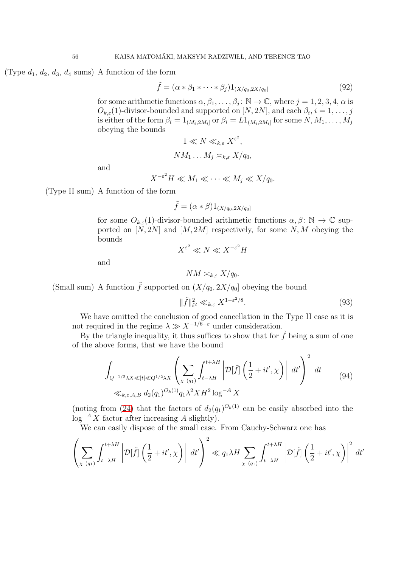(Type  $d_1, d_2, d_3, d_4$  sums) A function of the form

$$
\tilde{f} = (\alpha * \beta_1 * \dots * \beta_j) 1_{(X/q_0, 2X/q_0]}
$$
\n(92)

for some arithmetic functions  $\alpha, \beta_1, \ldots, \beta_j : \mathbb{N} \to \mathbb{C}$ , where  $j = 1, 2, 3, 4, \alpha$  is  $O_{k,\varepsilon}(1)$ -divisor-bounded and supported on  $[N,2N]$ , and each  $\beta_i$ ,  $i=1,\ldots,j$ is either of the form  $\beta_i=1_{(M_i,2M_i]}$  or  $\beta_i=L1_{(M_i,2M_i]}$  for some  $N,M_1,\ldots,M_j$ obeying the bounds

$$
1 \ll N \ll_{k,\varepsilon} X^{\varepsilon^2},
$$
  

$$
NM_1 \dots M_j \asymp_{k,\varepsilon} X/q_0,
$$

and

$$
X^{-\varepsilon^2}H \ll M_1 \ll \cdots \ll M_j \ll X/q_0.
$$

(Type II sum) A function of the form

$$
\tilde{f} = (\alpha * \beta)1_{(X/q_0, 2X/q_0]}
$$

for some  $O_{k,\varepsilon}(1)$ -divisor-bounded arithmetic functions  $\alpha, \beta \colon \mathbb{N} \to \mathbb{C}$  supported on  $[N, 2N]$  and  $[M, 2M]$  respectively, for some N, M obeying the bounds

$$
X^{\varepsilon^2} \ll N \ll X^{-\varepsilon^2} H
$$

and

$$
NM \asymp_{k,\varepsilon} X/q_0.
$$

(Small sum) A function  $\tilde{f}$  supported on  $(X/q_0, 2X/q_0]$  obeying the bound

<span id="page-55-1"></span>
$$
\|\tilde{f}\|_{\ell^2}^2 \ll_{k,\varepsilon} X^{1-\varepsilon^2/8}.\tag{93}
$$

We have omitted the conclusion of good cancellation in the Type II case as it is not required in the regime  $\lambda \gg X^{-1/6-\epsilon}$  under consideration.

By the triangle inequality, it thus suffices to show that for  $\tilde{f}$  being a sum of one of the above forms, that we have the bound

$$
\int_{Q^{-1/2}\lambda X \ll |t| \ll Q^{1/2}\lambda X} \left( \sum_{\chi \ (q_1)} \int_{t-\lambda H}^{t+\lambda H} \left| \mathcal{D}[\tilde{f}] \left( \frac{1}{2} + it', \chi \right) \right| dt' \right)^2 dt
$$
\n
$$
\ll_{k,\varepsilon,A,B} d_2(q_1)^{O_k(1)} q_1 \lambda^2 X H^2 \log^{-A} X
$$
\n(94)

<span id="page-55-0"></span>(noting from [\(24\)](#page-16-1) that the factors of  $d_2(q_1)^{O_k(1)}$  can be easily absorbed into the  $\log^{-A} X$  factor after increasing A slightly).

We can easily dispose of the small case. From Cauchy-Schwarz one has

$$
\left(\sum_{\chi\ (q_1)}\int_{t-\lambda H}^{t+\lambda H}\left|\mathcal{D}[\tilde{f}]\left(\frac{1}{2}+it',\chi\right)\right| \ dt'\right)^2 \ll q_1\lambda H \sum_{\chi\ (q_1)}\int_{t-\lambda H}^{t+\lambda H}\left|\mathcal{D}[\tilde{f}]\left(\frac{1}{2}+it',\chi\right)\right|^2 \ dt'
$$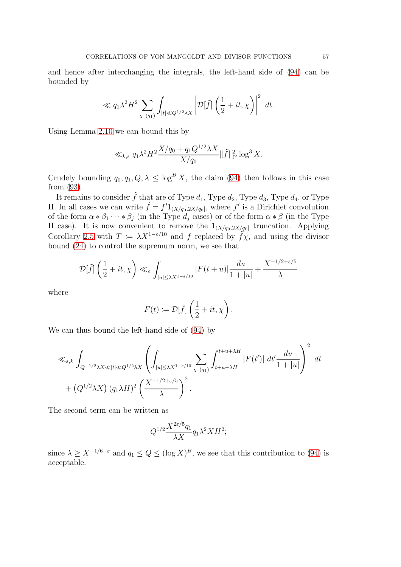and hence after interchanging the integrals, the left-hand side of [\(94\)](#page-55-0) can be bounded by

$$
\ll q_1 \lambda^2 H^2 \sum_{\chi \ (q_1)} \int_{|t| \ll Q^{1/2} \lambda X} \left| \mathcal{D}[\tilde{f}] \left( \frac{1}{2} + it, \chi \right) \right|^2 \ dt.
$$

Using Lemma [2.10](#page-22-0) we can bound this by

$$
\ll_{k,\varepsilon} q_1 \lambda^2 H^2 \frac{X/q_0 + q_1 Q^{1/2} \lambda X}{X/q_0} \|\tilde{f}\|_{\ell^2}^2 \log^3 X.
$$

Crudely bounding  $q_0, q_1, Q, \lambda \leq \log^B X$ , the claim [\(94\)](#page-55-0) then follows in this case from [\(93\)](#page-55-1).

It remains to consider  $\tilde{f}$  that are of Type  $d_1$ , Type  $d_2$ , Type  $d_3$ , Type  $d_4$ , or Type II. In all cases we can write  $\tilde{f} = f' 1_{(X/q_0, 2X/q_0]}$ , where f' is a Dirichlet convolution of the form  $\alpha * \beta_1 \cdots * \beta_j$  (in the Type  $d_j$  cases) or of the form  $\alpha * \beta$  (in the Type II case). It is now convenient to remove the  $1_{(X/q_0,2X/q_0]}$  truncation. Applying Corollary [2.5](#page-17-0) with  $T = \lambda X^{1-\epsilon/10}$  and f replaced by  $\tilde{f}\chi$ , and using the divisor bound [\(24\)](#page-16-1) to control the supremum norm, we see that

$$
\mathcal{D}[\tilde{f}] \left( \frac{1}{2} + it, \chi \right) \ll_{\varepsilon} \int_{|u| \le \lambda X^{1-\varepsilon/10}} |F(t+u)| \frac{du}{1+|u|} + \frac{X^{-1/2+\varepsilon/5}}{\lambda}
$$

where

$$
F(t) := \mathcal{D}[\tilde{f}] \left( \frac{1}{2} + it, \chi \right).
$$

We can thus bound the left-hand side of [\(94\)](#page-55-0) by

$$
\ll_{\varepsilon,k} \int_{Q^{-1/2}\lambda X \ll |t| \ll Q^{1/2}\lambda X} \left( \int_{|u| \le \lambda X^{1-\varepsilon/10}} \sum_{\chi \ (q_1)} \int_{t+u-\lambda H}^{t+u+\lambda H} |F(t')| \ dt' \frac{du}{1+|u|} \right)^2 \ dt + (Q^{1/2}\lambda X) (q_1 \lambda H)^2 \left( \frac{X^{-1/2+\varepsilon/5}}{\lambda} \right)^2.
$$

The second term can be written as

$$
Q^{1/2}\frac{X^{2\varepsilon/5}q_1}{\lambda X}q_1\lambda^2 X H^2;
$$

since  $\lambda \geq X^{-1/6-\varepsilon}$  and  $q_1 \leq Q \leq (\log X)^B$ , we see that this contribution to [\(94\)](#page-55-0) is acceptable.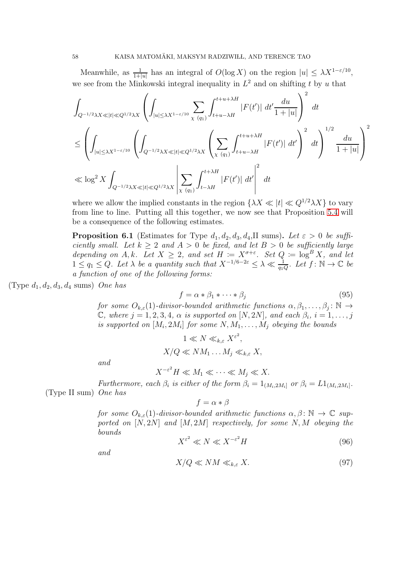Meanwhile, as  $\frac{1}{1+|u|}$  has an integral of  $O(\log X)$  on the region  $|u| \leq \lambda X^{1-\varepsilon/10}$ , we see from the Minkowski integral inequality in  $L^2$  and on shifting t by u that

$$
\int_{Q^{-1/2}\lambda X \ll |t| \ll Q^{1/2}\lambda X} \left( \int_{|u| \le \lambda X^{1-\varepsilon/10}} \sum_{\chi} \int_{t+u-\lambda H}^{t+u+\lambda H} |F(t')| \, dt' \frac{du}{1+|u|} \right)^2 \, dt
$$
\n
$$
\le \left( \int_{|u| \le \lambda X^{1-\varepsilon/10}} \left( \int_{Q^{-1/2}\lambda X \ll |t| \ll Q^{1/2}\lambda X} \left( \sum_{\chi} \int_{(q_1)}^{t+u+\lambda H} |F(t')| \, dt' \right)^2 \, dt \right)^{1/2} \frac{du}{1+|u|} \right)^2
$$
\n
$$
\ll \log^2 X \int_{Q^{-1/2}\lambda X \ll |t| \ll Q^{1/2}\lambda X} \left| \sum_{\chi} \int_{(q_1)}^{t+\lambda H} |F(t')| \, dt' \right|^2 \, dt
$$

where we allow the implied constants in the region  $\{\lambda X \ll |t| \ll Q^{1/2} \lambda X\}$  to vary from line to line. Putting all this together, we now see that Proposition [5.4](#page-53-0) will be a consequence of the following estimates.

<span id="page-57-0"></span>**Proposition 6.1** (Estimates for Type  $d_1, d_2, d_3, d_4$ , II sums). Let  $\varepsilon > 0$  be sufficiently small. Let  $k \geq 2$  and  $A > 0$  be fixed, and let  $B > 0$  be sufficiently large depending on A, k. Let  $X \geq 2$ , and set  $H := X^{\sigma + \varepsilon}$ . Set  $Q := \log^B X$ , and let  $1 \leq q_1 \leq Q$ . Let  $\lambda$  be a quantity such that  $X^{-1/6-2\varepsilon} \leq \lambda \ll \frac{1}{q_1Q}$ . Let  $f: \mathbb{N} \to \mathbb{C}$  be a function of one of the following forms:

(Type  $d_1, d_2, d_3, d_4$  sums) One has

$$
f = \alpha * \beta_1 * \cdots * \beta_j \tag{95}
$$

for some  $O_{k,\varepsilon}(1)$ -divisor-bounded arithmetic functions  $\alpha, \beta_1, \ldots, \beta_j : \mathbb{N} \to$  $\mathbb C$ , where  $j = 1, 2, 3, 4$ ,  $\alpha$  is supported on  $[N, 2N]$ , and each  $\beta_i$ ,  $i = 1, \ldots, j$ is supported on  $[M_i,2M_i]$  for some  $N,M_1,\ldots,M_j$  obeying the bounds

$$
1 \ll N \ll_{k,\varepsilon} X^{\varepsilon^2},
$$
  

$$
X/Q \ll NM_1 \dots M_j \ll_{k,\varepsilon} X,
$$

and

$$
X^{-\varepsilon^2}H \ll M_1 \ll \cdots \ll M_j \ll X.
$$

Furthermore, each  $\beta_i$  is either of the form  $\beta_i = 1_{(M_i, 2M_i]}$  or  $\beta_i = L1_{(M_i, 2M_i]}$ . (Type II sum) One has

$$
f = \alpha * \beta
$$

for some  $O_{k,\varepsilon}(1)$ -divisor-bounded arithmetic functions  $\alpha, \beta \colon \mathbb{N} \to \mathbb{C}$  supported on  $[N, 2N]$  and  $[M, 2M]$  respectively, for some N, M obeying the bounds

<span id="page-57-2"></span>
$$
X^{\varepsilon^2} \ll N \ll X^{-\varepsilon^2} H \tag{96}
$$

and

<span id="page-57-1"></span>
$$
X/Q \ll NM \ll_{k,\varepsilon} X. \tag{97}
$$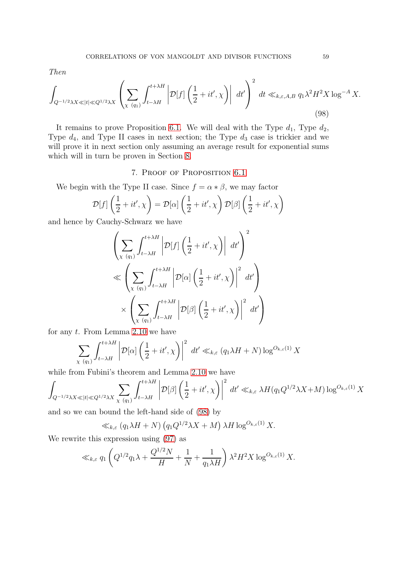Then

<span id="page-58-0"></span>
$$
\int_{Q^{-1/2}\lambda X \ll |t| \ll Q^{1/2}\lambda X} \left( \sum_{\chi\ (q_1)} \int_{t-\lambda H}^{t+\lambda H} \left| \mathcal{D}[f] \left( \frac{1}{2} + it', \chi \right) \right| \ dt' \right)^2 dt \ll_{k,\varepsilon,A,B} q_1 \lambda^2 H^2 X \log^{-A} X. \tag{98}
$$

It remains to prove Proposition [6.1.](#page-57-0) We will deal with the Type  $d_1$ , Type  $d_2$ , Type  $d_4$ , and Type II cases in next section; the Type  $d_3$  case is trickier and we will prove it in next section only assuming an average result for exponential sums which will in turn be proven in Section [8.](#page-66-0)

## 7. Proof of Proposition [6.1](#page-57-0)

We begin with the Type II case. Since  $f = \alpha * \beta$ , we may factor

$$
\mathcal{D}[f]\left(\frac{1}{2} + it', \chi\right) = \mathcal{D}[\alpha]\left(\frac{1}{2} + it', \chi\right)\mathcal{D}[\beta]\left(\frac{1}{2} + it', \chi\right)
$$

and hence by Cauchy-Schwarz we have

$$
\left(\sum_{\chi\ (q_1)} \int_{t-\lambda H}^{t+\lambda H} \left| \mathcal{D}[f] \left( \frac{1}{2} + it', \chi \right) \right| dt' \right)^2
$$
  
\$\ll \left(\sum\_{\chi\ (q\_1)} \int\_{t-\lambda H}^{t+\lambda H} \left| \mathcal{D}[\alpha] \left( \frac{1}{2} + it', \chi \right) \right|^2 dt' \right)\$  
\$\times \left(\sum\_{\chi\ (q\_1)} \int\_{t-\lambda H}^{t+\lambda H} \left| \mathcal{D}[\beta] \left( \frac{1}{2} + it', \chi \right) \right|^2 dt' \right)\$

for any t. From Lemma [2.10](#page-22-0) we have

$$
\sum_{\chi\ (q_1)} \int_{t-\lambda H}^{t+\lambda H} \left| \mathcal{D}[\alpha] \left( \frac{1}{2} + it', \chi \right) \right|^2 \ dt' \ll_{k,\varepsilon} (q_1 \lambda H + N) \log^{O_{k,\varepsilon}(1)} X
$$

while from Fubini's theorem and Lemma [2.10](#page-22-0) we have

$$
\int_{Q^{-1/2}\lambda X \ll |t| \ll Q^{1/2}\lambda X} \sum_{\chi\ (q_1)} \int_{t-\lambda H}^{t+\lambda H} \left| \mathcal{D}[\beta] \left( \frac{1}{2} + it', \chi \right) \right|^2 dt' \ll_{k,\varepsilon} \lambda H(q_1 Q^{1/2} \lambda X + M) \log^{O_{k,\varepsilon}(1)} X
$$

and so we can bound the left-hand side of [\(98\)](#page-58-0) by

$$
\ll_{k,\varepsilon} (q_1 \lambda H + N) (q_1 Q^{1/2} \lambda X + M) \lambda H \log^{O_{k,\varepsilon}(1)} X.
$$

We rewrite this expression using [\(97\)](#page-57-1) as

$$
\ll_{k,\varepsilon} q_1 \left( Q^{1/2} q_1 \lambda + \frac{Q^{1/2} N}{H} + \frac{1}{N} + \frac{1}{q_1 \lambda H} \right) \lambda^2 H^2 X \log^{O_{k,\varepsilon}(1)} X.
$$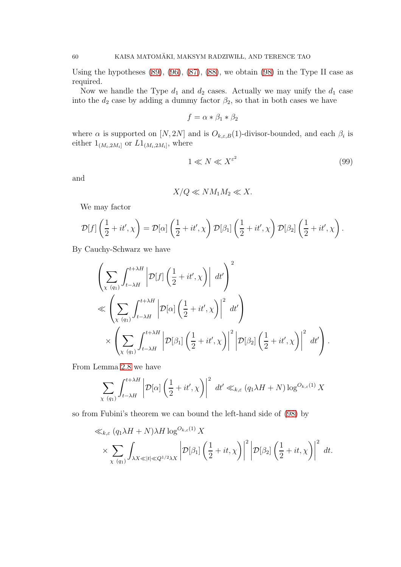Using the hypotheses  $(89)$ ,  $(96)$ ,  $(87)$ ,  $(88)$ , we obtain  $(98)$  in the Type II case as required.

Now we handle the Type  $d_1$  and  $d_2$  cases. Actually we may unify the  $d_1$  case into the  $d_2$  case by adding a dummy factor  $\beta_2$ , so that in both cases we have

$$
f = \alpha * \beta_1 * \beta_2
$$

where  $\alpha$  is supported on  $[N, 2N]$  and is  $O_{k,\varepsilon,B}(1)$ -divisor-bounded, and each  $\beta_i$  is either  $1_{(M_i,2M_i]}$  or  $L1_{(M_i,2M_i]}$ , where

<span id="page-59-0"></span>
$$
1 \ll N \ll X^{\varepsilon^2} \tag{99}
$$

and

$$
X/Q \ll NM_1M_2 \ll X.
$$

We may factor

$$
\mathcal{D}[f]\left(\frac{1}{2}+it',\chi\right) = \mathcal{D}[\alpha]\left(\frac{1}{2}+it',\chi\right)\mathcal{D}[\beta_1]\left(\frac{1}{2}+it',\chi\right)\mathcal{D}[\beta_2]\left(\frac{1}{2}+it',\chi\right).
$$

By Cauchy-Schwarz we have

$$
\left(\sum_{\chi\ (q_1)}\int_{t-\lambda H}^{t+\lambda H}\left|\mathcal{D}[f]\left(\frac{1}{2}+it',\chi\right)\right| dt'\right)^2
$$
  
\$\ll \left(\sum\_{\chi\ (q\_1)}\int\_{t-\lambda H}^{t+\lambda H}\left|\mathcal{D}[\alpha]\left(\frac{1}{2}+it',\chi\right)\right|^2 dt'\right)\$  
\$\times \left(\sum\_{\chi\ (q\_1)}\int\_{t-\lambda H}^{t+\lambda H}\left|\mathcal{D}[\beta\_1]\left(\frac{1}{2}+it',\chi\right)\right|^2\left|\mathcal{D}[\beta\_2]\left(\frac{1}{2}+it',\chi\right)\right|^2 dt'\right)\$.

From Lemma [2.8](#page-20-0) we have

$$
\sum_{\chi\ (q_1)} \int_{t-\lambda H}^{t+\lambda H} \left| \mathcal{D}[\alpha] \left( \frac{1}{2} + it', \chi \right) \right|^2 \ dt' \ll_{k,\varepsilon} (q_1 \lambda H + N) \log^{O_{k,\varepsilon}(1)} X
$$

so from Fubini's theorem we can bound the left-hand side of [\(98\)](#page-58-0) by

$$
\ll_{k,\varepsilon} (q_1 \lambda H + N) \lambda H \log^{O_{k,\varepsilon}(1)} X\n\times \sum_{\chi \ (q_1)} \int_{\lambda X \ll |t| \ll Q^{1/2} \lambda X} \left| \mathcal{D}[\beta_1] \left( \frac{1}{2} + it, \chi \right) \right|^2 \left| \mathcal{D}[\beta_2] \left( \frac{1}{2} + it, \chi \right) \right|^2 dt.
$$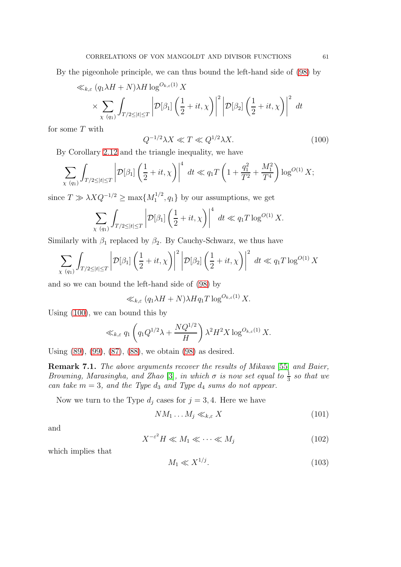By the pigeonhole principle, we can thus bound the left-hand side of [\(98\)](#page-58-0) by

$$
\ll_{k,\varepsilon} (q_1 \lambda H + N) \lambda H \log^{O_{k,\varepsilon}(1)} X
$$
  
\$\times \sum\_{\chi \ (q\_1)} \int\_{T/2 \leq |t| \leq T} \left| \mathcal{D}[\beta\_1] \left( \frac{1}{2} + it, \chi \right) \right|^2 \left| \mathcal{D}[\beta\_2] \left( \frac{1}{2} + it, \chi \right) \right|^2 dt\$

for some  $T$  with

<span id="page-60-0"></span>
$$
Q^{-1/2}\lambda X \ll T \ll Q^{1/2}\lambda X. \tag{100}
$$

By Corollary [2.12](#page-23-0) and the triangle inequality, we have

$$
\sum_{\chi\ (q_1)} \int_{T/2 \leq |t| \leq T} \left| \mathcal{D}[\beta_1] \left( \frac{1}{2} + it, \chi \right) \right|^4 \ dt \ll q_1 T \left( 1 + \frac{q_1^2}{T^2} + \frac{M_1^2}{T^4} \right) \log^{O(1)} X;
$$

since  $T \gg \lambda X Q^{-1/2} \ge \max\{M_1^{1/2}\}$  $\{1/2, q_1\}$  by our assumptions, we get

$$
\sum_{\chi\ (q_1)}\int_{T/2\leq |t|\leq T}\left|\mathcal{D}[\beta_1]\left(\frac{1}{2}+it,\chi\right)\right|^4\ dt\ll q_1T\log^{O(1)}X.
$$

Similarly with  $\beta_1$  replaced by  $\beta_2$ . By Cauchy-Schwarz, we thus have

$$
\sum_{\chi\ (q_1)} \int_{T/2 \leq |t| \leq T} \left| \mathcal{D}[\beta_1] \left( \frac{1}{2} + it, \chi \right) \right|^2 \left| \mathcal{D}[\beta_2] \left( \frac{1}{2} + it, \chi \right) \right|^2 dt \ll q_1 T \log^{O(1)} X
$$

and so we can bound the left-hand side of [\(98\)](#page-58-0) by

$$
\ll_{k,\varepsilon} (q_1 \lambda H + N) \lambda H q_1 T \log^{O_{k,\varepsilon}(1)} X.
$$

Using [\(100\)](#page-60-0), we can bound this by

$$
\ll_{k,\varepsilon} q_1 \left( q_1 Q^{1/2} \lambda + \frac{N Q^{1/2}}{H} \right) \lambda^2 H^2 X \log^{O_{k,\varepsilon}(1)} X.
$$

Using [\(89\)](#page-53-1), [\(99\)](#page-59-0), [\(87\)](#page-53-2), [\(88\)](#page-53-3), we obtain [\(98\)](#page-58-0) as desired.

Remark 7.1. The above arguments recover the results of Mikawa [\[55\]](#page-78-2) and Baier, Browning, Marasingha, and Zhao [\[3\]](#page-75-0), in which  $\sigma$  is now set equal to  $\frac{1}{3}$  so that we can take  $m = 3$ , and the Type  $d_3$  and Type  $d_4$  sums do not appear.

Now we turn to the Type  $d_j$  cases for  $j = 3, 4$ . Here we have

<span id="page-60-1"></span>
$$
NM_1 \dots M_j \ll_{k,\varepsilon} X \tag{101}
$$

and

<span id="page-60-2"></span>
$$
X^{-\varepsilon^2}H \ll M_1 \ll \cdots \ll M_j \tag{102}
$$

which implies that

<span id="page-60-3"></span>
$$
M_1 \ll X^{1/j}.\tag{103}
$$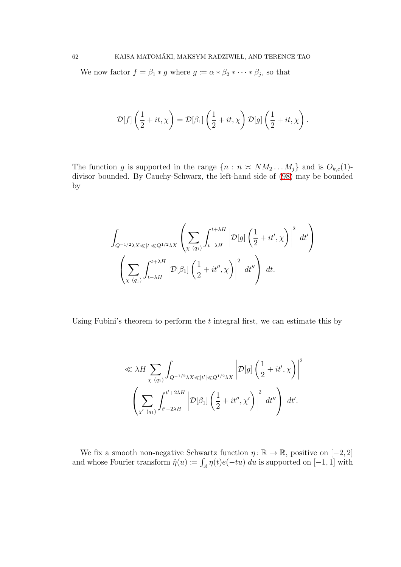We now factor  $f = \beta_1 * g$  where  $g := \alpha * \beta_2 * \cdots * \beta_j$ , so that

$$
\mathcal{D}[f]\left(\frac{1}{2}+it,\chi\right) = \mathcal{D}[\beta_1]\left(\frac{1}{2}+it,\chi\right)\mathcal{D}[g]\left(\frac{1}{2}+it,\chi\right).
$$

The function g is supported in the range  $\{n : n \approx NM_2 \dots M_j\}$  and is  $O_{k,\varepsilon}(1)$ divisor bounded. By Cauchy-Schwarz, the left-hand side of [\(98\)](#page-58-0) may be bounded by

$$
\int_{Q^{-1/2}\lambda X \ll |t| \ll Q^{1/2}\lambda X} \left( \sum_{\chi \ (q_1)} \int_{t-\lambda H}^{t+\lambda H} \left| \mathcal{D}[g] \left( \frac{1}{2} + it', \chi \right) \right|^2 dt' \right) \left( \sum_{\chi \ (q_1)} \int_{t-\lambda H}^{t+\lambda H} \left| \mathcal{D}[\beta_1] \left( \frac{1}{2} + it'', \chi \right) \right|^2 dt'' \right) dt.
$$

Using Fubini's theorem to perform the  $t$  integral first, we can estimate this by

$$
\ll \lambda H \sum_{\chi \ (q_1)} \int_{Q^{-1/2}\lambda X \ll |t'| \ll Q^{1/2}\lambda X} \left| \mathcal{D}[g] \left( \frac{1}{2} + it', \chi \right) \right|^2
$$

$$
\left( \sum_{\chi' \ (q_1)} \int_{t'-2\lambda H}^{t'+2\lambda H} \left| \mathcal{D}[\beta_1] \left( \frac{1}{2} + it'', \chi' \right) \right|^2 dt'' \right) dt'.
$$

We fix a smooth non-negative Schwartz function  $\eta: \mathbb{R} \to \mathbb{R}$ , positive on [-2, 2] and whose Fourier transform  $\hat{\eta}(u) := \int_{\mathbb{R}} \eta(t)e(-tu) du$  is supported on [-1, 1] with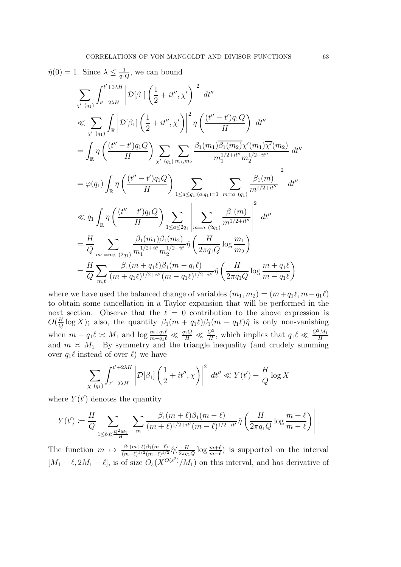$$
\hat{\eta}(0) = 1. \text{ Since } \lambda \le \frac{1}{q_1 Q}, \text{ we can bound}
$$
\n
$$
\sum_{\chi'(q_1)} \int_{t'=2\lambda H}^{t'+2\lambda H} \left| \mathcal{D}[\beta_1] \left( \frac{1}{2} + it'', \chi' \right) \right|^2 dt''
$$
\n
$$
\ll \sum_{\chi'(q_1)} \int_{\mathbb{R}} \left| \mathcal{D}[\beta_1] \left( \frac{1}{2} + it'', \chi' \right) \right|^2 \eta \left( \frac{(t'' - t')q_1 Q}{H} \right) dt''
$$
\n
$$
= \int_{\mathbb{R}} \eta \left( \frac{(t'' - t')q_1 Q}{H} \right) \sum_{\chi'(q_1)} \sum_{m_1, m_2} \frac{\beta_1(m_1) \overline{\beta_1(m_2)} \chi'(m_1) \overline{\chi'(m_2)}}{m_1^{1/2 + it''} m_2^{1/2 - it''}} dt''
$$
\n
$$
= \varphi(q_1) \int_{\mathbb{R}} \eta \left( \frac{(t'' - t')q_1 Q}{H} \right) \sum_{1 \le a \le q_1 : (a, q_1) = 1} \left| \sum_{m = a} \frac{\beta_1(m)}{m^{1/2 + it''}} \right|^2 dt''
$$
\n
$$
\ll q_1 \int_{\mathbb{R}} \eta \left( \frac{(t'' - t')q_1 Q}{H} \right) \sum_{1 \le a \le 2q_1} \left| \sum_{m = a} \frac{\beta_1(m)}{m^{1/2 + it''}} \right|^2 dt''
$$
\n
$$
= \frac{H}{Q} \sum_{m_1 = m_2} \frac{\beta_1(m_1) \beta_1(m_2)}{m_1^{1/2 + it'} m_2^{1/2 - it'}} \hat{\eta} \left( \frac{H}{2\pi q_1 Q} \log \frac{m_1}{m_2} \right)
$$
\n
$$
= \frac{H}{Q} \sum_{m, \ell} \frac{\beta_1(m_1) \beta_1(m_2) \eta(m_1 - q_1 \ell)}{(m + q_1 \ell)^{1/2 + it''} (m - q_1 \ell)^{1/2 - it'}} \hat{\eta} \left( \frac{H}{2\pi q_1 Q} \log \frac{m + q_1 \ell
$$

where we have used the balanced change of variables  $(m_1, m_2) = (m + q_1 \ell, m - q_1 \ell)$ to obtain some cancellation in a Taylor expansion that will be performed in the next section. Observe that the  $\ell = 0$  contribution to the above expression is  $O(\frac{H}{Q})$  $\frac{H}{Q}$ log X); also, the quantity  $\beta_1(m + q_1\ell)\beta_1(m - q_1\ell)\hat{\eta}$  is only non-vanishing when  $m - q_1 \ell \asymp M_1$  and  $\log \frac{m + q_1 \ell}{m - q_1 \ell} \ll \frac{q_1 Q}{H} \ll \frac{Q^2}{H}$ , which implies that  $q_1 \ell \ll \frac{Q^2 M_1}{H}$ and  $m \approx M_1$ . By symmetry and the triangle inequality (and crudely summing over  $q_1\ell$  instead of over  $\ell$ ) we have

$$
\sum_{\chi\ (q_1)} \int_{t'-2\lambda H}^{t'+2\lambda H} \left| \mathcal{D}[\beta_1] \left( \frac{1}{2} + it'', \chi \right) \right|^2 dt'' \ll Y(t') + \frac{H}{Q} \log X
$$

where  $Y(t')$  denotes the quantity

$$
Y(t') \coloneqq \frac{H}{Q} \sum_{1 \leq \ell \ll \frac{Q^2 M_1}{H}} \left| \sum_m \frac{\beta_1(m+\ell)\beta_1(m-\ell)}{(m+\ell)^{1/2+it'}(m-\ell)^{1/2-it'}} \hat{\eta} \left( \frac{H}{2\pi q_1 Q} \log \frac{m+\ell}{m-\ell} \right) \right|.
$$

The function  $m \mapsto \frac{\beta_1(m+\ell)\beta_1(m-\ell)}{(m+\ell)^{1/2}(m-\ell)^{1/2}} \hat{\eta}(\frac{H}{2\pi q_1})$  $\frac{H}{2\pi q_1Q} \log \frac{m+\ell}{m-\ell}$  is supported on the interval  $[M_1 + \ell, 2M_1 - \ell]$ , is of size  $O_{\varepsilon}(X^{O(\varepsilon^2)}/M_1)$  on this interval, and has derivative of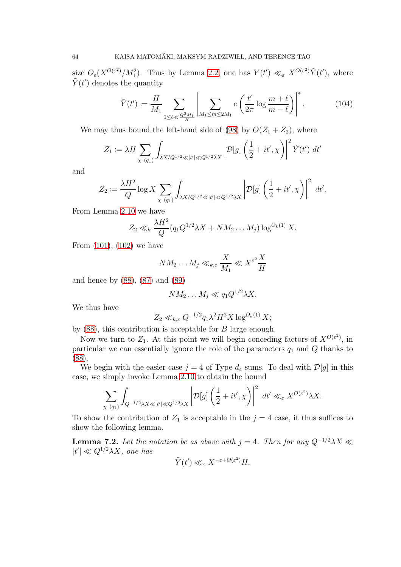size  $O_{\varepsilon}(X^{O(\varepsilon^2)}/M_1^2)$ . Thus by Lemma [2.2,](#page-14-1) one has  $Y(t') \ll_{\varepsilon} X^{O(\varepsilon^2)} \tilde{Y}(t')$ , where  $\tilde{Y}(t')$  denotes the quantity

<span id="page-63-0"></span>
$$
\tilde{Y}(t') := \frac{H}{M_1} \sum_{1 \le \ell \ll \frac{Q^2 M_1}{H}} \left| \sum_{M_1 \le m \le 2M_1} e\left(\frac{t'}{2\pi} \log \frac{m+\ell}{m-\ell}\right) \right|^*.
$$
 (104)

We may thus bound the left-hand side of [\(98\)](#page-58-0) by  $O(Z_1 + Z_2)$ , where

$$
Z_1 := \lambda H \sum_{\chi \ (q_1)} \int_{\lambda X/Q^{1/2} \ll |t'| \ll Q^{1/2} \lambda X} \left| \mathcal{D}[g] \left( \frac{1}{2} + it', \chi \right) \right|^2 \tilde{Y}(t') \ dt'
$$

and

$$
Z_2 := \frac{\lambda H^2}{Q} \log X \sum_{\chi \ (q_1)} \int_{\lambda X/Q^{1/2} \ll |t'| \ll Q^{1/2} \lambda X} \left| \mathcal{D}[g] \left( \frac{1}{2} + it', \chi \right) \right|^2 \ dt'.
$$

From Lemma [2.10](#page-22-0) we have

$$
Z_2 \ll_k \frac{\lambda H^2}{Q} (q_1 Q^{1/2} \lambda X + NM_2 \dots M_j) \log^{O_k(1)} X.
$$

From [\(101\)](#page-60-1), [\(102\)](#page-60-2) we have

$$
NM_2 \dots M_j \ll_{k,\varepsilon} \frac{X}{M_1} \ll X^{\varepsilon^2} \frac{X}{H}
$$

and hence by [\(88\)](#page-53-3), [\(87\)](#page-53-2) and [\(89\)](#page-53-1)

$$
NM_2\ldots M_j\ll q_1Q^{1/2}\lambda X.
$$

We thus have

$$
Z_2 \ll_{k,\varepsilon} Q^{-1/2} q_1 \lambda^2 H^2 X \log^{O_k(1)} X;
$$

by  $(88)$ , this contribution is acceptable for  $B$  large enough.

Now we turn to  $Z_1$ . At this point we will begin conceding factors of  $X^{O(\varepsilon^2)}$ , in particular we can essentially ignore the role of the parameters  $q_1$  and  $Q$  thanks to [\(88\)](#page-53-3).

We begin with the easier case  $j = 4$  of Type  $d_4$  sums. To deal with  $\mathcal{D}[g]$  in this case, we simply invoke Lemma [2.10](#page-22-0) to obtain the bound

$$
\sum_{\chi\ (q_1)} \int_{Q^{-1/2}\lambda X \ll |t'| \ll Q^{1/2}\lambda X} \left| \mathcal{D}[g] \left( \frac{1}{2} + it', \chi \right) \right|^2 \ dt' \ll_{\varepsilon} X^{O(\varepsilon^2)} \lambda X.
$$

To show the contribution of  $Z_1$  is acceptable in the  $j = 4$  case, it thus suffices to show the following lemma.

<span id="page-63-1"></span>**Lemma 7.2.** Let the notation be as above with  $j = 4$ . Then for any  $Q^{-1/2}\lambda X \ll$  $|t'| \ll Q^{1/2}\lambda X$ , one has

$$
\tilde{Y}(t') \ll_{\varepsilon} X^{-\varepsilon + O(\varepsilon^2)} H.
$$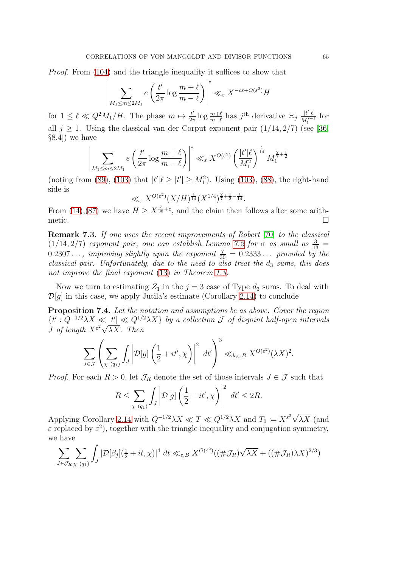Proof. From [\(104\)](#page-63-0) and the triangle inequality it suffices to show that

 $\overline{\phantom{a}}$  $\overline{\phantom{a}}$  $\overline{\phantom{a}}$  $\overline{\phantom{a}}$  $\vert$ 

$$
\left| \sum_{M_1 \le m \le 2M_1} e\left(\frac{t'}{2\pi} \log \frac{m+\ell}{m-\ell}\right)\right|^* \ll_{\varepsilon} X^{-c\varepsilon + O(\varepsilon^2)} H
$$

for  $1 \leq \ell \ll Q^2 M_1/H$ . The phase  $m \mapsto \frac{t'}{2\tau}$  $\frac{t'}{2\pi} \log \frac{m+\ell}{m-\ell}$  has j<sup>th</sup> derivative  $\asymp_j \frac{|t'| \ell}{M_1^{j+1}}$  $\frac{|t|^{i}}{M_1^{j+1}}$  for all  $j \geq 1$ . Using the classical van der Corput exponent pair  $(1/14, 2/7)$  (see [\[36,](#page-77-0) §8.4]) we have

$$
\sum_{M_1 \le m \le 2M_1} e\left(\frac{t'}{2\pi} \log \frac{m+\ell}{m-\ell}\right)^* \ll_{\varepsilon} X^{O(\varepsilon^2)} \left(\frac{|t'|\ell}{M_1^2}\right)^{\frac{1}{14}} M_1^{\frac{2}{7}+\frac{1}{2}}
$$

(noting from [\(89\)](#page-53-1), [\(103\)](#page-60-3) that  $|t'| \ell \ge |t'| \ge M_1^2$ ). Using (103), [\(88\)](#page-53-3), the right-hand side is

$$
\ll_{\varepsilon} X^{O(\varepsilon^2)} (X/H)^{\frac{1}{14}} (X^{1/4})^{\frac{2}{7} + \frac{1}{2} - \frac{1}{14}}.
$$

From [\(14\)](#page-7-0), [\(87\)](#page-53-2) we have  $H \geq X^{\frac{7}{30}+\varepsilon}$ , and the claim then follows after some arithmetic.  $\Box$ 

Remark 7.3. If one uses the recent improvements of Robert [\[70\]](#page-78-3) to the classical  $(1/14, 2/7)$  exponent pair, one can establish Lemma [7.2](#page-63-1) for  $\sigma$  as small as  $\frac{3}{13}$  =  $0.2307...$ , improving slightly upon the exponent  $\frac{7}{30} = 0.2333...$  provided by the classical pair. Unfortunately, due to the need to also treat the  $d_3$  sums, this does not improve the final exponent [\(13\)](#page-7-1) in Theorem [1.3.](#page-7-2)

Now we turn to estimating  $Z_1$  in the  $j = 3$  case of Type  $d_3$  sums. To deal with  $\mathcal{D}[q]$  in this case, we apply Jutila's estimate (Corollary [2.14\)](#page-23-1) to conclude

<span id="page-64-0"></span>Proposition 7.4. Let the notation and assumptions be as above. Cover the region  ${t': Q^{-1/2}\lambda X \ll |t'| \ll Q^{1/2}\lambda X}$  by a collection  $\mathcal J$  of disjoint half-open intervals *J* of length  $X^{\varepsilon^2}\sqrt{\lambda X}$ . Then

$$
\sum_{J \in \mathcal{J}} \left( \sum_{\chi \ (q_1)} \int_J \left| \mathcal{D}[g] \left( \frac{1}{2} + it', \chi \right) \right|^2 \ dt' \right)^3 \ll_{k,\varepsilon,B} X^{O(\varepsilon^2)} (\lambda X)^2.
$$

*Proof.* For each  $R > 0$ , let  $\mathcal{J}_R$  denote the set of those intervals  $J \in \mathcal{J}$  such that

$$
R \le \sum_{\chi \ (q_1)} \int_J \left| \mathcal{D}[g] \left( \frac{1}{2} + it', \chi \right) \right|^2 \ dt' \le 2R.
$$

Applying Corollary [2.14](#page-23-1) with  $Q^{-1/2}\lambda X \ll T \ll Q^{1/2}\lambda X$  and  $T_0 := X^{\varepsilon^2}\sqrt{\lambda X}$  (and  $\varepsilon$  replaced by  $\varepsilon^2$ ), together with the triangle inequality and conjugation symmetry, we have

$$
\sum_{J \in \mathcal{J}_R} \sum_{\chi \ (q_1)} \int_J |\mathcal{D}[\beta_j](\tfrac{1}{2} + it, \chi)|^4 \ dt \ll_{\varepsilon, B} X^{O(\varepsilon^2)}((\#\mathcal{J}_R)\sqrt{\lambda X} + ((\#\mathcal{J}_R)\lambda X)^{2/3})
$$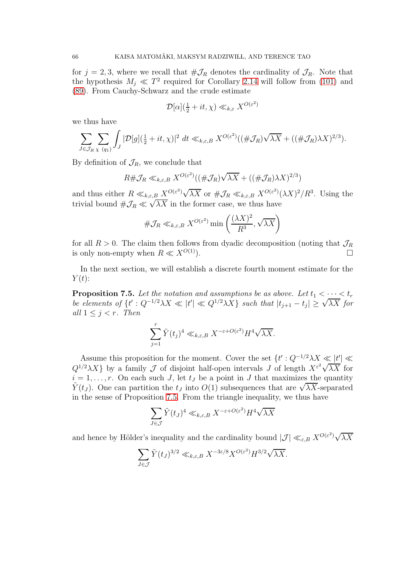for  $j = 2, 3$ , where we recall that  $\#\mathcal{J}_R$  denotes the cardinality of  $\mathcal{J}_R$ . Note that the hypothesis  $M_j \ll T^2$  required for Corollary [2.14](#page-23-1) will follow from [\(101\)](#page-60-1) and [\(89\)](#page-53-1). From Cauchy-Schwarz and the crude estimate

$$
\mathcal{D}[\alpha](\frac{1}{2} + it, \chi) \ll_{k,\varepsilon} X^{O(\varepsilon^2)}
$$

we thus have

$$
\sum_{J \in \mathcal{J}_R} \sum_{\chi \ (q_1)} \int_J |\mathcal{D}[g](\tfrac{1}{2} + it, \chi)|^2 \ dt \ll_{k,\varepsilon,B} X^{O(\varepsilon^2)}((\#\mathcal{J}_R)\sqrt{\lambda X} + ((\#\mathcal{J}_R)\lambda X)^{2/3}).
$$

By definition of  $\mathcal{J}_R$ , we conclude that

$$
R\#\mathcal{J}_R\ll_{k,\varepsilon,B}X^{O(\varepsilon^2)}((\#\mathcal{J}_R)\sqrt{\lambda X}+((\#\mathcal{J}_R)\lambda X)^{2/3})
$$

and thus either  $R \ll_{k,\varepsilon,B} X^{O(\varepsilon^2)} \sqrt{\lambda X}$  or  $\#\mathcal{J}_R \ll_{k,\varepsilon,B} X^{O(\varepsilon^2)} (\lambda X)^2/R^3$ . Using the trivial bound  $\#\mathcal{J}_R \ll \sqrt{\lambda X}$  in the former case, we thus have

$$
\#\mathcal{J}_R \ll_{k,\varepsilon,B} X^{O(\varepsilon^2)} \min\left(\frac{(\lambda X)^2}{R^3}, \sqrt{\lambda X}\right)
$$

for all  $R > 0$ . The claim then follows from dyadic decomposition (noting that  $\mathcal{J}_R$  is only non-empty when  $R \ll X^{O(1)}$ ) is only non-empty when  $R \ll X^{O(1)}$ .

In the next section, we will establish a discrete fourth moment estimate for the  $Y(t)$ :

<span id="page-65-0"></span>**Proposition 7.5.** Let the notation and assumptions be as above. Let  $t_1 < \cdots < t_r$ be elements of  $\{t': Q^{-1/2}\lambda X \ll |t'| \ll Q^{1/2}\lambda X\}$  such that  $|t_{j+1} - t_j| \ge \sqrt{\lambda X}$  for all  $1 \leq j \leq r$ . Then

$$
\sum_{j=1}^r \tilde{Y}(t_j)^4 \ll_{k,\varepsilon,B} X^{-\varepsilon+O(\varepsilon^2)} H^4 \sqrt{\lambda X}.
$$

Assume this proposition for the moment. Cover the set  $\{t': Q^{-1/2}\lambda X \leq t' | t' \leq t\}$  $Q^{1/2}\lambda X$ } by a family  $\mathcal J$  of disjoint half-open intervals  $J$  of length  $X^{\varepsilon^2}\sqrt{\lambda X}$  for  $i = 1, \ldots, r$ . On each such J, let  $t_j$  be a point in J that maximizes the quantity  $\widetilde{Y}(t_J)$ . One can partition the  $t_J$  into  $O(1)$  subsequences that are  $\sqrt{\lambda X}$ -separated in the sense of Proposition [7.5.](#page-65-0) From the triangle inequality, we thus have

$$
\sum_{J \in \mathcal{J}} \tilde{Y}(t_J)^4 \ll_{k,\varepsilon,B} X^{-\varepsilon + O(\varepsilon^2)} H^4 \sqrt{\lambda X}
$$

and hence by Hölder's inequality and the cardinality bound  $|\mathcal{J}| \ll_{\varepsilon,B} X^{O(\varepsilon^2)} \sqrt{\lambda X}$ 

$$
\sum_{J \in \mathcal{J}} \tilde{Y}(t_J)^{3/2} \ll_{k,\varepsilon,B} X^{-3\varepsilon/8} X^{O(\varepsilon^2)} H^{3/2} \sqrt{\lambda X}.
$$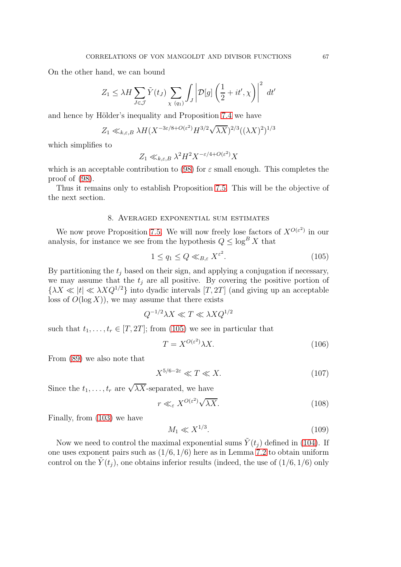On the other hand, we can bound

$$
Z_1 \le \lambda H \sum_{J \in \mathcal{J}} \tilde{Y}(t_J) \sum_{\chi \ (q_1)} \int_J \left| \mathcal{D}[g] \left( \frac{1}{2} + it', \chi \right) \right|^2 dt'
$$

and hence by Hölder's inequality and Proposition [7.4](#page-64-0) we have

$$
Z_1 \ll_{k,\varepsilon,B} \lambda H(X^{-3\varepsilon/8+O(\varepsilon^2)} H^{3/2} \sqrt{\lambda X})^{2/3} ((\lambda X)^2)^{1/3}
$$

which simplifies to

$$
Z_1 \ll_{k,\varepsilon,B} \lambda^2 H^2 X^{-\varepsilon/4+O(\varepsilon^2)} X
$$

which is an acceptable contribution to [\(98\)](#page-58-0) for  $\varepsilon$  small enough. This completes the proof of [\(98\)](#page-58-0).

<span id="page-66-0"></span>Thus it remains only to establish Proposition [7.5.](#page-65-0) This will be the objective of the next section.

## 8. Averaged exponential sum estimates

We now prove Proposition [7.5.](#page-65-0) We will now freely lose factors of  $X^{O(\varepsilon^2)}$  in our analysis, for instance we see from the hypothesis  $Q \leq \log^B X$  that

<span id="page-66-1"></span>
$$
1 \le q_1 \le Q \ll_{B,\varepsilon} X^{\varepsilon^2}.\tag{105}
$$

By partitioning the  $t_i$  based on their sign, and applying a conjugation if necessary, we may assume that the  $t_j$  are all positive. By covering the positive portion of  ${\lambda X \ll |t| \ll \lambda X Q^{1/2}}$  into dyadic intervals  $[T, 2T]$  (and giving up an acceptable loss of  $O(\log X)$ , we may assume that there exists

$$
Q^{-1/2}\lambda X \ll T \ll \lambda X Q^{1/2}
$$

such that  $t_1, \ldots, t_r \in [T, 2T]$ ; from [\(105\)](#page-66-1) we see in particular that

$$
T = X^{O(\varepsilon^2)} \lambda X. \tag{106}
$$

From [\(89\)](#page-53-1) we also note that

$$
X^{5/6 - 2\varepsilon} \ll T \ll X. \tag{107}
$$

Since the  $t_1, \ldots, t_r$  are  $\sqrt{\lambda X}$ -separated, we have

$$
r \ll_{\varepsilon} X^{O(\varepsilon^2)} \sqrt{\lambda X}.
$$
\n(108)

Finally, from [\(103\)](#page-60-3) we have

<span id="page-66-2"></span>
$$
M_1 \ll X^{1/3}.\tag{109}
$$

Now we need to control the maximal exponential sums  $\tilde{Y}(t_i)$  defined in [\(104\)](#page-63-0). If one uses exponent pairs such as  $(1/6, 1/6)$  here as in Lemma [7.2](#page-63-1) to obtain uniform control on the  $\tilde{Y}(t_i)$ , one obtains inferior results (indeed, the use of  $(1/6, 1/6)$  only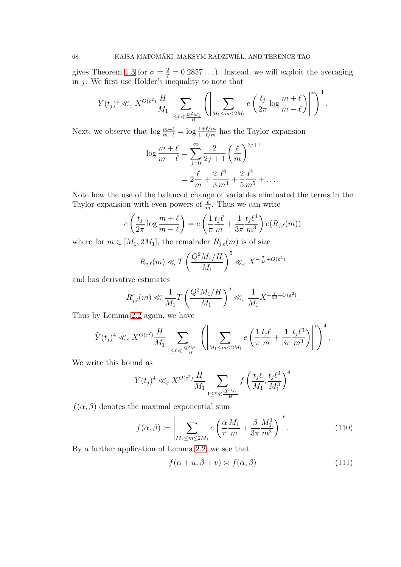gives Theorem [1.3](#page-7-2) for  $\sigma = \frac{2}{7} = 0.2857...$ ). Instead, we will exploit the averaging in  $j$ . We first use Hölder's inequality to note that

$$
\tilde{Y}(t_j)^4 \ll_{\varepsilon} X^{O(\varepsilon^2)} \frac{H}{M_1} \sum_{1 \le \ell \ll \frac{Q^2 M_1}{H}} \left( \left| \sum_{M_1 \le m \le 2M_1} e\left(\frac{t_j}{2\pi} \log \frac{m + \ell}{m - \ell}\right) \right|^* \right)^4
$$

.

Next, we observe that  $\log \frac{m+\ell}{m-\ell} = \log \frac{1+\ell/m}{1-\ell/m}$  has the Taylor expansion

$$
\log \frac{m+\ell}{m-\ell} = \sum_{j=0}^{\infty} \frac{2}{2j+1} \left(\frac{\ell}{m}\right)^{2j+1} \n= 2\frac{\ell}{m} + \frac{2}{3}\frac{\ell^3}{m^3} + \frac{2}{5}\frac{\ell^5}{m^5} + \dots
$$

Note how the use of the balanced change of variables eliminated the terms in the Taylor expansion with even powers of  $\frac{\ell}{m}$ . Thus we can write

$$
e\left(\frac{t_j}{2\pi}\log\frac{m+\ell}{m-\ell}\right) = e\left(\frac{1}{\pi}\frac{t_j\ell}{m} + \frac{1}{3\pi}\frac{t_j\ell^3}{m^3}\right)e(R_{j,\ell}(m))
$$

where for  $m \in [M_1, 2M_1]$ , the remainder  $R_{j,\ell}(m)$  is of size

$$
R_{j,\ell}(m) \ll T \left(\frac{Q^2 M_1/H}{M_1}\right)^5 \ll_{\varepsilon} X^{-\frac{7}{33} + O(\varepsilon^2)}
$$

and has derivative estimates

$$
R'_{j,\ell}(m) \ll \frac{1}{M_1} T \left(\frac{Q^2 M_1/H}{M_1}\right)^5 \ll_{\varepsilon} \frac{1}{M_1} X^{-\frac{7}{33} + O(\varepsilon^2)}.
$$

Thus by Lemma [2.2](#page-14-1) again, we have

$$
\tilde{Y}(t_j)^4 \ll_{\varepsilon} X^{O(\varepsilon^2)} \frac{H}{M_1} \sum_{1 \leq \ell \ll \frac{Q^2 M_1}{H}} \left( \left| \sum_{M_1 \leq m \leq 2M_1} e\left(\frac{1}{\pi} \frac{t_j \ell}{m} + \frac{1}{3\pi} \frac{t_j \ell^3}{m^3}\right) \right|^* \right)^4.
$$

We write this bound as

$$
\tilde{Y}(t_j)^4 \ll_{\varepsilon} X^{O(\varepsilon^2)} \frac{H}{M_1} \sum_{1 \le \ell \ll \frac{Q^2 M_1}{H}} f\left(\frac{t_j \ell}{M_1}, \frac{t_j \ell^3}{M_1^3}\right)^4
$$

 $f(\alpha, \beta)$  denotes the maximal exponential sum

<span id="page-67-1"></span>
$$
f(\alpha,\beta) \coloneqq \left| \sum_{M_1 \le m \le 2M_1} e\left(\frac{\alpha}{\pi} \frac{M_1}{m} + \frac{\beta}{3\pi} \frac{M_1^3}{m^3}\right) \right|^*.
$$
 (110)

By a further application of Lemma [2.2,](#page-14-1) we see that

<span id="page-67-0"></span>
$$
f(\alpha + u, \beta + v) \simeq f(\alpha, \beta) \tag{111}
$$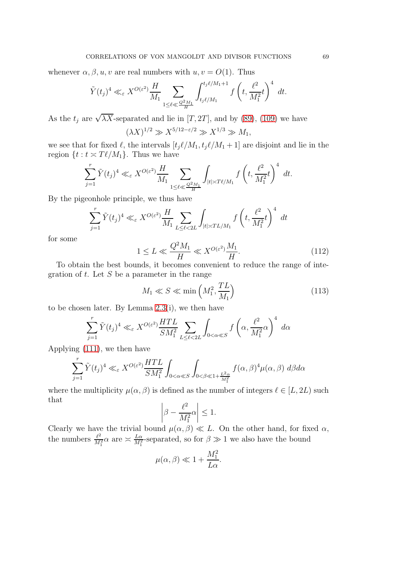whenever  $\alpha, \beta, u, v$  are real numbers with  $u, v = O(1)$ . Thus

$$
\tilde{Y}(t_j)^4 \ll_{\varepsilon} X^{O(\varepsilon^2)} \frac{H}{M_1} \sum_{1 \le \ell \ll \frac{Q^2 M_1}{H}} \int_{t_j \ell/M_1}^{t_j \ell/M_1+1} f\left(t, \frac{\ell^2}{M_1^2} t\right)^4 dt.
$$

As the  $t_j$  are  $\sqrt{\lambda X}$ -separated and lie in [T, 2T], and by [\(89\)](#page-53-1), [\(109\)](#page-66-2) we have

$$
(\lambda X)^{1/2} \gg X^{5/12 - \varepsilon/2} \gg X^{1/3} \gg M_1,
$$

we see that for fixed  $\ell$ , the intervals  $[t_j \ell/M_1, t_j \ell/M_1 + 1]$  are disjoint and lie in the region  $\{t : t \simeq T\ell/M_1\}$ . Thus we have

$$
\sum_{j=1}^r \tilde{Y}(t_j)^4 \ll_{\varepsilon} X^{O(\varepsilon^2)} \frac{H}{M_1} \sum_{1 \le \ell \ll \frac{Q^2 M_1}{H}} \int_{|t| \asymp T\ell/M_1} f\left(t, \frac{\ell^2}{M_1^2} t\right)^4 dt.
$$

By the pigeonhole principle, we thus have

$$
\sum_{j=1}^r \tilde{Y}(t_j)^4 \ll_{\varepsilon} X^{O(\varepsilon^2)} \frac{H}{M_1} \sum_{L \le \ell < 2L} \int_{|t| \asymp TL/M_1} f\left(t, \frac{\ell^2}{M_1^2} t\right)^4 \, dt
$$

for some

<span id="page-68-1"></span>
$$
1 \le L \ll \frac{Q^2 M_1}{H} \ll X^{O(\varepsilon^2)} \frac{M_1}{H}.\tag{112}
$$

To obtain the best bounds, it becomes convenient to reduce the range of integration of  $t$ . Let  $S$  be a parameter in the range

<span id="page-68-0"></span>
$$
M_1 \ll S \ll \min\left(M_1^2, \frac{TL}{M_1}\right) \tag{113}
$$

to be chosen later. By Lemma [2.3\(](#page-15-1)i), we then have

$$
\sum_{j=1}^r \tilde{Y}(t_j)^4 \ll_{\varepsilon} X^{O(\varepsilon^2)} \frac{HTL}{SM_1^2} \sum_{L \le \ell < 2L} \int_{0 < \alpha \ll S} f\left(\alpha, \frac{\ell^2}{M_1^2} \alpha\right)^4 d\alpha
$$

Applying [\(111\)](#page-67-0), we then have

$$
\sum_{j=1}^r \tilde{Y}(t_j)^4 \ll_{\varepsilon} X^{O(\varepsilon^2)} \frac{HTL}{SM_1^2} \int_{0 < \alpha \ll S} \int_{0 < \beta \ll 1 + \frac{L^2 \alpha}{M_1^2}} f(\alpha, \beta)^4 \mu(\alpha, \beta) d\beta d\alpha
$$

where the multiplicity  $\mu(\alpha, \beta)$  is defined as the number of integers  $\ell \in [L, 2L)$  such that

$$
\left|\beta - \frac{\ell^2}{M_1^2} \alpha\right| \le 1.
$$

Clearly we have the trivial bound  $\mu(\alpha, \beta) \ll L$ . On the other hand, for fixed  $\alpha$ , the numbers  $\frac{\ell^2}{M}$  $\frac{\ell^2}{M_1^2} \alpha$  are  $\approx \frac{L\alpha}{M_1^2}$ -separated, so for  $\beta \gg 1$  we also have the bound

$$
\mu(\alpha, \beta) \ll 1 + \frac{M_1^2}{L\alpha}.
$$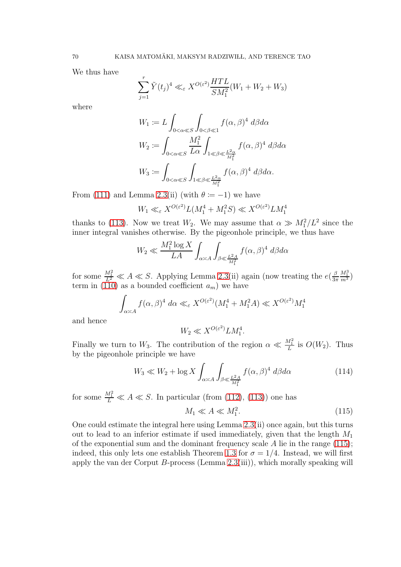We thus have

$$
\sum_{j=1}^r \tilde{Y}(t_j)^4 \ll_{\varepsilon} X^{O(\varepsilon^2)} \frac{HTL}{SM_1^2}(W_1 + W_2 + W_3)
$$

where

$$
W_1 := L \int_{0 < \alpha \ll S} \int_{0 < \beta \ll 1} f(\alpha, \beta)^4 d\beta d\alpha
$$
  
\n
$$
W_2 := \int_{0 < \alpha \ll S} \frac{M_1^2}{L\alpha} \int_{1 \ll \beta \ll \frac{L^2 \alpha}{M_1^2}} f(\alpha, \beta)^4 d\beta d\alpha
$$
  
\n
$$
W_3 := \int_{0 < \alpha \ll S} \int_{1 \ll \beta \ll \frac{L^2 \alpha}{M_1^2}} f(\alpha, \beta)^4 d\beta d\alpha.
$$

From [\(111\)](#page-67-0) and Lemma [2.3\(](#page-15-1)ii) (with  $\theta = -1$ ) we have

$$
W_1 \ll_{\varepsilon} X^{O(\varepsilon^2)} L(M_1^4 + M_1^2 S) \ll X^{O(\varepsilon^2)} L M_1^4
$$

thanks to [\(113\)](#page-68-0). Now we treat  $W_2$ . We may assume that  $\alpha \gg M_1^2/L^2$  since the inner integral vanishes otherwise. By the pigeonhole principle, we thus have

$$
W_2 \ll \frac{M_1^2 \log X}{LA} \int_{\alpha \asymp A} \int_{\beta \ll \frac{L^2 A}{M_1^2}} f(\alpha, \beta)^4 \ d\beta d\alpha
$$

for some  $\frac{M_1^2}{L^2} \ll A \ll S$ . Applying Lemma [2.3\(](#page-15-1)ii) again (now treating the  $e(\frac{\beta}{3\tau})$  $3\pi$  $\frac{M_1^3}{m^3}$ term in [\(110\)](#page-67-1) as a bounded coefficient  $a_m$ ) we have

$$
\int_{\alpha \asymp A} f(\alpha, \beta)^4 \, d\alpha \ll_{\varepsilon} X^{O(\varepsilon^2)} (M_1^4 + M_1^2 A) \ll X^{O(\varepsilon^2)} M_1^4
$$

and hence

$$
W_2 \ll X^{O(\varepsilon^2)} L M_1^4.
$$

Finally we turn to  $W_3$ . The contribution of the region  $\alpha \ll \frac{M_1^2}{L}$  is  $O(W_2)$ . Thus by the pigeonhole principle we have

<span id="page-69-1"></span>
$$
W_3 \ll W_2 + \log X \int_{\alpha \asymp A} \int_{\beta \ll \frac{L^2 A}{M_1^2}} f(\alpha, \beta)^4 d\beta d\alpha \tag{114}
$$

for some  $\frac{M_1^2}{L} \ll A \ll S$ . In particular (from [\(112\)](#page-68-1), [\(113\)](#page-68-0)) one has

<span id="page-69-0"></span>
$$
M_1 \ll A \ll M_1^2. \tag{115}
$$

One could estimate the integral here using Lemma [2.3\(](#page-15-1)ii) once again, but this turns out to lead to an inferior estimate if used immediately, given that the length  $M_1$ of the exponential sum and the dominant frequency scale  $A$  lie in the range [\(115\)](#page-69-0); indeed, this only lets one establish Theorem [1.3](#page-7-2) for  $\sigma = 1/4$ . Instead, we will first apply the van der Corput  $B$ -process (Lemma [2.3\(](#page-15-1)iii)), which morally speaking will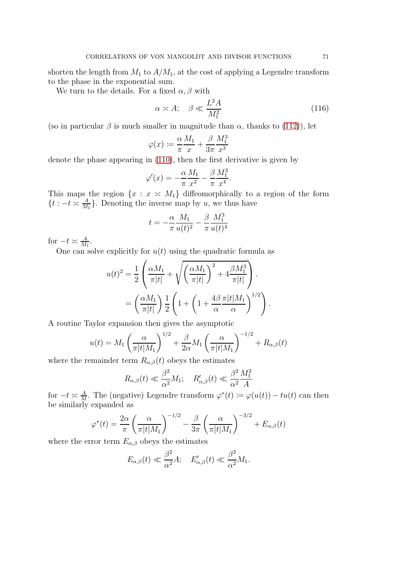shorten the length from  $M_1$  to  $A/M_1$ , at the cost of applying a Legendre transform to the phase in the exponential sum.

We turn to the details. For a fixed  $\alpha$ ,  $\beta$  with

<span id="page-70-0"></span>
$$
\alpha \asymp A; \quad \beta \ll \frac{L^2 A}{M_1^2} \tag{116}
$$

.

(so in particular  $\beta$  is much smaller in magnitude than  $\alpha$ , thanks to [\(112\)](#page-68-1)), let

$$
\varphi(x) \coloneqq \frac{\alpha}{\pi} \frac{M_1}{x} + \frac{\beta}{3\pi} \frac{M_1^3}{x^3}
$$

denote the phase appearing in [\(110\)](#page-67-1), then the first derivative is given by

$$
\varphi'(x) = -\frac{\alpha}{\pi} \frac{M_1}{x^2} - \frac{\beta}{\pi} \frac{M_1^3}{x^4}.
$$

This maps the region  $\{x : x \geq M_1\}$  diffeomorphically to a region of the form  $\{t : -t \asymp \frac{A}{M_1}\}$  $\frac{A}{M_1}$ . Denoting the inverse map by u, we thus have

$$
t=-\frac{\alpha}{\pi}\frac{M_1}{u(t)^2}-\frac{\beta}{\pi}\frac{M_1^3}{u(t)^4}
$$

for  $-t \asymp \frac{A}{M}$  $\frac{A}{M_1}$ .

One can solve explicitly for  $u(t)$  using the quadratic formula as

$$
u(t)^2 = \frac{1}{2} \left( \frac{\alpha M_1}{\pi |t|} + \sqrt{\left(\frac{\alpha M_1}{\pi |t|}\right)^2 + 4 \frac{\beta M_1^3}{\pi |t|}} \right).
$$
  
= 
$$
\left( \frac{\alpha M_1}{\pi |t|} \right) \frac{1}{2} \left( 1 + \left( 1 + \frac{4\beta}{\alpha} \frac{\pi |t|M_1}{\alpha} \right)^{1/2} \right)
$$

A routine Taylor expansion then gives the asymptotic

$$
u(t) = M_1 \left(\frac{\alpha}{\pi |t|M_1}\right)^{1/2} + \frac{\beta}{2\alpha} M_1 \left(\frac{\alpha}{\pi |t|M_1}\right)^{-1/2} + R_{\alpha,\beta}(t)
$$

where the remainder term  $R_{\alpha,\beta}(t)$  obeys the estimates

$$
R_{\alpha,\beta}(t) \ll \frac{\beta^2}{\alpha^2} M_1; \quad R'_{\alpha,\beta}(t) \ll \frac{\beta^2}{\alpha^2} \frac{M_1^2}{A}
$$

for  $-t \asymp \frac{A}{M}$  $\frac{A}{M}$ . The (negative) Legendre transform  $\varphi^*(t) := \varphi(u(t)) - tu(t)$  can then be similarly expanded as

$$
\varphi^*(t) = \frac{2\alpha}{\pi} \left( \frac{\alpha}{\pi |t| M_1} \right)^{-1/2} - \frac{\beta}{3\pi} \left( \frac{\alpha}{\pi |t| M_1} \right)^{-3/2} + E_{\alpha,\beta}(t)
$$

where the error term  $E_{\alpha,\beta}$  obeys the estimates

$$
E_{\alpha,\beta}(t) \ll \frac{\beta^2}{\alpha^2} A; \quad E'_{\alpha,\beta}(t) \ll \frac{\beta^2}{\alpha^2} M_1.
$$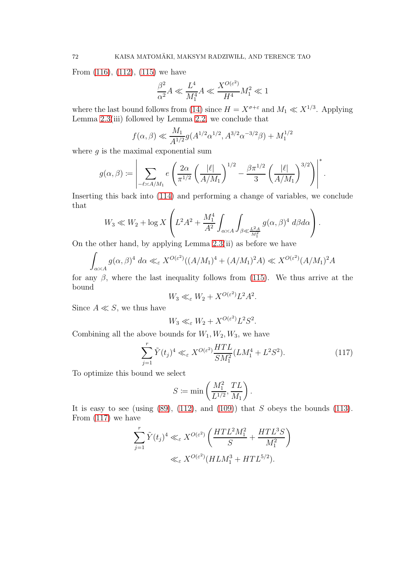From [\(116\)](#page-70-0), [\(112\)](#page-68-1), [\(115\)](#page-69-0) we have

$$
\frac{\beta^2}{\alpha^2}A \ll \frac{L^4}{M_1^4}A \ll \frac{X^{O(\varepsilon^2)}}{H^4}M_1^2 \ll 1
$$

where the last bound follows from [\(14\)](#page-7-0) since  $H = X^{\sigma+\varepsilon}$  and  $M_1 \ll X^{1/3}$ . Applying Lemma  $2.3$ (iii) followed by Lemma  $2.2$ , we conclude that

$$
f(\alpha, \beta) \ll \frac{M_1}{A^{1/2}} g(A^{1/2} \alpha^{1/2}, A^{3/2} \alpha^{-3/2} \beta) + M_1^{1/2}
$$

where  $q$  is the maximal exponential sum

$$
g(\alpha, \beta) := \left| \sum_{-\ell \asymp A/M_1} e \left( \frac{2\alpha}{\pi^{1/2}} \left( \frac{|\ell|}{A/M_1} \right)^{1/2} - \frac{\beta \pi^{1/2}}{3} \left( \frac{|\ell|}{A/M_1} \right)^{3/2} \right) \right|^*
$$

.

Inserting this back into [\(114\)](#page-69-1) and performing a change of variables, we conclude that

$$
W_3 \ll W_2 + \log X \left( L^2 A^2 + \frac{M_1^4}{A^2} \int_{\alpha \asymp A} \int_{\beta \ll \frac{L^2 A}{M_1^2}} g(\alpha, \beta)^4 \ d\beta d\alpha \right).
$$

On the other hand, by applying Lemma [2.3\(](#page-15-1)ii) as before we have

$$
\int_{\alpha \asymp A} g(\alpha, \beta)^4 \, d\alpha \ll_{\varepsilon} X^{O(\varepsilon^2)} \left( (A/M_1)^4 + (A/M_1)^2 A \right) \ll X^{O(\varepsilon^2)} (A/M_1)^2 A
$$

for any  $\beta$ , where the last inequality follows from [\(115\)](#page-69-0). We thus arrive at the bound

$$
W_3 \ll_{\varepsilon} W_2 + X^{O(\varepsilon^2)} L^2 A^2.
$$

Since  $A \ll S$ , we thus have

$$
W_3 \ll_{\varepsilon} W_2 + X^{O(\varepsilon^2)} L^2 S^2.
$$

Combining all the above bounds for  $W_1, W_2, W_3$ , we have

<span id="page-71-0"></span>
$$
\sum_{j=1}^{r} \tilde{Y}(t_j)^4 \ll_{\varepsilon} X^{O(\varepsilon^2)} \frac{HTL}{SM_1^2} (LM_1^4 + L^2S^2). \tag{117}
$$

To optimize this bound we select

$$
S \coloneqq \min\left(\frac{M_1^2}{L^{1/2}}, \frac{TL}{M_1}\right).
$$

It is easy to see (using  $(89)$ ,  $(112)$ , and  $(109)$ ) that S obeys the bounds  $(113)$ . From [\(117\)](#page-71-0) we have

$$
\sum_{j=1}^r \tilde{Y}(t_j)^4 \ll_{\varepsilon} X^{O(\varepsilon^2)} \left( \frac{HTL^2M_1^2}{S} + \frac{HTL^3S}{M_1^2} \right)
$$
  

$$
\ll_{\varepsilon} X^{O(\varepsilon^2)} (HLM_1^3 + HTL^{5/2}).
$$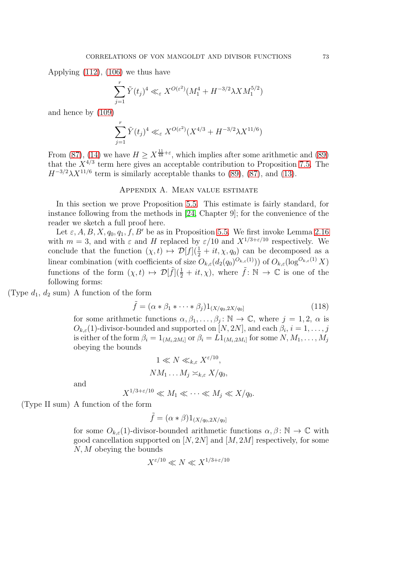Applying [\(112\)](#page-68-0), [\(106\)](#page-66-0) we thus have

$$
\sum_{j=1}^r \tilde{Y}(t_j)^4 \ll_{\varepsilon} X^{O(\varepsilon^2)} (M_1^4 + H^{-3/2} \lambda X M_1^{5/2})
$$

and hence by [\(109\)](#page-66-1)

$$
\sum_{j=1}^{r} \tilde{Y}(t_j)^4 \ll_{\varepsilon} X^{O(\varepsilon^2)} (X^{4/3} + H^{-3/2} \lambda X^{11/6})
$$

From [\(87\)](#page-53-0), [\(14\)](#page-7-0) we have  $H \ge X^{\frac{11}{48} + \varepsilon}$ , which implies after some arithmetic and [\(89\)](#page-53-1) that the  $X^{4/3}$  term here gives an acceptable contribution to Proposition [7.5.](#page-65-0) The  $H^{-3/2}\lambda X^{11/6}$  term is similarly acceptable thanks to [\(89\)](#page-53-1), [\(87\)](#page-53-0), and [\(13\)](#page-7-1).

## Appendix A. Mean value estimate

In this section we prove Proposition [5.5.](#page-54-0) This estimate is fairly standard, for instance following from the methods in [\[24,](#page-76-0) Chapter 9]; for the convenience of the reader we sketch a full proof here.

Let  $\varepsilon$ , A, B, X,  $q_0$ ,  $q_1$ , f, B' be as in Proposition [5.5.](#page-54-0) We first invoke Lemma [2.16](#page-28-0) with  $m = 3$ , and with  $\varepsilon$  and H replaced by  $\varepsilon/10$  and  $X^{1/3+\varepsilon/10}$  respectively. We conclude that the function  $(\chi, t) \mapsto \mathcal{D}[f](\frac{1}{2} + it, \chi, q_0)$  can be decomposed as a linear combination (with coefficients of size  $O_{k,\varepsilon}(d_2(q_0)^{O_{k,\varepsilon}(1)}))$  of  $O_{k,\varepsilon}(\log^{O_{k,\varepsilon}(1)} X)$ functions of the form  $(\chi, t) \mapsto \mathcal{D}[\tilde{f}](\frac{1}{2} + it, \chi)$ , where  $\tilde{f} : \mathbb{N} \to \mathbb{C}$  is one of the following forms:

(Type  $d_1, d_2$  sum) A function of the form

$$
\tilde{f} = (\alpha * \beta_1 * \dots * \beta_j) 1_{(X/q_0, 2X/q_0]}
$$
\n(118)

for some arithmetic functions  $\alpha, \beta_1, \dots, \beta_j : \mathbb{N} \to \mathbb{C}$ , where  $j = 1, 2, \alpha$  is  $O_{k,\varepsilon}(1)$ -divisor-bounded and supported on  $[N,2N]$ , and each  $\beta_i$ ,  $i=1,\ldots,j$ is either of the form  $\beta_i=1_{(M_i,2M_i]}$  or  $\beta_i=L1_{(M_i,2M_i]}$  for some  $N,M_1,\ldots,M_j$ obeying the bounds

$$
1 \ll N \ll_{k,\varepsilon} X^{\varepsilon/10},
$$
  

$$
NM_1 \dots M_j \asymp_{k,\varepsilon} X/q_0,
$$

and

$$
X^{1/3+\varepsilon/10} \ll M_1 \ll \cdots \ll M_j \ll X/q_0.
$$

(Type II sum) A function of the form

$$
\tilde{f} = (\alpha * \beta)1_{(X/q_0, 2X/q_0]}
$$

for some  $O_{k,\varepsilon}(1)$ -divisor-bounded arithmetic functions  $\alpha, \beta \colon \mathbb{N} \to \mathbb{C}$  with good cancellation supported on  $[N, 2N]$  and  $[M, 2M]$  respectively, for some N, M obeying the bounds

$$
X^{\varepsilon/10} \ll N \ll X^{1/3 + \varepsilon/10}
$$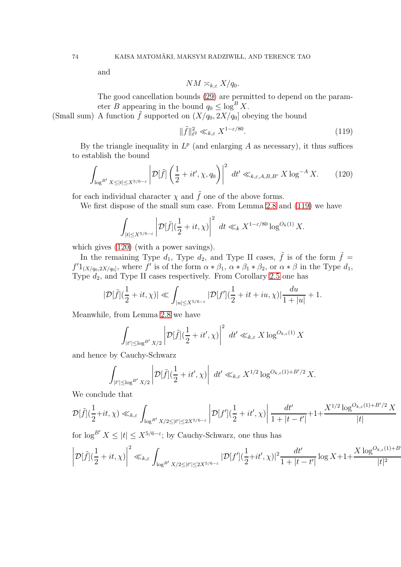and

$$
NM \asymp_{k,\varepsilon} X/q_0.
$$

The good cancellation bounds [\(29\)](#page-17-0) are permitted to depend on the parameter B appearing in the bound  $q_0 \leq \log^B X$ .

(Small sum) A function  $\tilde{f}$  supported on  $(X/q_0, 2X/q_0]$  obeying the bound

<span id="page-73-0"></span>
$$
\|\tilde{f}\|_{\ell^2}^2 \ll_{k,\varepsilon} X^{1-\varepsilon/80}.\tag{119}
$$

By the triangle inequality in  $L^p$  (and enlarging A as necessary), it thus suffices to establish the bound

<span id="page-73-1"></span>
$$
\int_{\log^{B'} X \leq |t| \leq X^{5/6-\varepsilon}} \left| \mathcal{D}[\tilde{f}] \left( \frac{1}{2} + it', \chi, q_0 \right) \right|^2 \ dt' \ll_{k,\varepsilon,A,B,B'} X \log^{-A} X. \tag{120}
$$

for each individual character  $\chi$  and  $\tilde{f}$  one of the above forms.

We first dispose of the small sum case. From Lemma [2.8](#page-20-0) and [\(119\)](#page-73-0) we have

$$
\int_{|t| \le X^{5/6-\varepsilon}} \left| \mathcal{D}[\tilde{f}] (\frac{1}{2} + it, \chi) \right|^2 \, dt \ll_k X^{1-\varepsilon/80} \log^{O_k(1)} X.
$$

which gives [\(120\)](#page-73-1) (with a power savings).

In the remaining Type  $d_1$ , Type  $d_2$ , and Type II cases,  $\tilde{f}$  is of the form  $\tilde{f}$  =  $f'1_{(X/q_0,2X/q_0]},$  where f' is of the form  $\alpha * \beta_1$ ,  $\alpha * \beta_1 * \beta_2$ , or  $\alpha * \beta$  in the Type  $d_1$ , Type  $d_2$ , and Type II cases respectively. From Corollary [2.5](#page-17-1) one has

$$
|\mathcal{D}[\tilde{f}](\frac{1}{2}+it,\chi)| \ll \int_{|u| \leq X^{5/6-\varepsilon}} |\mathcal{D}[f'](\frac{1}{2}+it+iu,\chi)|\frac{du}{1+|u|}+1.
$$

Meanwhile, from Lemma [2.8](#page-20-0) we have

$$
\int_{|t'| \le \log^{B'} X/2} \left| \mathcal{D}[\tilde{f}] (\frac{1}{2} + it', \chi) \right|^2 \ dt' \ll_{k,\varepsilon} X \log^{O_{k,\varepsilon}(1)} X
$$

and hence by Cauchy-Schwarz

$$
\int_{|t'| \le \log^{B'} X/2} \left| \mathcal{D}[\tilde{f}] (\frac{1}{2} + it', \chi) \right| dt' \ll_{k,\varepsilon} X^{1/2} \log^{O_{k,\varepsilon}(1) + B'/2} X.
$$

We conclude that

$$
\mathcal{D}[\tilde{f}](\frac{1}{2} + it, \chi) \ll_{k,\varepsilon} \int_{\log^{B'} X/2 \leq |t'| \leq 2X^{5/6-\varepsilon}} \left| \mathcal{D}[f'](\frac{1}{2} + it', \chi) \right| \frac{dt'}{1+|t-t'|} + 1 + \frac{X^{1/2} \log^{O_{k,\varepsilon}(1) + B'/2} X^{1/2}}{|t|}
$$

for  $\log^{B'} X \leq |t| \leq X^{5/6 - \varepsilon}$ ; by Cauchy-Schwarz, one thus has

$$
\left| \mathcal{D}[\tilde{f}] (\frac{1}{2} + it, \chi) \right|^2 \ll_{k,\varepsilon} \int_{\log^{B'} X/2 \leq |t'| \leq 2X^{5/6-\varepsilon}} |\mathcal{D}[f'] (\frac{1}{2} + it', \chi)|^2 \frac{dt'}{1+|t-t'|} \log X + 1 + \frac{X \log^{O_{k,\varepsilon}(1) + B'}}{|t|^2}
$$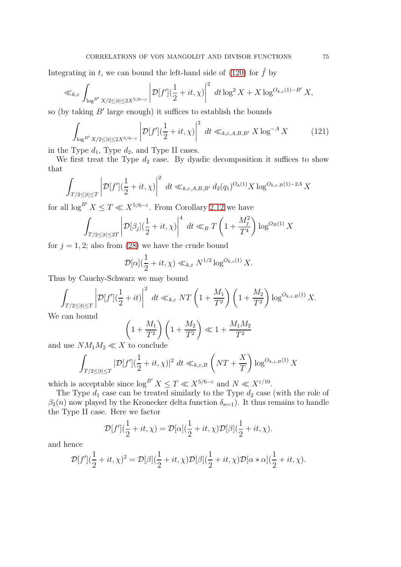Integrating in t, we can bound the left-hand side of [\(120\)](#page-73-1) for  $\tilde{f}$  by

$$
\ll_{k,\varepsilon} \int_{\log^{B'} X/2 \leq |t| \leq 2X^{5/6-\varepsilon}} \left| \mathcal{D}[f'](\frac{1}{2} + it, \chi) \right|^2 \ dt \log^2 X + X \log^{O_{k,\varepsilon}(1)-B'} X,
$$

so (by taking B′ large enough) it suffices to establish the bounds

<span id="page-74-0"></span>
$$
\int_{\log^{B'} X/2 \le |t| \le 2X^{5/6-\varepsilon}} \left| \mathcal{D}[f'](\frac{1}{2} + it, \chi) \right|^2 dt \ll_{k,\varepsilon, A, B, B'} X \log^{-A} X \tag{121}
$$

in the Type  $d_1$ , Type  $d_2$ , and Type II cases.

We first treat the Type  $d_2$  case. By dyadic decomposition it suffices to show that

$$
\int_{T/2 \leq |t| \leq T} \left| \mathcal{D}[f'](\frac{1}{2} + it, \chi) \right|^2 \, dt \ll_{k,\varepsilon,A,B,B'} d_2(q_1)^{O_k(1)} X \log^{O_{k,\varepsilon,B}(1)-2A} X
$$

for all  $\log^{B'} X \leq T \ll X^{5/6-\varepsilon}$ . From Corollary [2.12](#page-23-0) we have

$$
\int_{T/2 \leq |t| \leq 2T} \left| \mathcal{D}[\beta_j] \left(\frac{1}{2} + it, \chi\right) \right|^4 \ dt \ll_B T\left(1 + \frac{M_j^2}{T^4}\right) \log^{O_B(1)} X
$$

for  $j = 1, 2$ ; also from [\(28\)](#page-17-2) we have the crude bound

$$
\mathcal{D}[\alpha](\frac{1}{2} + it, \chi) \ll_{k,\varepsilon} N^{1/2} \log^{O_{k,\varepsilon}(1)} X.
$$

Thus by Cauchy-Schwarz we may bound

$$
\int_{T/2 \leq |t| \leq T} \left| \mathcal{D}[f'](\frac{1}{2} + it) \right|^2 \ dt \ll_{k,\varepsilon} NT \left(1 + \frac{M_1}{T^2}\right) \left(1 + \frac{M_2}{T^2}\right) \log^{O_{k,\varepsilon,B}(1)}X.
$$

We can bound

$$
\left(1 + \frac{M_1}{T^2}\right)\left(1 + \frac{M_2}{T^2}\right) \ll 1 + \frac{M_1 M_2}{T^2}
$$

and use  $NM_1M_2 \ll X$  to conclude

$$
\int_{T/2 \leq |t| \leq T} |\mathcal{D}[f'](\frac{1}{2} + it, \chi)|^2 \ dt \ll_{k,\varepsilon,B} \left( NT + \frac{X}{T} \right) \log^{O_{k,\varepsilon,B}(1)} X
$$

which is acceptable since  $\log^{B'} X \leq T \ll X^{5/6-\varepsilon}$  and  $N \ll X^{\varepsilon/10}$ .

The Type  $d_1$  case can be treated similarly to the Type  $d_2$  case (with the role of  $\beta_2(n)$  now played by the Kronecker delta function  $\delta_{n=1}$ ). It thus remains to handle the Type II case. Here we factor

$$
\mathcal{D}[f'](\frac{1}{2} + it, \chi) = \mathcal{D}[\alpha](\frac{1}{2} + it, \chi)\mathcal{D}[\beta](\frac{1}{2} + it, \chi).
$$

and hence

$$
\mathcal{D}[f'](\frac{1}{2}+it,\chi)^2=\mathcal{D}[\beta](\frac{1}{2}+it,\chi)\mathcal{D}[\beta](\frac{1}{2}+it,\chi)\mathcal{D}[\alpha*\alpha](\frac{1}{2}+it,\chi).
$$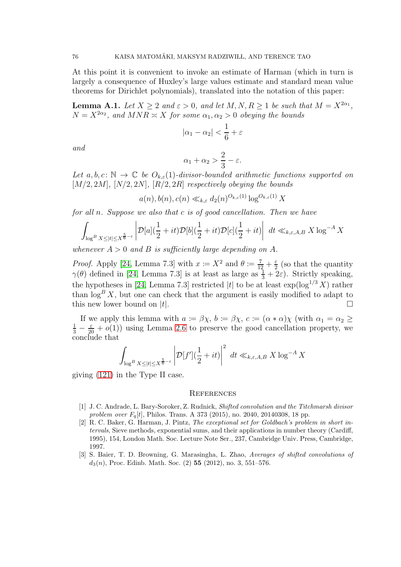At this point it is convenient to invoke an estimate of Harman (which in turn is largely a consequence of Huxley's large values estimate and standard mean value theorems for Dirichlet polynomials), translated into the notation of this paper:

**Lemma A.1.** Let  $X \ge 2$  and  $\varepsilon > 0$ , and let  $M, N, R \ge 1$  be such that  $M = X^{2\alpha_1}$ ,  $N = X^{2\alpha_2}$ , and  $MNR \asymp X$  for some  $\alpha_1, \alpha_2 > 0$  obeying the bounds

$$
|\alpha_1 - \alpha_2| < \frac{1}{6} + \varepsilon
$$

and

$$
\alpha_1 + \alpha_2 > \frac{2}{3} - \varepsilon.
$$

Let  $a, b, c \colon \mathbb{N} \to \mathbb{C}$  be  $O_{k,\varepsilon}(1)$ -divisor-bounded arithmetic functions supported on  $[M/2, 2M]$ ,  $[N/2, 2N]$ ,  $[R/2, 2R]$  respectively obeying the bounds

$$
a(n), b(n), c(n) \ll_{k,\varepsilon} d_2(n)^{O_{k,\varepsilon}(1)} \log^{O_{k,\varepsilon}(1)} X
$$

for all n. Suppose we also that c is of good cancellation. Then we have

$$
\int_{\log^B X \leq |t| \leq X^{\frac{5}{6}-\varepsilon}} \left| \mathcal{D}[a](\frac{1}{2}+it)\mathcal{D}[b](\frac{1}{2}+it)\mathcal{D}[c](\frac{1}{2}+it) \right| dt \ll_{k,\varepsilon,A,B} X \log^{-A} X
$$

whenever  $A > 0$  and B is sufficiently large depending on A.

*Proof.* Apply [\[24,](#page-76-0) Lemma 7.3] with  $x := X^2$  and  $\theta := \frac{7}{12} + \frac{\epsilon}{2}$  $\frac{\varepsilon}{2}$  (so that the quantity  $\gamma(\theta)$  defined in [\[24,](#page-76-0) Lemma 7.3] is at least as large as  $\frac{1}{3} + 2\varepsilon$ ). Strictly speaking, the hypotheses in [\[24,](#page-76-0) Lemma 7.3] restricted |t| to be at least  $\exp(\log^{1/3} X)$  rather than  $\log^B X$ , but one can check that the argument is easily modified to adapt to this new lower bound on  $|t|$ .

If we apply this lemma with  $a := \beta \chi$ ,  $b := \beta \chi$ ,  $c := (\alpha * \alpha) \chi$  (with  $\alpha_1 = \alpha_2 \geq$  $\frac{1}{3} - \frac{\varepsilon}{20} + o(1)$  using Lemma [2.6](#page-18-0) to preserve the good cancellation property, we conclude that

$$
\int_{\log^B X \leq |t| \leq X^{\frac{5}{6}-\varepsilon}} \left| \mathcal{D}[f'](\frac{1}{2} + it) \right|^2 dt \ll_{k,\varepsilon,A,B} X \log^{-A} X
$$

giving [\(121\)](#page-74-0) in the Type II case.

## **REFERENCES**

- [1] J. C. Andrade, L. Bary-Soroker, Z. Rudnick, Shifted convolution and the Titchmarsh divisor problem over  $F_q[t]$ , Philos. Trans. A 373 (2015), no. 2040, 20140308, 18 pp.
- [2] R. C. Baker, G. Harman, J. Pintz, The exceptional set for Goldbach's problem in short intervals, Sieve methods, exponential sums, and their applications in number theory (Cardiff, 1995), 154, London Math. Soc. Lecture Note Ser., 237, Cambridge Univ. Press, Cambridge, 1997.
- [3] S. Baier, T. D. Browning, G. Marasingha, L. Zhao, Averages of shifted convolutions of  $d_3(n)$ , Proc. Edinb. Math. Soc. (2) 55 (2012), no. 3, 551–576.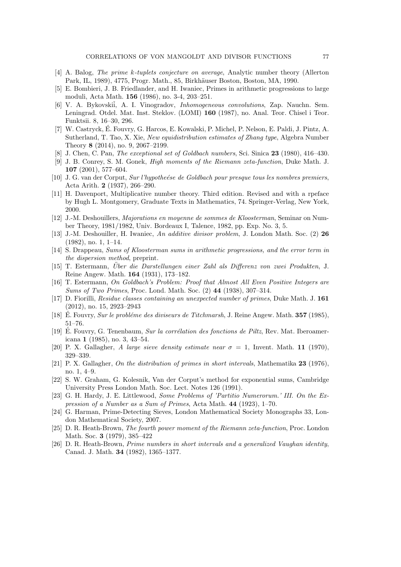- [4] A. Balog, The prime k-tuplets conjecture on average, Analytic number theory (Allerton Park, IL, 1989), 4775, Progr. Math., 85, Birkhäuser Boston, Boston, MA, 1990.
- [5] E. Bombieri, J. B. Friedlander, and H. Iwaniec, Primes in arithmetic progressions to large moduli, Acta Math. 156 (1986), no. 3-4, 203–251.
- [6] V. A. Bykovskii, A. I. Vinogradov, *Inhomogeneous convolutions*, Zap. Nauchn. Sem. Leningrad. Otdel. Mat. Inst. Steklov. (LOMI) 160 (1987), no. Anal. Teor. Chisel i Teor. Funktsii. 8, 16–30, 296.
- [7] W. Castryck, É. Fouvry, G. Harcos, E. Kowalski, P. Michel, P. Nelson, E. Paldi, J. Pintz, A. Sutherland, T. Tao, X. Xie, New equidistribution estimates of Zhang type, Algebra Number Theory 8 (2014), no. 9, 2067–2199.
- [8] J. Chen, C. Pan, The exceptional set of Goldbach numbers, Sci. Sinica 23 (1980), 416–430.
- [9] J. B. Conrey, S. M. Gonek, High moments of the Riemann zeta-function, Duke Math. J. 107 (2001), 577–604.
- [10] J. G. van der Corput, Sur l'hypotheése de Goldbach pour presque tous les nombres premiers, Acta Arith. 2 (1937), 266–290.
- [11] H. Davenport, Multiplicative number theory. Third edition. Revised and with a rpeface by Hugh L. Montgomery, Graduate Texts in Mathematics, 74. Springer-Verlag, New York, 2000.
- [12] J.-M. Deshouillers, Majorations en moyenne de sommes de Kloosterman, Seminar on Number Theory, 1981/1982, Univ. Bordeaux I, Talence, 1982, pp. Exp. No. 3, 5.
- [13] J.-M. Deshouiller, H. Iwaniec, An additive divisor problem, J. London Math. Soc. (2) 26 (1982), no. 1, 1–14.
- [14] S. Drappeau, Sums of Kloosterman sums in arithmetic progressions, and the error term in the dispersion method, preprint.
- [15] T. Estermann, Über die Darstellungen einer Zahl als Differenz von zwei Produkten, J. Reine Angew. Math. 164 (1931), 173–182.
- [16] T. Estermann, On Goldbach's Problem: Proof that Almost All Even Positive Integers are Sums of Two Primes, Proc. Lond. Math. Soc. (2) 44 (1938), 307–314.
- [17] D. Fiorilli, Residue classes containing an unexpected number of primes, Duke Math. J. 161 (2012), no. 15, 2923–2943
- [18] E. Fouvry, Sur le problème des diviseurs de Titchmarsh, J. Reine Angew. Math.  $357$  (1985), 51–76.
- [19] E. Fouvry, G. Tenenbaum, Sur la corrélation des fonctions de Piltz, Rev. Mat. Iberoamericana 1 (1985), no. 3, 43–54.
- [20] P. X. Gallagher, A large sieve density estimate near  $\sigma = 1$ , Invent. Math. 11 (1970), 329–339.
- [21] P. X. Gallagher, On the distribution of primes in short intervals, Mathematika 23 (1976), no. 1, 4–9.
- [22] S. W. Graham, G. Kolesnik, Van der Corput's method for exponential sums, Cambridge University Press London Math. Soc. Lect. Notes 126 (1991).
- [23] G. H. Hardy, J. E. Littlewood, Some Problems of 'Partitio Numerorum.' III. On the Expression of a Number as a Sum of Primes, Acta Math. 44 (1923), 1–70.
- <span id="page-76-0"></span>[24] G. Harman, Prime-Detecting Sieves, London Mathematical Society Monographs 33, London Mathematical Society, 2007.
- [25] D. R. Heath-Brown, The fourth power moment of the Riemann zeta-function, Proc. London Math. Soc. 3 (1979), 385–422
- [26] D. R. Heath-Brown, Prime numbers in short intervals and a generalized Vaughan identity, Canad. J. Math. 34 (1982), 1365–1377.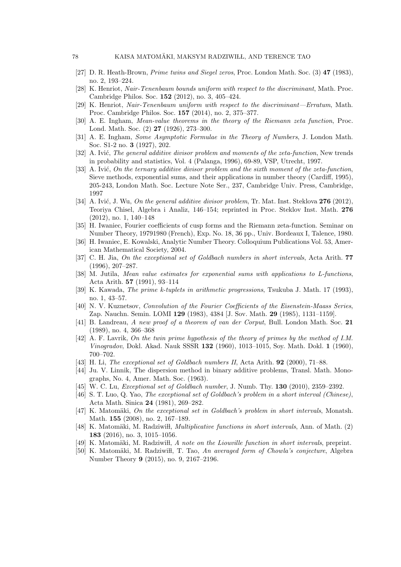- [27] D. R. Heath-Brown, Prime twins and Siegel zeros, Proc. London Math. Soc. (3) 47 (1983), no. 2, 193–224.
- [28] K. Henriot, Nair-Tenenbaum bounds uniform with respect to the discriminant, Math. Proc. Cambridge Philos. Soc. 152 (2012), no. 3, 405–424.
- [29] K. Henriot, Nair-Tenenbaum uniform with respect to the discriminant—Erratum, Math. Proc. Cambridge Philos. Soc. 157 (2014), no. 2, 375–377.
- [30] A. E. Ingham, Mean-value theorems in the theory of the Riemann zeta function, Proc. Lond. Math. Soc. (2) 27 (1926), 273–300.
- [31] A. E. Ingham, Some Asymptotic Formulae in the Theory of Numbers, J. London Math. Soc. S1-2 no. 3 (1927), 202.
- [32] A. Ivić, The general additive divisor problem and moments of the zeta-function, New trends in probability and statistics, Vol. 4 (Palanga, 1996), 69-89, VSP, Utrecht, 1997.
- [33] A. Ivić, On the ternary additive divisor problem and the sixth moment of the zeta-function, Sieve methods, exponential sums, and their applications in number theory (Cardiff, 1995), 205-243, London Math. Soc. Lecture Note Ser., 237, Cambridge Univ. Press, Cambridge, 1997
- [34] A. Ivić, J. Wu, On the general additive divisor problem, Tr. Mat. Inst. Steklova  $276$  (2012), Teoriya Chisel, Algebra i Analiz, 146–154; reprinted in Proc. Steklov Inst. Math. 276 (2012), no. 1, 140–148
- [35] H. Iwaniec, Fourier coefficients of cusp forms and the Riemann zeta-function. Seminar on Number Theory, 19791980 (French), Exp. No. 18, 36 pp., Univ. Bordeaux I, Talence, 1980.
- [36] H. Iwaniec, E. Kowalski, Analytic Number Theory. Colloquium Publications Vol. 53, American Mathematical Society, 2004.
- [37] C. H. Jia, On the exceptional set of Goldbach numbers in short intervals, Acta Arith. 77 (1996), 207–287.
- [38] M. Jutila, Mean value estimates for exponential sums with applications to L-functions, Acta Arith. 57 (1991), 93–114
- [39] K. Kawada, The prime k-tuplets in arithmetic progressions, Tsukuba J. Math. 17 (1993), no. 1, 43–57.
- [40] N. V. Kuznetsov, Convolution of the Fourier Coefficients of the Eisenstein-Maass Series, Zap. Nauchn. Semin. LOMI 129 (1983), 4384 [J. Sov. Math. 29 (1985), 1131–1159].
- [41] B. Landreau, A new proof of a theorem of van der Corput, Bull. London Math. Soc. 21 (1989), no. 4, 366–368
- [42] A. F. Lavrik, On the twin prime hypothesis of the theory of primes by the method of I.M. Vinogradov, Dokl. Akad. Nauk SSSR 132 (1960), 1013–1015, Soy. Math. Dokl. 1 (1960), 700–702.
- [43] H. Li, The exceptional set of Goldbach numbers II, Acta Arith. **92** (2000), 71–88.
- [44] Ju. V. Linnik, The dispersion method in binary additive problems, Transl. Math. Monographs, No. 4, Amer. Math. Soc. (1963).
- [45] W. C. Lu, *Exceptional set of Goldbach number*, J. Numb. Thy. **130** (2010), 2359–2392.
- [46] S. T. Luo, Q. Yao, The exceptional set of Goldbach's problem in a short interval (Chinese), Acta Math. Sinica 24 (1981), 269–282.
- [47] K. Matomäki, On the exceptional set in Goldbach's problem in short intervals, Monatsh. Math. 155 (2008), no. 2, 167–189.
- [48] K. Matomäki, M. Radziwiłł, *Multiplicative functions in short intervals*, Ann. of Math. (2) 183 (2016), no. 3, 1015–1056.
- [49] K. Matomäki, M. Radziwiłł, A note on the Liouville function in short intervals, preprint.
- [50] K. Matomäki, M. Radziwiłł, T. Tao, An averaged form of Chowla's conjecture, Algebra Number Theory 9 (2015), no. 9, 2167–2196.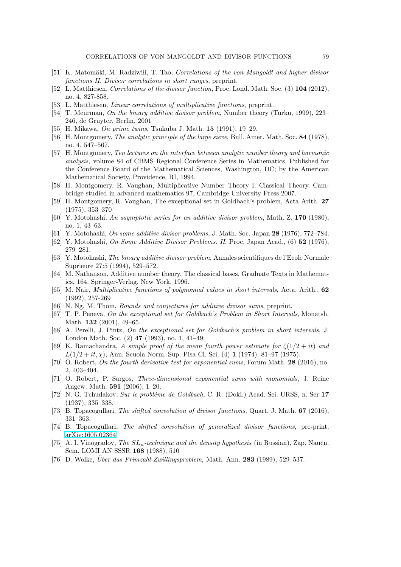- [51] K. Matomäki, M. Radziwiłł, T. Tao, Correlations of the von Mangoldt and higher divisor functions II. Divisor correlations in short ranges, preprint.
- [52] L. Matthiesen, Correlations of the divisor function, Proc. Lond. Math. Soc. (3) 104 (2012), no. 4, 827-858.
- [53] L. Matthiesen, Linear correlations of multiplicative functions, preprint.
- [54] T. Meurman, On the binary additive divisor problem, Number theory (Turku, 1999), 223– 246, de Gruyter, Berlin, 2001
- [55] H. Mikawa, On prime twins, Tsukuba J. Math. 15 (1991), 19–29.
- [56] H. Montgomery, The analytic principle of the large sieve, Bull. Amer. Math. Soc. 84 (1978), no. 4, 547–567.
- [57] H. Montgomery, Ten lectures on the interface between analytic number theory and harmonic analysis, volume 84 of CBMS Regional Conference Series in Mathematics. Published for the Conference Board of the Mathematical Sciences, Washington, DC; by the American Mathematical Society, Providence, RI, 1994.
- [58] H. Montgomery, R. Vaughan, Multiplicative Number Theory I. Classical Theory. Cambridge studied in advanced mathematics 97, Cambridge University Press 2007.
- [59] H. Montgomery, R. Vaughan, The exceptional set in Goldbach's problem, Acta Arith. 27 (1975), 353–370
- [60] Y. Motohashi, An asymptotic series for an additive divisor problem, Math. Z. 170 (1980), no. 1, 43–63.
- [61] Y. Motohashi, *On some additive divisor problems*, J. Math. Soc. Japan  $28$  (1976), 772–784.
- [62] Y. Motohashi, On Some Additive Divisor Problems. II, Proc. Japan Acad., (6) 52 (1976), 279–281.
- [63] Y. Motohashi, The binary additive divisor problem, Annales scientifiques de l'Ecole Normale Suprieure 27:5 (1994), 529–572.
- [64] M. Nathanson, Additive number theory. The classical bases. Graduate Texts in Mathematics, 164. Springer-Verlag, New York, 1996.
- [65] M. Nair, Multiplicative functions of polynomial values in short intervals, Acta. Arith., 62 (1992), 257-269
- [66] N. Ng, M. Thom, Bounds and conjectures for additive divisor sums, preprint.
- [67] T. P. Peneva, On the exceptional set for Goldbach's Problem in Short Intervals, Monatsh. Math. **132** (2001), 49-65.
- [68] A. Perelli, J. Pintz, On the exceptional set for Goldbach's problem in short intervals, J. London Math. Soc. (2) 47 (1993), no. 1, 41–49.
- [69] K. Ramachandra, A simple proof of the mean fourth power estimate for  $\zeta(1/2 + it)$  and  $L(1/2 + it, \chi)$ , Ann. Scuola Norm. Sup. Pisa Cl. Sci. (4) 1 (1974), 81–97 (1975).
- [70] O. Robert, On the fourth derivative test for exponential sums, Forum Math. 28 (2016), no. 2, 403–404.
- [71] O. Robert, P. Sargos, Three-dimensional exponential sums with monomials, J. Reine Angew. Math. 591 (2006), 1–20.
- [72] N. G. Tchudakov, Sur le probléme de Goldbach, C. R. (Dokl.) Acad. Sci. URSS, n. Ser 17 (1937), 335–338.
- [73] B. Topacogullari, The shifted convolution of divisor functions, Quart. J. Math. 67 (2016), 331–363.
- [74] B. Topacogullari, The shifted convolution of generalized divisor functions, pre-print, [arXiv:1605.02364](http://arxiv.org/abs/1605.02364)
- [75] A. I. Vinogradov, *The*  $SL_n$ -technique and the density hypothesis (in Russian), Zap. Naučn. Sem. LOMI AN SSSR 168 (1988), 510
- $[76]$  D. Wolke, *Über das Primzahl-Zwillingsproblem*, Math. Ann. **283** (1989), 529–537.